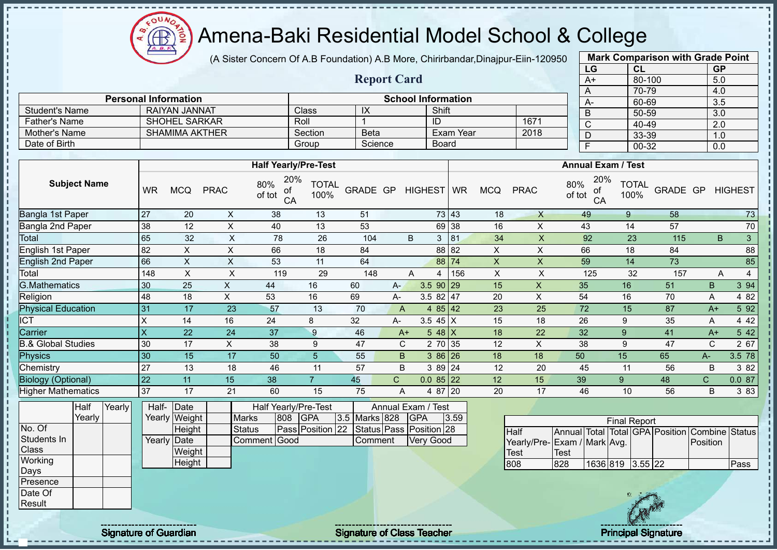$\Omega$ **AB** 

## Amena-Baki Residential Model School & College

(A Sister Concern Of A.B Foundation) A.B More, Chirirbandar,Dinajpur-Eiin-120950

**Report Card**

| <b>Mark Comparison with Grade Point</b> |        |           |  |  |  |  |  |  |
|-----------------------------------------|--------|-----------|--|--|--|--|--|--|
| LG                                      | CL     | <b>GP</b> |  |  |  |  |  |  |
| A+                                      | 80-100 | 5.0       |  |  |  |  |  |  |
| A                                       | 70-79  | 4.0       |  |  |  |  |  |  |
| А-                                      | 60-69  | 3.5       |  |  |  |  |  |  |
| B                                       | 50-59  | 3.0       |  |  |  |  |  |  |
| C                                       | 40-49  | 2.0       |  |  |  |  |  |  |
| D                                       | 33-39  | 1.0       |  |  |  |  |  |  |
| F                                       | 00-32  | 0.0       |  |  |  |  |  |  |

| <b>School Information</b> |                             |              |             |              |      |  |  |  |  |  |  |  |
|---------------------------|-----------------------------|--------------|-------------|--------------|------|--|--|--|--|--|--|--|
|                           | <b>Personal Information</b> |              |             | $A-$         |      |  |  |  |  |  |  |  |
| <b>Student's Name</b>     | RAIYAN JANNAT               | <b>Class</b> | IX          | Shift        |      |  |  |  |  |  |  |  |
| Father's Name             | <b>SHOHEL SARKAR</b>        | Roll         |             | ID           | 1671 |  |  |  |  |  |  |  |
| Mother's Name             | <b>SHAMIMA AKTHER</b>       | Section      | <b>Beta</b> | ∖ Exam Year  | 2018 |  |  |  |  |  |  |  |
| Date of Birth             |                             | Group        | Science     | <b>Board</b> |      |  |  |  |  |  |  |  |

|                           |                         |            |             | <b>Half Yearly/Pre-Test</b>      |                      |          |              |                  | <b>Annual Exam / Test</b> |            |             |                                  |                      |          |              |                      |
|---------------------------|-------------------------|------------|-------------|----------------------------------|----------------------|----------|--------------|------------------|---------------------------|------------|-------------|----------------------------------|----------------------|----------|--------------|----------------------|
| <b>Subject Name</b>       | <b>WR</b>               | <b>MCQ</b> | <b>PRAC</b> | 20%<br>80%<br>of<br>of tot<br>CA | <b>TOTAL</b><br>100% | GRADE GP |              | HIGHEST WR       |                           | <b>MCQ</b> | <b>PRAC</b> | 20%<br>80%<br>of<br>of tot<br>CA | <b>TOTAL</b><br>100% | GRADE GP |              | <b>HIGHEST</b>       |
| Bangla 1st Paper          | 27                      | 20         | X           | 38                               | 13                   | 51       |              |                  | 73 43                     | 18         | $\times$    | 49                               | 9                    | 58       |              | 73                   |
| Bangla 2nd Paper          | 38                      | 12         | X           | 40                               | 13                   | 53       |              |                  | 69 38                     | 16         | X           | 43                               | 14                   | 57       |              | 70                   |
| Total                     | 65                      | 32         | X           | 78                               | 26                   | 104      |              | B<br>3           | 81                        | 34         | X           | 92                               | 23                   | 115      |              | 3 <sup>1</sup><br>B. |
| English 1st Paper         | 82                      | X          | X           | 66                               | 18                   | 84       |              |                  | 88 82                     | X          | X           | 66                               | 18                   | 84       |              | 88                   |
| <b>English 2nd Paper</b>  | 66                      | X          | X           | 53                               | 11                   | 64       |              |                  | 88 74                     | X          | X           | 59                               | 14                   | 73       |              | 85                   |
| Total                     | 148                     | X          | X           | 119                              | 29                   | 148      |              | A<br>4           | 156                       | X          | X           | 125                              | 32                   | 157      |              | 4<br>A               |
| <b>G.Mathematics</b>      | 30                      | 25         | X           | 44                               | 16                   | 60       | A-           | $3.590$ 29       |                           | 15         | X           | 35                               | 16                   | 51       | B.           | 3 94                 |
| Religion                  | 48                      | 18         | X           | 53                               | 16                   | 69       | $A-$         | $3.582$   47     |                           | 20         | Χ           | 54                               | 16                   | 70       | Α            | 4 82                 |
| <b>Physical Education</b> | 31                      | 17         | 23          | 57                               | 13                   | 70       | $\mathsf{A}$ | 4 $85$ 42        |                           | 23         | 25          | 72                               | 15                   | 87       | $A+$         | 5 92                 |
| <b>ICT</b>                | X                       | 14         | 16          | 24                               | 8                    | 32       | A-           | 3.5 45 $X$       |                           | 15         | 18          | 26                               | 9                    | 35       | A            | 4 4 2                |
| Carrier                   | $\overline{\mathsf{x}}$ | 22         | 24          | 37                               | 9                    | 46       |              | 5 48 $X$<br>$A+$ |                           | 18         | 22          | 32                               | 9                    | 41       | $A+$         | 5 4 2                |
| 3.& Global Studies        | 30                      | 17         | $\times$    | 38                               | 9                    | 47       |              | C<br>2 70 35     |                           | 12         | X           | 38                               | 9                    | 47       | C            | 2 67                 |
| Physics                   | 30                      | 15         | 17          | 50                               | 5.                   | 55       | B.           | $386$ 26         |                           | 18         | 18          | 50                               | 15                   | 65       | $A-$         | 3.5 78               |
| Chemistry                 | 27                      | 13         | 18          | 46                               | 11                   | 57       | B            | 3 89 24          |                           | 12         | 20          | 45                               | 11                   | 56       | B            | 3 82                 |
| <b>Biology (Optional)</b> | 22                      | 11         | 15          | 38                               | $\overline{7}$       | 45       | $\mathsf{C}$ | $0.085$ 22       |                           | 12         | 15          | 39                               | 9                    | 48       | $\mathsf{C}$ | 0.087                |
| <b>Higher Mathematics</b> | 37                      | 17         | 21          | 60                               | 15                   | 75       | A            | 4 87 20          |                           | 20         | 17          | 46                               | 10                   | 56       | B            | 3 8 3                |

|                 | Half   | Yearly | Half- Date  |               |               |     | Half Yearly/Pre-Test                     | Annual Exam / Test |  |                  |      |  |
|-----------------|--------|--------|-------------|---------------|---------------|-----|------------------------------------------|--------------------|--|------------------|------|--|
|                 | Yearlv |        |             | Yearly Weight | <b>Marks</b>  | 808 | <b>GPA</b>                               | 3.5 Marks 828      |  | <b>IGPA</b>      | 3.59 |  |
| No. Of          |        |        |             | <b>Height</b> | <b>Status</b> |     | Pass Position 22 Status Pass Position 28 |                    |  |                  |      |  |
| Students In     |        |        | Yearly Date |               | Comment Good  |     |                                          | Comment            |  | <b>Very Good</b> |      |  |
| <b>Class</b>    |        |        |             | Weight        |               |     |                                          |                    |  |                  |      |  |
| <b>Working</b>  |        |        |             | Height        |               |     |                                          |                    |  |                  |      |  |
| Days            |        |        |             |               |               |     |                                          |                    |  |                  |      |  |
| <b>Presence</b> |        |        |             |               |               |     |                                          |                    |  |                  |      |  |
| Date Of         |        |        |             |               |               |     |                                          |                    |  |                  |      |  |
| Result          |        |        |             |               |               |     |                                          |                    |  |                  |      |  |

| <b>Final Report</b>         |      |                  |  |  |  |                                                |      |  |  |  |  |
|-----------------------------|------|------------------|--|--|--|------------------------------------------------|------|--|--|--|--|
| <b>Half</b>                 |      |                  |  |  |  | Annual Total Total GPA Position Combine Status |      |  |  |  |  |
| Yearly/Pre-Exam / Mark Avg. |      |                  |  |  |  | <b>Position</b>                                |      |  |  |  |  |
| Test                        | Test |                  |  |  |  |                                                |      |  |  |  |  |
| 808                         | 828  | 1636 819 3.55 22 |  |  |  |                                                | Pass |  |  |  |  |

J.  $\mathbf{I}$  $\mathbf{I}$  $\mathbf{I}$ 

Signature of Guardian Signature Signature of Class Teacher Number of Class Teacher Principal Signature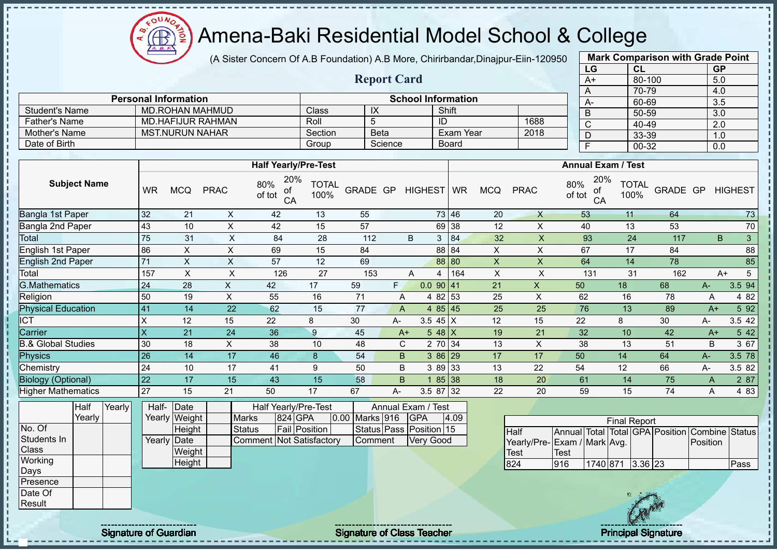$\Omega$ Amena-Baki Residential Model School & College

(A Sister Concern Of A.B Foundation) A.B More, Chirirbandar,Dinajpur-Eiin-120950

**Report Card**

| <b>Mark Comparison with Grade Point</b> |           |                  |  |  |  |  |  |  |  |  |
|-----------------------------------------|-----------|------------------|--|--|--|--|--|--|--|--|
| LG                                      | <b>CL</b> | <b>GP</b>        |  |  |  |  |  |  |  |  |
| $A+$                                    | 80-100    | 5.0              |  |  |  |  |  |  |  |  |
| A                                       | 70-79     | 4.0              |  |  |  |  |  |  |  |  |
| A-                                      | 60-69     | 3.5              |  |  |  |  |  |  |  |  |
| B                                       | $50 - 59$ | $\overline{3.0}$ |  |  |  |  |  |  |  |  |
| C                                       | 40-49     | 2.0              |  |  |  |  |  |  |  |  |
| D                                       | 33-39     | 1.0              |  |  |  |  |  |  |  |  |
| F                                       | $00 - 32$ | 0.0              |  |  |  |  |  |  |  |  |
|                                         |           |                  |  |  |  |  |  |  |  |  |

|                      | <b>Personal Information</b> |         | <b>School Information</b> |              |      |  |  |  |  |  |  |
|----------------------|-----------------------------|---------|---------------------------|--------------|------|--|--|--|--|--|--|
| Student's Name       | MD ROHAN MAHMUD             | Class⊺  | ᠕                         | Shift        |      |  |  |  |  |  |  |
| <b>Father's Name</b> | MD.HAFIJUR RAHMAN           | Roll    |                           | ID           | 1688 |  |  |  |  |  |  |
| Mother's Name        | <b>MST.NURUN NAHAR</b>      | Section | Beta                      | Exam Year    | 2018 |  |  |  |  |  |  |
| Date of Birth        |                             | Group   | Science                   | <b>Board</b> |      |  |  |  |  |  |  |

|                               |              |            |             | <b>Half Yearly/Pre-Test</b>      |                      |          |      |                   | <b>Annual Exam / Test</b> |            |             |                                  |                      |          |       |                   |
|-------------------------------|--------------|------------|-------------|----------------------------------|----------------------|----------|------|-------------------|---------------------------|------------|-------------|----------------------------------|----------------------|----------|-------|-------------------|
| <b>Subject Name</b>           | <b>WR</b>    | <b>MCQ</b> | <b>PRAC</b> | 20%<br>80%<br>оf<br>of tot<br>CA | <b>TOTAL</b><br>100% | GRADE GP |      | HIGHEST WR        |                           | <b>MCQ</b> | <b>PRAC</b> | 20%<br>80%<br>оf<br>of tot<br>CA | <b>TOTAL</b><br>100% | GRADE GP |       | <b>HIGHEST</b>    |
| Bangla 1st Paper              | 32           | 21         | X.          | 42                               | 13                   | 55       |      |                   | 73 46                     | 20         | $\times$    | 53                               | 11                   | 64       |       | 73                |
| Bangla 2nd Paper              | 43           | 10         | X.          | 42                               | 15                   | 57       |      |                   | 69 38                     | 12         | X.          | 40                               | 13                   | 53       |       | 70                |
| Total                         | 75           | 31         | X           | 84                               | 28                   | 112      |      | 3<br>B            | 84                        | 32         | X           | 93                               | 24                   | 117      |       | $\mathbf{3}$<br>B |
| English 1st Paper             | 86           | X.         | X           | 69                               | 15                   | 84       |      |                   | 88 84                     | X.         | X           | 67                               | 17                   | 84       |       | 88                |
| <b>English 2nd Paper</b>      | 71           | X          | X           | 57                               | 12                   | 69       |      |                   | 88 80                     | X          | X.          | 64                               | 14                   | 78       |       | 85                |
| Total                         | 157          | X          | X           | 126                              | 27                   | 153      |      | A<br>4            | 164                       | X          | X           | 131                              | 31                   | 162      |       | 5<br>$A+$         |
| <b>G.Mathematics</b>          | 24           | 28         | X.          | 42                               | 17                   | 59       | F.   | $0.0$ 90 41       |                           | 21         | X           | 50                               | 18                   | 68       | $A-$  | 3.5 94            |
| Religion                      | 50           | 19         | X           | 55                               | 16                   | 71       | A    | 4 82 53           |                           | 25         | X           | 62                               | 16                   | 78       | Α     | 4 8 2             |
| <b>Physical Education</b>     | 41           | 14         | 22          | 62                               | 15                   | 77       | A    | 4 $85 \,   \, 45$ |                           | 25         | 25          | 76                               | 13                   | 89       | $A+$  | 5 9 2             |
| ICT                           | X            | 12         | 15          | 22                               | 8                    | 30       | A-   | 3.5 45 $X$        |                           | 12         | 15          | 22                               | 8                    | 30       | A-    | 3.5 42            |
| Carrier                       | $\mathsf{x}$ | 21         | 24          | 36                               | 9                    | 45       | $A+$ | 5 48 $X$          |                           | 19         | 21          | 32                               | 10                   | 42       | $A+$  | 5 4 2             |
| <b>B.&amp; Global Studies</b> | 30           | 18         | X           | 38                               | 10                   | 48       | C    | 2 70 34           |                           | 13         | X           | 38                               | 13                   | 51       | B     | 3 67              |
| <b>Physics</b>                | 26           | 14         | 17          | 46                               | 8                    | 54       | B.   | $386$ 29          |                           | 17         | 17          | 50                               | 14                   | 64       | $A -$ | 3.5 78            |
| Chemistry                     | 24           | 10         | 17          | 41                               | 9                    | 50       | B    | 3 89 33           |                           | 13         | 22          | 54                               | 12                   | 66       | A-    | 3.5 82            |
| <b>Biology (Optional)</b>     | 22           | 17         | 15          | 43                               | 15                   | 58       | B    |                   | 85 38                     | 18         | 20          | 61                               | 14                   | 75       | A     | 2 87              |
| <b>Higher Mathematics</b>     | 27           | 15         | 21          | 50                               | 17                   | 67       | А-   | 3.5 87 32         |                           | 22         | 20          | 59                               | 15                   | 74       | Α     | 4 8 3             |

|              | Half   | Yearly | Half- Date  |               |                          | Half Yearly/Pre-Test<br>Annual Exam / Test |                      |  |                |  |                         |      |
|--------------|--------|--------|-------------|---------------|--------------------------|--------------------------------------------|----------------------|--|----------------|--|-------------------------|------|
|              | Yearly |        |             | Yearly Weight | <b>Marks</b>             |                                            | 824 GPA              |  | 0.00 Marks 916 |  | <b>IGPA</b>             | 4.09 |
| No. Of       |        |        |             | Height        | <b>Status</b>            |                                            | <b>Fail Position</b> |  |                |  | Status Pass Position 15 |      |
| Students In  |        |        | Yearly Date |               | Comment Not Satisfactory |                                            |                      |  | Comment        |  | <b>Very Good</b>        |      |
| <b>Class</b> |        |        |             | Weight        |                          |                                            |                      |  |                |  |                         |      |
| Working      |        |        |             | Height        |                          |                                            |                      |  |                |  |                         |      |
| Days         |        |        |             |               |                          |                                            |                      |  |                |  |                         |      |
| Presence     |        |        |             |               |                          |                                            |                      |  |                |  |                         |      |
| Date Of      |        |        |             |               |                          |                                            |                      |  |                |  |                         |      |
| Result       |        |        |             |               |                          |                                            |                      |  |                |  |                         |      |

| <b>Final Report</b>         |             |                  |  |  |  |                                                |      |  |  |  |  |
|-----------------------------|-------------|------------------|--|--|--|------------------------------------------------|------|--|--|--|--|
| <b>Half</b>                 |             |                  |  |  |  | Annual Total Total GPA Position Combine Status |      |  |  |  |  |
| Yearly/Pre-Exam / Mark Avg. |             |                  |  |  |  | Position                                       |      |  |  |  |  |
| <b>I</b> Test               | <b>Test</b> |                  |  |  |  |                                                |      |  |  |  |  |
| 824                         | 916         | 1740 871 3.36 23 |  |  |  |                                                | Pass |  |  |  |  |



Signature of Guardian Signature of Class Teacher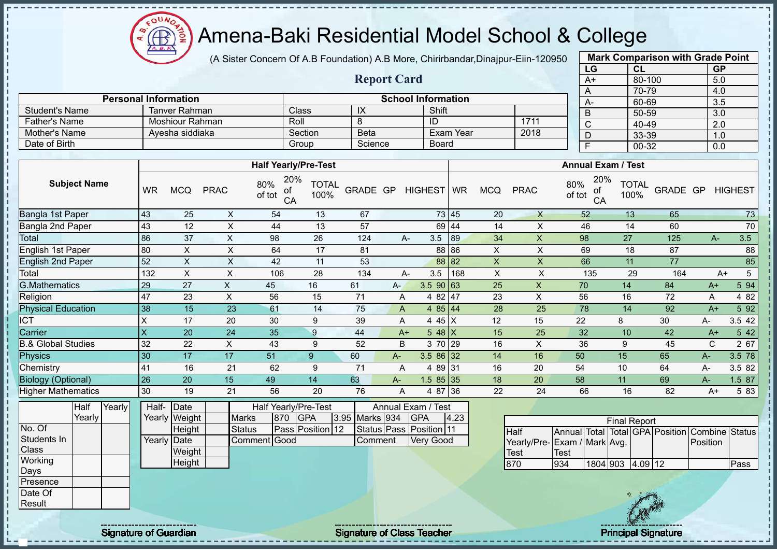Amena-Baki Residential Model School & College

(A Sister Concern Of A.B Foundation) A.B More, Chirirbandar,Dinajpur-Eiin-120950

**Report Card**

| <b>Mark Comparison with Grade Point</b> |        |           |  |  |  |  |  |  |
|-----------------------------------------|--------|-----------|--|--|--|--|--|--|
| LG                                      | CL     | <b>GP</b> |  |  |  |  |  |  |
| $A+$                                    | 80-100 | 5.0       |  |  |  |  |  |  |
| A                                       | 70-79  | 4.0       |  |  |  |  |  |  |
| А-                                      | 60-69  | 3.5       |  |  |  |  |  |  |
| B                                       | 50-59  | 3.0       |  |  |  |  |  |  |
| С                                       | 40-49  | 2.0       |  |  |  |  |  |  |
| D                                       | 33-39  | 1.0       |  |  |  |  |  |  |
| F                                       | 00-32  | 0.0       |  |  |  |  |  |  |

|                       | <b>Personal Information</b> |         |         | <b>School Information</b> |      |  | $A-$ | 60             |  |  |  |  |  |
|-----------------------|-----------------------------|---------|---------|---------------------------|------|--|------|----------------|--|--|--|--|--|
| <b>Student's Name</b> | Tanver Rahman               | Classi  | ᠕       | Shift                     |      |  |      | 50             |  |  |  |  |  |
| Father's Name         | Moshiour Rahman             | Roll    |         | ID                        | 1711 |  |      | -40            |  |  |  |  |  |
| Mother's Name         | Ayesha siddiaka             | Section | Beta    | Exam Year                 | 2018 |  |      | ാറ             |  |  |  |  |  |
| Date of Birth         |                             | Group   | Science | Board                     |      |  |      | 0 <sup>C</sup> |  |  |  |  |  |

|                               |           |            |             | <b>Half Yearly/Pre-Test</b>      |                      |          |       |                   |       |            |             | <b>Annual Exam / Test</b>        |                      |          |       |                |
|-------------------------------|-----------|------------|-------------|----------------------------------|----------------------|----------|-------|-------------------|-------|------------|-------------|----------------------------------|----------------------|----------|-------|----------------|
| <b>Subject Name</b>           | <b>WR</b> | <b>MCQ</b> | <b>PRAC</b> | 20%<br>80%<br>οf<br>of tot<br>CA | <b>TOTAL</b><br>100% | GRADE GP |       | HIGHEST WR        |       | <b>MCQ</b> | <b>PRAC</b> | 20%<br>80%<br>оf<br>of tot<br>CA | <b>TOTAL</b><br>100% | GRADE GP |       | <b>HIGHEST</b> |
| Bangla 1st Paper              | 43        | 25         | X           | 54                               | 13                   | 67       |       |                   | 73 45 | 20         | $\times$    | 52                               | 13                   | 65       |       | 73             |
| Bangla 2nd Paper              | 43        | 12         | X           | 44                               | 13                   | 57       |       |                   | 69 44 | 14         | X.          | 46                               | 14                   | 60       |       | $70\,$         |
| Total                         | 86        | 37         | Χ           | 98                               | 26                   | 124      |       | 3.5<br>А-         | 89    | 34         | X           | 98                               | 27                   | 125      | $A -$ | 3.5            |
| English 1st Paper             | 80        | X          | X           | 64                               | 17                   | 81       |       |                   | 88 86 | X          | X           | 69                               | 18                   | 87       |       | 88             |
| <b>English 2nd Paper</b>      | 52        | X          | X           | 42                               | 11                   | 53       |       |                   | 88 82 | X          | X           | 66                               | 11                   | 77       |       | 85             |
| Total                         | 132       | X          | X           | 106                              | 28                   | 134      |       | 3.5<br>А-         | 168   | X          | X.          | 135                              | 29                   | 164      |       | 5<br>$A+$      |
| <b>G.Mathematics</b>          | 29        | 27         | X           | 45                               | 16                   | 61       | $A -$ | $3.5$ 90 63       |       | 25         | X           | 70                               | 14                   | 84       | $A+$  | 5 94           |
| Religion                      | 47        | 23         | X           | 56                               | 15                   | 71       | A     | 4 82 47           |       | 23         | X           | 56                               | 16                   | 72       | A     | 4 8 2          |
| <b>Physical Education</b>     | 38        | 15         | 23          | 61                               | 14                   | 75       | A     | 4 $85 \,   \, 44$ |       | 28         | 25          | 78                               | 14                   | 92       | $A+$  | 5 92           |
| ICT                           | X         | 17         | 20          | 30                               | 9                    | 39       | A     | 4 45 X            |       | 12         | 15          | 22                               | 8                    | 30       | A-    | 3.5 42         |
| Carrier                       | ΙX        | 20         | 24          | 35                               | 9                    | 44       | $A+$  | $548$ X           |       | 15         | 25          | 32                               | 10                   | 42       | $A+$  | 5 42           |
| <b>B.&amp; Global Studies</b> | 32        | 22         | X.          | 43                               | 9                    | 52       | B     | 3 70 29           |       | 16         | X           | 36                               | 9                    | 45       | C.    | 2 67           |
| Physics                       | 30        | 17         | 17          | 51                               | 9                    | 60       | $A-$  | $3.586$ 32        |       | 14         | 16          | 50                               | 15                   | 65       | A-    | 3.5 78         |
| Chemistry                     | 41        | 16         | 21          | 62                               | 9                    | 71       | A     | 4 89 31           |       | 16         | 20          | 54                               | 10                   | 64       | A-    | 3.5 82         |
| <b>Biology (Optional)</b>     | 26        | 20         | 15          | 49                               | 14                   | 63       | A-    | $1.585$ 35        |       | 18         | 20          | 58                               | 11                   | 69       | A-    | 1.5 87         |
| <b>Higher Mathematics</b>     | 30        | 19         | 21          | 56                               | 20                   | 76       | A     | 4 87 36           |       | 22         | 24          | 66                               | 16                   | 82       | $A+$  | 5 83           |

|              | Half   | Yearly | Half- | Date          |               |     | Half Yearly/Pre-Test    |                | Annual Exam / Test      |      |                           |                  |         |      |
|--------------|--------|--------|-------|---------------|---------------|-----|-------------------------|----------------|-------------------------|------|---------------------------|------------------|---------|------|
|              | Yearly |        |       | Yearly Weight | Marks         | 870 | IGPA                    | 3.95 Marks 934 | <b>IGPA</b>             | 4.23 |                           |                  |         | Fina |
| No. Of       |        |        |       | Height        | <b>Status</b> |     | <b>Pass Position 12</b> |                | Status Pass Position 11 |      | Half                      | Annual Total Tot |         |      |
| Students In  |        |        |       | Yearly Date   | Comment Good  |     |                         | Comment        | Very Good               |      | Yearly/Pre-Exam / Mark Av |                  |         |      |
| <b>Class</b> |        |        |       | Weight        |               |     |                         |                |                         |      | Test                      | Test             |         |      |
| Working      |        |        |       | Height        |               |     |                         |                |                         |      | 870                       | 934              | 1804 90 |      |
| Days         |        |        |       |               |               |     |                         |                |                         |      |                           |                  |         |      |
| Presence     |        |        |       |               |               |     |                         |                |                         |      |                           |                  |         |      |
| Date Of      |        |        |       |               |               |     |                         |                |                         |      |                           |                  |         |      |
| Result       |        |        |       |               |               |     |                         |                |                         |      |                           |                  |         |      |

|                              | <b>Final Report</b> |          |  |         |  |                                                |      |  |  |  |  |  |  |  |  |
|------------------------------|---------------------|----------|--|---------|--|------------------------------------------------|------|--|--|--|--|--|--|--|--|
| Half                         |                     |          |  |         |  | Annual Total Total GPA Position Combine Status |      |  |  |  |  |  |  |  |  |
| Yearly/Pre- Exam / Mark Avg. |                     |          |  |         |  | <b>IPosition</b>                               |      |  |  |  |  |  |  |  |  |
| Test                         | Test                |          |  |         |  |                                                |      |  |  |  |  |  |  |  |  |
| 870                          | 934                 | 1804 903 |  | 4.09 12 |  |                                                | Pass |  |  |  |  |  |  |  |  |



**AR**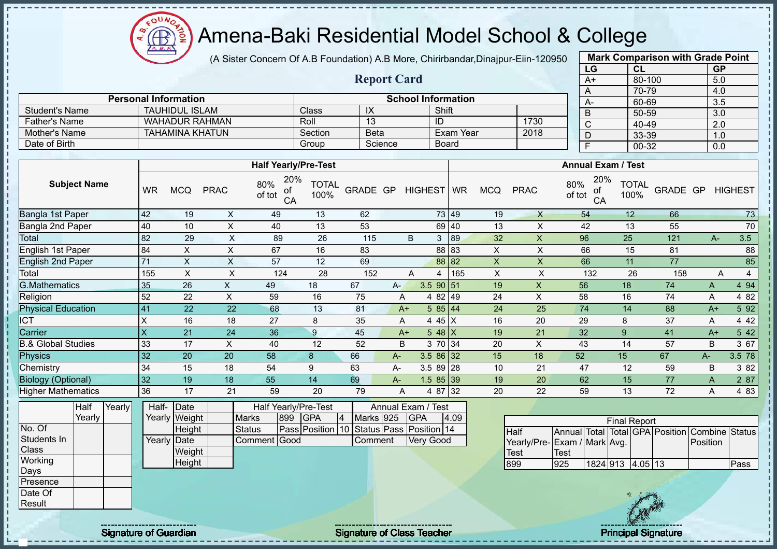$\Omega$ **AR** 

# Amena-Baki Residential Model School & College

(A Sister Concern Of A.B Foundation) A.B More, Chirirbandar,Dinajpur-Eiin-120950

**Report Card**

|      | <b>Mark Comparison with Grade Point</b> |           |
|------|-----------------------------------------|-----------|
| LG   | CL                                      | <b>GP</b> |
| $A+$ | 80-100                                  | 5.0       |
| А    | 70-79                                   | 4.0       |
| A-   | 60-69                                   | 3.5       |
| B    | 50-59                                   | 3.0       |
| C    | 40-49                                   | 2.0       |
| D    | 33-39                                   | 1.0       |
| F    | 00-32                                   | 0.0       |
|      |                                         |           |

|                      | <b>Personal Information</b> |         |             | <b>School Information</b> |      | $A-$ |
|----------------------|-----------------------------|---------|-------------|---------------------------|------|------|
| Student's Name       | TAUHIDUL ISLAM              | Class   |             | Shift                     |      | D    |
| <b>Father's Name</b> | <b>WAHADUR RAHMAN</b>       | Roll    | ں ا         | ID                        | 1730 |      |
| Mother's Name        | TAHAMINA KHATUN             | Section | <b>Beta</b> | Exam Year                 | 2018 | ◡    |
| Date of Birth        |                             | Group   | Science     | <b>Board</b>              |      |      |

|                               |           |            |             | <b>Half Yearly/Pre-Test</b>      |                      |          |       |                  |       |            |             | <b>Annual Exam / Test</b>        |                      |          |      |                |
|-------------------------------|-----------|------------|-------------|----------------------------------|----------------------|----------|-------|------------------|-------|------------|-------------|----------------------------------|----------------------|----------|------|----------------|
| <b>Subject Name</b>           | <b>WR</b> | <b>MCQ</b> | <b>PRAC</b> | 20%<br>80%<br>οf<br>of tot<br>CA | <b>TOTAL</b><br>100% | GRADE GP |       | HIGHEST WR       |       | <b>MCQ</b> | <b>PRAC</b> | 20%<br>80%<br>оf<br>of tot<br>CA | <b>TOTAL</b><br>100% | GRADE GP |      | <b>HIGHEST</b> |
| Bangla 1st Paper              | 42        | 19         | X           | 49                               | 13                   | 62       |       |                  | 73 49 | 19         | X           | 54                               | 12                   | 66       |      | 73             |
| Bangla 2nd Paper              | 40        | 10         | X           | 40                               | 13                   | 53       |       |                  | 69 40 | 13         | X           | 42                               | 13                   | 55       |      | 70             |
| Total                         | 82        | 29         | X           | 89                               | 26                   | 115      |       | 3<br>B           | 89    | 32         | X           | 96                               | 25                   | 121      | $A-$ | 3.5            |
| English 1st Paper             | 84        | X          | X           | 67                               | 16                   | 83       |       |                  | 88 83 | X          | X           | 66                               | 15                   | 81       |      | 88             |
| <b>English 2nd Paper</b>      | 71        | X          | X           | 57                               | 12                   | 69       |       |                  | 88 82 | X          | X           | 66                               | 11                   | 77       |      | 85             |
| Total                         | 155       | X          | X           | 124                              | 28                   | 152      |       | 4<br>A           | 165   | X          | X           | 132                              | 26                   | 158      |      | 4<br>A         |
| <b>G.Mathematics</b>          | 35        | 26         | X.          | 49                               | 18                   | 67       | A-    | $3.5$ 90 51      |       | 19         | X           | 56                               | 18                   | 74       | A    | 4 94           |
| Religion                      | 52        | 22         | X           | 59                               | 16                   | 75       | A     | 4 82 49          |       | 24         | X           | 58                               | 16                   | 74       | A    | 4 8 2          |
| <b>Physical Education</b>     | 41        | 22         | 22          | 68                               | 13                   | 81       | $A+$  | 585   44         |       | 24         | 25          | 74                               | 14                   | 88       | $A+$ | 5 9 2          |
| <b>ICT</b>                    | X         | 16         | 18          | 27                               | 8                    | 35       | A     | 4 45 X           |       | 16         | 20          | 29                               | 8                    | 37       | A    | 4 4 2          |
| Carrier                       | X         | 21         | 24          | 36                               | 9                    | 45       |       | 5 48 $X$<br>$A+$ |       | 19         | 21          | 32                               | 9                    | 41       | $A+$ | 5 4 2          |
| <b>B.&amp; Global Studies</b> | 33        | 17         | X           | 40                               | 12                   | 52       | B     | 3 70 34          |       | 20         | X           | 43                               | 14                   | 57       | B    | 3 67           |
| Physics                       | 32        | 20         | 20          | 58                               | 8                    | 66       | $A -$ | 3.5 86 32        |       | 15         | 18          | 52                               | 15                   | 67       | $A-$ | 3.5 78         |
| Chemistry                     | 34        | 15         | 18          | 54                               | 9                    | 63       | A-    | 3.5 89 28        |       | 10         | 21          | 47                               | 12                   | 59       | B    | 3 82           |
| <b>Biology (Optional)</b>     | 32        | 19         | 18          | 55                               | 14                   | 69       | $A -$ | $1.585$ 39       |       | 19         | 20          | 62                               | 15                   | 77       | A    | 2 87           |
| <b>Higher Mathematics</b>     | 36        | 17         | 21          | 59                               | 20                   | 79       | A     | 4 87 32          |       | 20         | 22          | 59                               | 13                   | 72       | A    | 4 8 3          |

|                | Half   | Yearly | Half- Date  |               |               |     | Half Yearly/Pre-Test                     |           | Annual Exam / Test |       |
|----------------|--------|--------|-------------|---------------|---------------|-----|------------------------------------------|-----------|--------------------|-------|
|                | Yearlv |        |             | Yearly Weight | <b>Marks</b>  | 899 | <b>IGPA</b>                              | Marks 925 | <b>IGPA</b>        | 14.09 |
| No. Of         |        |        |             | Height        | <b>Status</b> |     | Pass Position 10 Status Pass Position 14 |           |                    |       |
| Students In    |        |        | Yearly Date |               | Comment Good  |     |                                          | Comment   | <b>Very Good</b>   |       |
| <b>Class</b>   |        |        |             | Weight        |               |     |                                          |           |                    |       |
| <b>Working</b> |        |        |             | Height        |               |     |                                          |           |                    |       |
| Days           |        |        |             |               |               |     |                                          |           |                    |       |
| Presence       |        |        |             |               |               |     |                                          |           |                    |       |
| Date Of        |        |        |             |               |               |     |                                          |           |                    |       |
| Result         |        |        |             |               |               |     |                                          |           |                    |       |

|                             |      |                  | <b>Final Report</b> |  |                                                |      |
|-----------------------------|------|------------------|---------------------|--|------------------------------------------------|------|
| <b>IHalf</b>                |      |                  |                     |  | Annual Total Total GPA Position Combine Status |      |
| Yearly/Pre-Exam / Mark Avg. |      |                  |                     |  | <b>IPosition</b>                               |      |
| <b>I</b> Test               | Test |                  |                     |  |                                                |      |
| 899                         | 925  | 1824 913 4.05 13 |                     |  |                                                | Pass |

л

Signature of Guardian Signature of Class Teacher Principal Signature of Class Teacher Principal Signature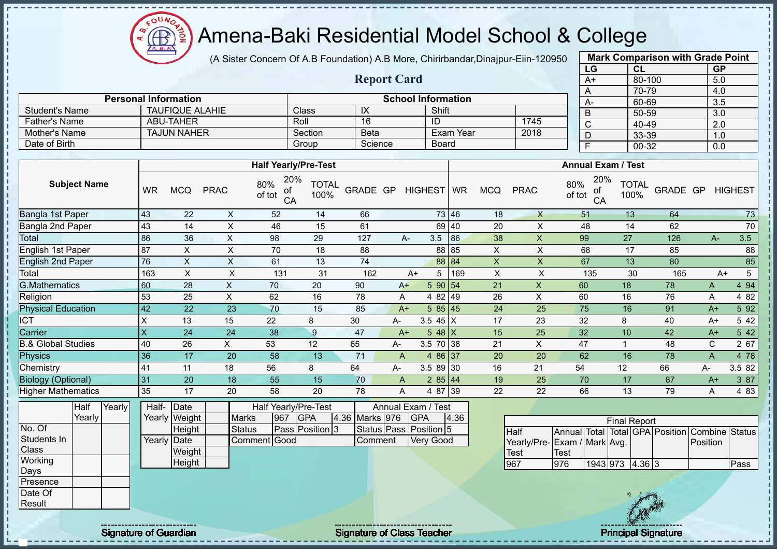$QUN$ Æ

# Amena-Baki Residential Model School & College

(A Sister Concern Of A.B Foundation) A.B More, Chirirbandar,Dinajpur-Eiin-120950

**Report Card**

|      | <b>Mark Comparison with Grade Point</b> |           |
|------|-----------------------------------------|-----------|
| LG   | <b>CL</b>                               | <b>GP</b> |
| $A+$ | 80-100                                  | 5.0       |
| A    | 70-79                                   | 4.0       |
| А-   | 60-69                                   | 3.5       |
| B    | 50-59                                   | 3.0       |
| C    | 40-49                                   | 2.0       |
| D    | 33-39                                   | 1.0       |
| F    | 00-32                                   | 0.0       |
|      |                                         |           |

| <b>Student's Name</b> |           | <b>TAUFIQUE ALAHIE</b> |             |                                  | <b>Class</b>                | IX          |    | Shift      |                  |            |             | B                         | 50-59                       |          | 3.0            |     |
|-----------------------|-----------|------------------------|-------------|----------------------------------|-----------------------------|-------------|----|------------|------------------|------------|-------------|---------------------------|-----------------------------|----------|----------------|-----|
| <b>Father's Name</b>  |           | <b>ABU-TAHER</b>       |             |                                  | Roll                        | 16          |    | ID         |                  |            | 1745        | ⌒<br>U                    | 40-49                       |          | 2.0            |     |
| Mother's Name         |           | <b>TAJUN NAHER</b>     |             |                                  | Section                     | <b>Beta</b> |    |            | <b>Exam Year</b> |            | 2018        | D                         | 33-39                       |          | 1.0            |     |
| Date of Birth         |           |                        |             |                                  | Group                       | Science     |    | Board      |                  |            |             |                           | 00-32                       |          | 0.0            |     |
|                       |           |                        |             |                                  |                             |             |    |            |                  |            |             |                           |                             |          |                |     |
|                       |           |                        |             |                                  | <b>Half Yearly/Pre-Test</b> |             |    |            |                  |            |             |                           | <b>Annual Exam / Test</b>   |          |                |     |
| <b>Subject Name</b>   | <b>WR</b> | <b>MCQ</b>             | <b>PRAC</b> | 20%<br>80%<br>0f<br>of tot<br>CA | <b>TOTAL</b><br>100%        | GRADE GP    |    | HIGHEST WR |                  | <b>MCQ</b> | <b>PRAC</b> | 80%<br>of<br>of tot<br>CA | 20%<br><b>TOTAL</b><br>100% | GRADE GP | <b>HIGHEST</b> |     |
| Bangla 1st Paper      | <b>43</b> | 22                     |             | 52                               | 14                          | 66          |    |            | 73 46            | 18         |             | 51                        | 13                          | 64       |                | 73  |
| Bangla 2nd Paper      | <b>43</b> | 14                     | ᄉ           | 46                               | 15                          | 61          |    |            | 69 40            | 20         |             | 48                        | 14                          | 62       |                | 70  |
| Total                 | 86        | 36                     |             | 98                               | 29                          | 127         | A- | 3.5        | 86               | 38         |             | 99                        | 27                          | 126      | $A-$           | 3.5 |
| English 1st Paper     | 87        | X                      |             | 70                               | 18                          | 88          |    |            | 88 85            | X          |             | 68                        | 17                          | 85       |                | 88  |
| English 2nd Paper     | 76        | X                      | X           | 61                               | 13                          | 74          |    |            | 88 84            | $\times$   |             | 67                        | 13                          | 80       |                | 85  |
| Total                 | 163       |                        |             | 131                              | 31                          | 162         | A+ | 5          | 169              |            |             | 135                       | 30                          | 165      | $A+$           | 5   |

**Personal Information School Information** 

| Total                          | 163                  |    |    | 13 <sup>′</sup> | 31              | 162 | A+             |               | 169 | ⌒  |    | 135 | 30              | 165 | $A+$   |        |
|--------------------------------|----------------------|----|----|-----------------|-----------------|-----|----------------|---------------|-----|----|----|-----|-----------------|-----|--------|--------|
| G.Mathematics                  | 60                   | 28 |    | 70              | 20              | 90  | $A+$           | 5 90 54       |     | 21 |    | 60  | 18 <sup>°</sup> | 78  | A      | 4 9 4  |
| Religion                       | 53                   | 25 |    | 62              | 16              | 78  | A              | 82149<br>4    |     | 26 |    | 60  | 16              | 76  | A      | 4 8 2  |
| <sup>2</sup> hysical Education | $\overline{47}$      | 22 | 23 | 70              | 15              | 85  | $A+$           | 585145        |     | 24 | 25 | 75  | 16              | 91  | A+     | 5 9 2  |
| СT                             |                      | 13 | 15 | 22              |                 | 30  | A-             | 3.5<br>45 I X |     | 17 | 23 | 32  | 8               | 40  | A+     | 5 42   |
| Carrier                        |                      | 24 | 24 | 38              |                 | 47  | A+             | Б.<br>48 IX   |     | 15 | 25 | 32  | 10              | 42  | $A+$   | 5 42   |
| 8.& Global Studies             | 40                   | 26 |    | 53              | 12              | 65  | A-             | 3.5 70 38     |     | 21 |    | 47  |                 | 48  | ⌒<br>◡ | 2 67   |
| <sup>2</sup> hvsics            | 36                   | 17 | 20 | 58              | 13 <sup>°</sup> | 71  | A              | 86 37<br>4    |     | 20 | 20 | 62  | 16              | 78  |        | 4 78   |
| Chemistry                      | $\mathbf{4}^{\cdot}$ |    | 18 | 56              |                 | 64  | A-             | $3.589$ 30    |     | 16 | 21 | 54  | 12              | 66  | А-     | 3.5 82 |
| <b>Biology (Optional)</b>      | -31                  | 20 | 18 | 55              | 15 <sub>1</sub> | 70  | $\overline{A}$ | 2 85 44       |     | 19 | 25 | 70  | 17              | 87  | $A+$   | 3 87   |
| <b>Higher Mathematics</b>      | 35                   | 17 | 20 | 58              | 20              | 78  | A              | 4 87 39       |     | 22 | 22 | 66  | 13              | 79  |        | 4 8 3  |

|              | Half   | Yearly | Half- | Date          |               |     | Half Yearly/Pre-Test |                | Annual Exam / Test     |      |                              |      |                   |                     |     |                                                |      |
|--------------|--------|--------|-------|---------------|---------------|-----|----------------------|----------------|------------------------|------|------------------------------|------|-------------------|---------------------|-----|------------------------------------------------|------|
|              | Yearly |        |       | Yearly Weight | Marks         | 967 | <b>GPA</b>           | 4.36 Marks 976 | <b>GPA</b>             | 4.36 |                              |      |                   | <b>Final Report</b> |     |                                                |      |
| No. Of       |        |        |       | Height        | <b>Status</b> |     | Pass Position 3      |                | Status Pass Position 5 |      | <b>I</b> Half                |      |                   |                     |     | Annual Total Total GPA Position Combine Status |      |
| Students In  |        |        |       | Yearly Date   | Comment Good  |     |                      | Comment        | <b>Very Good</b>       |      | Yearly/Pre- Exam / Mark Avg. |      |                   |                     |     | Position                                       |      |
| <b>Class</b> |        |        |       | Weight        |               |     |                      |                |                        |      | Test                         | Test |                   |                     |     |                                                |      |
| Working      |        |        |       | Height        |               |     |                      |                |                        |      | 967                          | 976  | $1943$ 973 4.36 3 |                     |     |                                                | Pass |
| Days         |        |        |       |               |               |     |                      |                |                        |      |                              |      |                   |                     |     |                                                |      |
| Presence     |        |        |       |               |               |     |                      |                |                        |      |                              |      |                   |                     |     |                                                |      |
| Date Of      |        |        |       |               |               |     |                      |                |                        |      |                              |      |                   |                     |     |                                                |      |
| Result       |        |        |       |               |               |     |                      |                |                        |      |                              |      |                   |                     | CAN |                                                |      |

Signature of Guardian Signature of Class Teacher Principal Signature of Class Teacher Principal Signature of Class Teacher Principal Signature of Class Teacher Principal Signature of Class Teacher Principal Signature of Cl

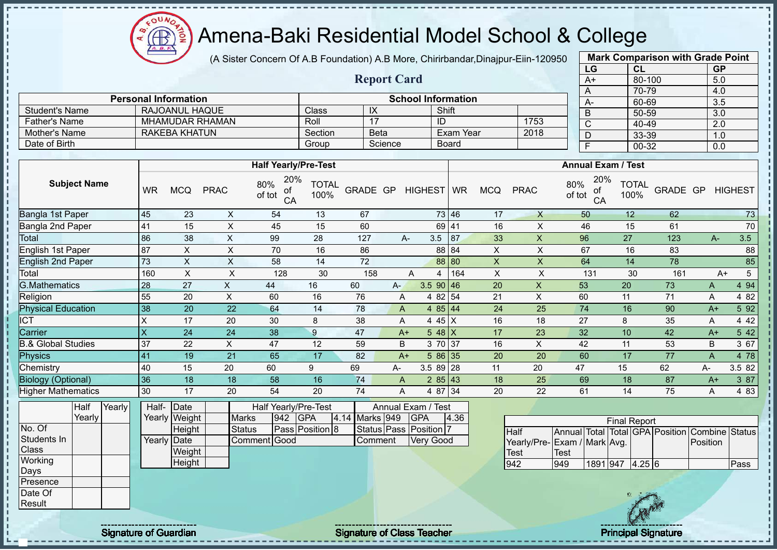oυ Amena-Baki Residential Model School & College **AR** 

(A Sister Concern Of A.B Foundation) A.B More, Chirirbandar,Dinajpur-Eiin-120950

**Report Card**

| <b>Mark Comparison with Grade Point</b> |           |           |  |  |  |  |  |  |  |
|-----------------------------------------|-----------|-----------|--|--|--|--|--|--|--|
| LG                                      | <b>CL</b> | <b>GP</b> |  |  |  |  |  |  |  |
| $A+$                                    | 80-100    | 5.0       |  |  |  |  |  |  |  |
| A                                       | 70-79     | 4.0       |  |  |  |  |  |  |  |
| A-                                      | 60-69     | 3.5       |  |  |  |  |  |  |  |
| B                                       | 50-59     | 3.0       |  |  |  |  |  |  |  |
|                                         | 40-49     | 2.0       |  |  |  |  |  |  |  |
| D                                       | 33-39     | 1.0       |  |  |  |  |  |  |  |
| 00-32<br>F<br>0.0                       |           |           |  |  |  |  |  |  |  |
| $\overline{\text{c}}$                   |           |           |  |  |  |  |  |  |  |

|                      | <b>Personal Information</b> |         |             | <b>School Information</b> |      | $A-$ |
|----------------------|-----------------------------|---------|-------------|---------------------------|------|------|
| Student's Name       | RAJOANUL HAQUE              | Class   | ᠕           | Shift                     |      |      |
| <b>Father's Name</b> | <b>MHAMUDAR RHAMAN</b>      | Roll    |             | ID                        | 1753 |      |
| Mother's Name        | RAKEBA KHATUN               | Section | <b>Beta</b> | Exam Year                 | 2018 |      |
| Date of Birth        |                             | Group   | Science     | Board                     |      |      |

|                               |           |            |             | <b>Half Yearly/Pre-Test</b>      |                      |          |     |                          | <b>Annual Exam / Test</b> |            |             |                                  |                      |          |      |                |
|-------------------------------|-----------|------------|-------------|----------------------------------|----------------------|----------|-----|--------------------------|---------------------------|------------|-------------|----------------------------------|----------------------|----------|------|----------------|
| <b>Subject Name</b>           | <b>WR</b> | <b>MCQ</b> | <b>PRAC</b> | 20%<br>80%<br>οf<br>of tot<br>CA | <b>TOTAL</b><br>100% | GRADE GP |     | HIGHEST WR               |                           | <b>MCQ</b> | <b>PRAC</b> | 20%<br>80%<br>οf<br>of tot<br>CA | <b>TOTAL</b><br>100% | GRADE GP |      | <b>HIGHEST</b> |
| Bangla 1st Paper              | 45        | 23         | X           | 54                               | 13                   | 67       |     |                          | 73 46                     | 17         | X           | 50                               | 12                   | 62       |      | 73             |
| Bangla 2nd Paper              | 41        | 15         | X           | 45                               | 15                   | 60       |     |                          | 69 41                     | 16         | X           | 46                               | 15                   | 61       |      | $70\,$         |
| Total                         | 86        | 38         | X           | 99                               | 28                   | 127      |     | 3.5<br>A-                | 87                        | 33         | X           | 96                               | 27                   | 123      | A-   | 3.5            |
| English 1st Paper             | 87        | X          | X           | 70                               | 16                   | 86       |     |                          | 88 84                     | Χ          | X           | 67                               | 16                   | 83       |      | 88             |
| <b>English 2nd Paper</b>      | <b>73</b> | X          | X           | 58                               | 14                   | 72       |     |                          | 88 80                     | X          | X           | 64                               | 14                   | 78       |      | 85             |
| Total                         | 160       | X          | X           | 128                              | 30                   | 158      |     | 4<br>A                   | 164                       | X          | X           | 131                              | 30                   | 161      |      | 5<br>$A+$      |
| <b>G.Mathematics</b>          | 28        | 27         | X           | 44                               | 16                   | 60       | A-. | $3.590$ 46               |                           | 20         | X           | 53                               | 20                   | 73       | A    | 4 9 4          |
| Religion                      | 55        | 20         | X           | 60                               | 16                   | 76       |     | 4 82 54<br>A             |                           | 21         | X           | 60                               | 11                   | 71       | A    | 4 82           |
| <b>Physical Education</b>     | 38        | 20         | 22          | 64                               | 14                   | 78       |     | 4 $85 \mid 44$<br>A      |                           | 24         | 25          | 74                               | 16                   | 90       | $A+$ | 5 9 2          |
| <b>ICT</b>                    | $\times$  | 17         | 20          | 30                               | 8                    | 38       |     | 4 45 $X$<br>A            |                           | 16         | 18          | 27                               | 8                    | 35       | A    | 4 4 2          |
| Carrier                       | X         | 24         | 24          | 38                               | 9                    | 47       |     | 5 48 $X$<br>$A+$         |                           | 17         | 23          | 32                               | 10                   | 42       | $A+$ | 5 42           |
| <b>B.&amp; Global Studies</b> | 37        | 22         | X           | 47                               | 12                   | 59       |     | 3 70 37<br>B             |                           | 16         | X           | 42                               | 11                   | 53       | B    | 3 67           |
| Physics                       | 41        | 19         | 21          | 65                               | 17                   | 82       |     | 586 35<br>$A+$           |                           | 20         | 20          | 60                               | 17                   | 77       | A    | 4 78           |
| Chemistry                     | 40        | 15         | 20          | 60                               | 9                    | 69       | A-  | $3.589$   28             |                           | 11         | 20          | 47                               | 15                   | 62       | А-   | 3.5 82         |
| <b>Biology (Optional)</b>     | 36        | 18         | 18          | 58                               | 16                   | 74       |     | $285$ 43<br>$\mathsf{A}$ |                           | 18         | 25          | 69                               | 18                   | 87       | $A+$ | 3 87           |
| <b>Higher Mathematics</b>     | 30        | 17         | 20          | 54                               | 20                   | 74       |     | 4 87 34<br>A             |                           | 20         | 22          | 61                               | 14                   | 75       | A    | 4 8 3          |

|              | Half   | Yearly | Half- | Date          | Half Yearly/Pre-Test<br>Annual Exam / Test |     |                 |  |                |  |                        |      |             |
|--------------|--------|--------|-------|---------------|--------------------------------------------|-----|-----------------|--|----------------|--|------------------------|------|-------------|
|              | Yearly |        |       | Yearly Weight | <b>Marks</b>                               | 942 | <b>GPA</b>      |  | 4.14 Marks 949 |  | <b>IGPA</b>            | 4.36 |             |
| No. Of       |        |        |       | Height        | Status                                     |     | Pass Position 8 |  |                |  | Status Pass Position 7 |      | Half        |
| Students In  |        |        |       | Yearly Date   | Comment Good                               |     |                 |  | <b>Comment</b> |  | Very Good              |      | Yearly      |
| <b>Class</b> |        |        |       | Weight        |                                            |     |                 |  |                |  |                        |      | <b>Test</b> |
| Working      |        |        |       | Height        |                                            |     |                 |  |                |  |                        |      | 942         |
| Days         |        |        |       |               |                                            |     |                 |  |                |  |                        |      |             |
| Presence     |        |        |       |               |                                            |     |                 |  |                |  |                        |      |             |
| Date Of      |        |        |       |               |                                            |     |                 |  |                |  |                        |      |             |
| Result       |        |        |       |               |                                            |     |                 |  |                |  |                        |      |             |

| <b>Final Report</b>          |      |          |  |        |  |                                                |      |  |  |  |
|------------------------------|------|----------|--|--------|--|------------------------------------------------|------|--|--|--|
| <b>Half</b>                  |      |          |  |        |  | Annual Total Total GPA Position Combine Status |      |  |  |  |
| Yearly/Pre- Exam / Mark Avg. |      |          |  |        |  | Position                                       |      |  |  |  |
| Test                         | Test |          |  |        |  |                                                |      |  |  |  |
| 942                          | 949  | 1891 947 |  | 4.25 6 |  |                                                | Pass |  |  |  |

Signature of Guardian Teacher Signature of Class Teacher Principal Signature of Class T Teacher Principal Signature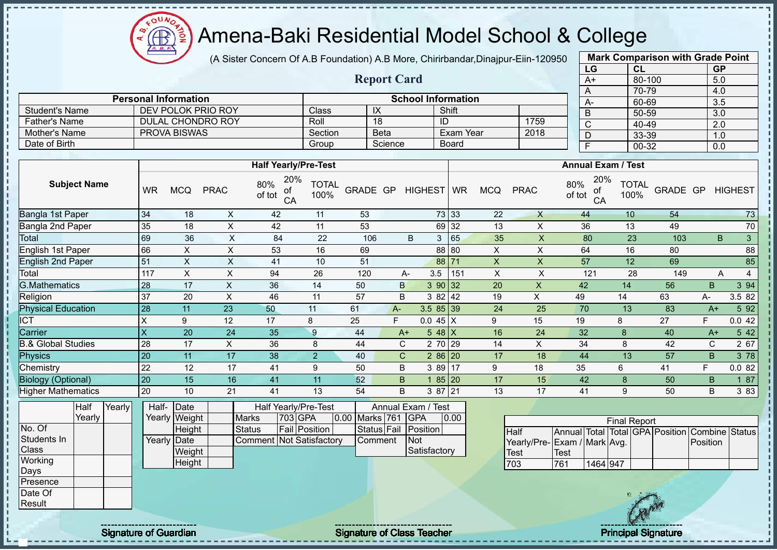COUND  $\bigoplus$ ğ

### Amena-Baki Residential Model School & College

(A Sister Concern Of A.B Foundation) A.B More, Chirirbandar,Dinajpur-Eiin-120950

**Report Card**

**Personal Information School Information** 

Student's Name DEV POLOK PRIO ROY Class IX Shift

| <b>Mark Comparison with Grade Point</b> |           |           |  |  |  |  |  |  |  |  |
|-----------------------------------------|-----------|-----------|--|--|--|--|--|--|--|--|
| LG                                      | <b>CL</b> | <b>GP</b> |  |  |  |  |  |  |  |  |
| $A+$                                    | 80-100    | 5.0       |  |  |  |  |  |  |  |  |
| A                                       | 70-79     | 4.0       |  |  |  |  |  |  |  |  |
| А-                                      | 60-69     | 3.5       |  |  |  |  |  |  |  |  |
| B                                       | 50-59     | 3.0       |  |  |  |  |  |  |  |  |
| C                                       | 40-49     | 2.0       |  |  |  |  |  |  |  |  |
| D                                       | 33-39     | 1.0       |  |  |  |  |  |  |  |  |
| 00-32<br>F<br>0.0                       |           |           |  |  |  |  |  |  |  |  |
|                                         |           |           |  |  |  |  |  |  |  |  |

| <b>Father's Name</b>          |           | DULAL CHONDRO ROY   |             |                                       | Roll                 |                | 18           | ID                 |                  |             | 1759                        | $\overline{C}$ |                           | 40-49                |                                                | $\overline{2.0}$ |                |
|-------------------------------|-----------|---------------------|-------------|---------------------------------------|----------------------|----------------|--------------|--------------------|------------------|-------------|-----------------------------|----------------|---------------------------|----------------------|------------------------------------------------|------------------|----------------|
| <b>Mother's Name</b>          |           | <b>PROVA BISWAS</b> |             |                                       | Section              |                | <b>Beta</b>  |                    | <b>Exam Year</b> |             | 2018                        | D              |                           | 33-39                |                                                | 1.0              |                |
| Date of Birth                 |           |                     |             |                                       | Group                |                | Science      |                    | <b>Board</b>     |             |                             | F              |                           | 00-32                |                                                | 0.0              |                |
|                               |           |                     |             |                                       |                      |                |              |                    |                  |             |                             |                |                           |                      |                                                |                  |                |
|                               |           |                     |             | <b>Half Yearly/Pre-Test</b>           |                      |                |              |                    |                  |             |                             |                | <b>Annual Exam / Test</b> |                      |                                                |                  |                |
| <b>Subject Name</b>           | <b>WR</b> | <b>MCQ</b>          | <b>PRAC</b> | 20%<br>80%<br>of<br>of tot<br>CA      | <b>TOTAL</b><br>100% | GRADE GP       |              | HIGHEST WR         |                  | <b>MCQ</b>  | <b>PRAC</b>                 | 80%<br>of tot  | 20%<br>of<br>CA           | <b>TOTAL</b><br>100% | GRADE GP                                       |                  | <b>HIGHEST</b> |
| Bangla 1st Paper              | 34        | 18                  | X           | 42                                    | 11                   | 53             |              |                    | 73 33            | 22          | $\mathsf{X}$                | 44             |                           | 10                   | 54                                             |                  | 73             |
| Bangla 2nd Paper              | 35        | 18                  | X           | 42                                    | 11                   | 53             |              |                    | 69 32            | 13          | X                           | 36             |                           | 13                   | 49                                             |                  | 70             |
| Total                         | 69        | 36                  | X           | 84                                    | 22                   | 106            |              | B<br>3             | 65               | 35          | X                           | 80             |                           | 23                   | 103                                            | B                | $\mathbf{3}$   |
| English 1st Paper             | 66        | X                   | $\times$    | 53                                    | 16                   | 69             |              |                    | 88 80            | X           | $\boldsymbol{\mathsf{X}}$   | 64             |                           | 16                   | 80                                             |                  | 88             |
| <b>English 2nd Paper</b>      | 51        | X                   | X           | 41                                    | 10                   | 51             |              | 88                 | 71               | $\mathsf X$ | $\times$                    | 57             |                           | 12                   | 69                                             |                  | 85             |
| Total                         | 117       | X                   | X           | 94                                    | 26                   | 120            |              | 3.5<br>А-          | 151              | $\times$    | X                           | 121            |                           | 28                   | 149                                            | A                | 4              |
| <b>G.Mathematics</b>          | 28        | 17                  | X           | 36                                    | 14                   | 50             | $\mathsf{B}$ | 390 32             |                  | 20          | X                           | 42             |                           | 14                   | 56                                             | B                | 3 94           |
| Religion                      | 37        | 20                  | X           | 46                                    | 11                   | 57             | B            | 3 8 2              | 42               | 19          | X                           | 49             |                           | 14                   | 63                                             | А-               | 3.5 82         |
| <b>Physical Education</b>     | 28        | 11                  | 23          | 50                                    | 11                   | 61             | $A-$         | $3.585$ 39         |                  | 24          | 25                          | 70             |                           | 13                   | 83                                             | $A+$             | 5 92           |
| <b>ICT</b>                    | $\sf X$   | 9                   | 12          | 17                                    | 8                    | 25             | F            | $0.045 \mid X$     |                  | 9           | 15                          | 19             | 8                         |                      | 27                                             | F                | 0.042          |
| Carrier                       | X         | 20                  | 24          | 35                                    | 9                    | 44             | $A+$         | $548$ X            |                  | 16          | 24                          | 32             |                           | 8                    | 40                                             | $A+$             | 5 42           |
| <b>B.&amp; Global Studies</b> | 28        | 17                  | X           | 36                                    | 8                    | 44             | $\mathsf{C}$ | 2 70 29            |                  | 14          | X                           | 34             |                           | 8                    | 42                                             | C                | 2 67           |
| Physics                       | 20        | 11                  | 17          | 38                                    | 2                    | 40             | $\mathsf{C}$ | $286$   20         |                  | 17          | 18                          | 44             |                           | 13                   | 57                                             | B.               | 3 78           |
| Chemistry                     | 22        | 12                  | 17          | 41                                    | 9                    | 50             | $\sf B$      | 3 89               | 17               | 9           | 18                          | 35             | 6                         |                      | 41                                             | F                | 0.082          |
| <b>Biology (Optional)</b>     | 20        | 15                  | 16          | 41                                    | 11                   | 52             | B.           |                    | 85 20            | 17          | 15                          | 42             |                           | 8                    | 50                                             | B                | 187            |
| <b>Higher Mathematics</b>     | 20        | 10                  | 21          | 41                                    | 13                   | 54             | B            | 3 87 21            |                  | 13          | 17                          | 41             |                           | 9                    | 50                                             | B                | 3 8 3          |
| Half<br>Yearly                | Half-     | Date                |             | Half Yearly/Pre-Test                  |                      |                |              | Annual Exam / Test |                  |             |                             |                |                           |                      |                                                |                  |                |
| Yearly                        |           | Yearly Weight       |             | 703 GPA<br><b>Marks</b>               |                      | 0.00 Marks 761 |              | <b>GPA</b>         | 0.00             |             |                             |                |                           | <b>Final Report</b>  |                                                |                  |                |
| No. Of                        |           | Height              |             | <b>Fail Position</b><br><b>Status</b> |                      |                | Status Fail  | Position           |                  |             | Half                        |                |                           |                      | Annual Total Total GPA Position Combine Status |                  |                |
| Students In                   |           | Yearly Date         |             | <b>Comment Not Satisfactory</b>       |                      |                | Comment      | Not                |                  |             | Yearly/Pre-Exam / Mark Avg. |                |                           |                      |                                                | Position         |                |

**Weight Height** 

Class **Working** Days Presence Date Of Result

T п T, Ĥ, T. Í j.  $\mathbf{I}$ 

Signature of Guardian Signature Signature of Class Teacher New York Constitution of Class Teacher Principal Signature

**Satisfactory** 

Test<br>703

**Test** 

761 1464 947

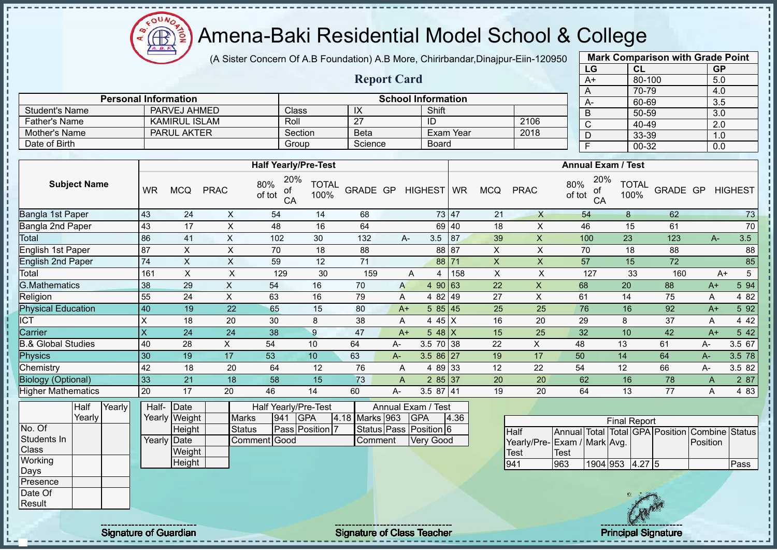$\Omega$ Æ

# Amena-Baki Residential Model School & College

(A Sister Concern Of A.B Foundation) A.B More, Chirirbandar,Dinajpur-Eiin-120950

**Report Card**

| <b>Mark Comparison with Grade Point</b><br>LG |           |  |  |  |  |  |  |  |
|-----------------------------------------------|-----------|--|--|--|--|--|--|--|
| CL                                            | <b>GP</b> |  |  |  |  |  |  |  |
| 80-100                                        | 5.0       |  |  |  |  |  |  |  |
| 70-79                                         | 4.0       |  |  |  |  |  |  |  |
| 60-69                                         | 3.5       |  |  |  |  |  |  |  |
| 50-59                                         | 3.0       |  |  |  |  |  |  |  |
| 40-49                                         | 2.0       |  |  |  |  |  |  |  |
| 33-39                                         | 1.0       |  |  |  |  |  |  |  |
| 00-32<br>F<br>0.0                             |           |  |  |  |  |  |  |  |
|                                               |           |  |  |  |  |  |  |  |

|                      |                             |         |                    |                           |      |      | 70-79     |
|----------------------|-----------------------------|---------|--------------------|---------------------------|------|------|-----------|
|                      | <b>Personal Information</b> |         |                    | <b>School Information</b> |      | $A-$ | 60-69     |
| Student's Name       | PARVEJ AHMED                | Class   | ıл                 | Shift                     |      |      | 50-59     |
| <b>Father's Name</b> | <b>KAMIRUL ISLAM</b>        | Roll    | ∩¬<br>$\mathbf{z}$ | ID                        | 2106 |      | 40-49     |
| Mother's Name        | <b>PARUL AKTER</b>          | Section | <b>Beta</b>        | Exam Year                 | 2018 |      | 33-39     |
| Date of Birth        |                             | Group   | Science            | Board                     |      |      | $00 - 32$ |

|                           |           |            |             | <b>Half Yearly/Pre-Test</b>      |                      |          |              | <b>Annual Exam / Test</b> |       |            |              |                                  |                      |          |      |                |
|---------------------------|-----------|------------|-------------|----------------------------------|----------------------|----------|--------------|---------------------------|-------|------------|--------------|----------------------------------|----------------------|----------|------|----------------|
| <b>Subject Name</b>       | <b>WR</b> | <b>MCQ</b> | <b>PRAC</b> | 20%<br>80%<br>of<br>of tot<br>CA | <b>TOTAL</b><br>100% | GRADE GP |              | HIGHEST WR                |       | <b>MCQ</b> | <b>PRAC</b>  | 20%<br>80%<br>оf<br>of tot<br>CA | <b>TOTAL</b><br>100% | GRADE GP |      | <b>HIGHEST</b> |
| Bangla 1st Paper          | 43        | 24         | X           | 54                               | 14                   | 68       |              |                           | 73 47 | 21         | $\mathsf{X}$ | 54                               | 8                    | 62       |      | 73             |
| Bangla 2nd Paper          | 43        | 17         | X           | 48                               | 16                   | 64       |              |                           | 69 40 | 18         | X            | 46                               | 15                   | 61       |      | 70             |
| Total                     | 86        | 41         | X           | 102                              | 30                   | 132      |              | 3.5<br>A-                 | 87    | 39         | X            | 100                              | 23                   | 123      | A-   | 3.5            |
| English 1st Paper         | 87        | X.         | X           | 70                               | 18                   | 88       |              |                           | 88 87 | X          | X            | 70                               | 18                   | 88       |      | 88             |
| <b>English 2nd Paper</b>  | 74        | X          | X           | 59                               | 12                   | 71       |              |                           | 88 71 | X          | X            | 57                               | 15                   | 72       |      | 85             |
| Total                     | 161       | X          | X           | 129                              | 30                   | 159      |              | 4<br>Α                    | 158   | X          | X            | 127                              | 33                   | 160      |      | 5<br>$A+$      |
| <b>G.Mathematics</b>      | 38        | 29         | X           | 54                               | 16                   | 70       | $\mathsf{A}$ | 4 90 63                   |       | 22         | X            | 68                               | 20                   | 88       | $A+$ | 5 94           |
| Religion                  | 55        | 24         | X           | 63                               | 16                   | 79       | A            | 4 82 49                   |       | 27         | X            | 61                               | 14                   | 75       | Α    | 4 8 2          |
| <b>Physical Education</b> | 40        | 19         | 22          | 65                               | 15                   | 80       | $A+$         | 585 45                    |       | 25         | 25           | 76                               | 16                   | 92       | $A+$ | 5 92           |
| <b>ICT</b>                | X         | 18         | 20          | 30                               | 8                    | 38       | A            | 4 45 X                    |       | 16         | 20           | 29                               | 8                    | 37       | A    | 4 4 2          |
| Carrier                   | X         | 24         | 24          | 38                               | 9                    | 47       | $A+$         | 5 48 $X$                  |       | 15         | 25           | 32                               | 10                   | 42       | $A+$ | 5 42           |
| & Global Studies          | 40        | 28         | X.          | 54                               | 10                   | 64       | А-           | $3.5 \ 70 \ 38$           |       | 22         | X            | 48                               | 13                   | 61       | А-   | 3.5 67         |
| Physics                   | 30        | 19         | 17          | 53                               | 10 <sup>°</sup>      | 63       | А-           | $3.586$ 27                |       | 19         | 17           | 50                               | 14                   | 64       | $A-$ | 3.5 78         |
| Chemistry                 | 42        | 18         | 20          | 64                               | 12                   | 76       | A            | 4 89 33                   |       | 12         | 22           | 54                               | 12                   | 66       | А-   | 3.5 82         |
| <b>Biology (Optional)</b> | 33        | 21         | 18          | 58                               | 15                   | 73       | A            | 285 37                    |       | 20         | 20           | 62                               | 16                   | 78       | A    | 2 87           |
| <b>Higher Mathematics</b> | 20        | 17         | 20          | 46                               | 14                   | 60       | А-           | 3.5 87 41                 |       | 19         | 20           | 64                               | 13                   | 77       | Α    | 4 8 3          |

|              | Half   | Yearly | Half-       | Date          |              |     | Half Yearly/Pre-Test |         |                | Annual Exam / Test     |      |                              |      |  |                      |                                                |      |
|--------------|--------|--------|-------------|---------------|--------------|-----|----------------------|---------|----------------|------------------------|------|------------------------------|------|--|----------------------|------------------------------------------------|------|
|              | Yearly |        |             | Yearly Weight | Marks        | 941 | <b>IGPA</b>          |         | 4.18 Marks 963 | <b>GPA</b>             | 4.36 |                              |      |  | <b>Final Report</b>  |                                                |      |
| No. Of       |        |        |             | Height        | Status       |     | Pass Position 7      |         |                | Status Pass Position 6 |      | <b>I</b> Half                |      |  |                      | Annual Total Total GPA Position Combine Status |      |
| Students In  |        |        | Yearly Date |               | Comment Good |     |                      | Comment |                | <b>Very Good</b>       |      | Yearly/Pre- Exam / Mark Avg. |      |  |                      | Position                                       |      |
| <b>Class</b> |        |        |             | Weight        |              |     |                      |         |                |                        |      | Test                         | Test |  |                      |                                                |      |
| Working      |        |        |             | Height        |              |     |                      |         |                |                        |      | 941                          | 963  |  | 1904 953 4.27 5      |                                                | Pass |
| Days         |        |        |             |               |              |     |                      |         |                |                        |      |                              |      |  |                      |                                                |      |
| Presence     |        |        |             |               |              |     |                      |         |                |                        |      |                              |      |  |                      |                                                |      |
| Date Of      |        |        |             |               |              |     |                      |         |                |                        |      |                              |      |  |                      |                                                |      |
| Result       |        |        |             |               |              |     |                      |         |                |                        |      |                              |      |  | <b><i>The RM</i></b> |                                                |      |

|  | <b>Signature of Guardian</b> |
|--|------------------------------|
|  |                              |

л  $\mathbf{I}$  $\mathbf{I}$ 

Signature of Class Teacher Principal Signature of Class Teacher

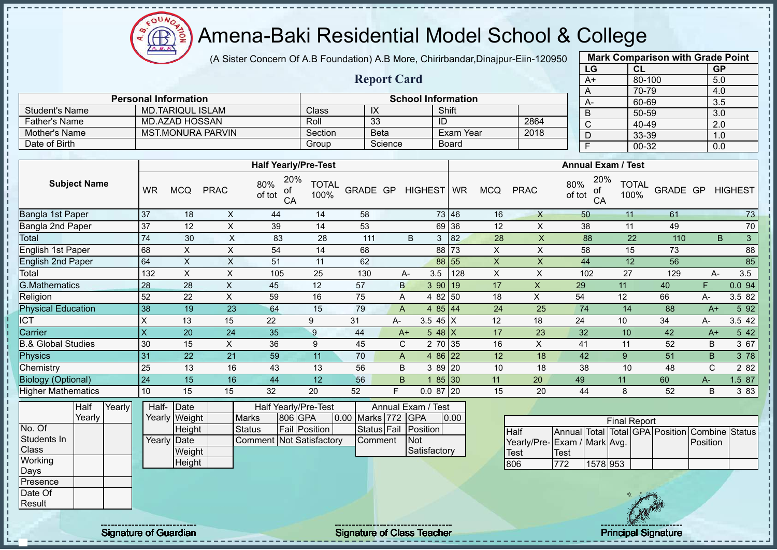oυ Amena-Baki Residential Model School & College Æ

**Personal Information School Information** 

**Half Yearly/Pre-Test**

Student's Name MD.TARIQUL ISLAM Class IX Shift Father's Name MD.AZAD HOSSAN Roll 33 ID

Mother's Name MST.MONURA PARVIN Section Beta Exam Year Date of Birth **Group Science** Board

(A Sister Concern Of A.B Foundation) A.B More, Chirirbandar,Dinajpur-Eiin-120950

**Report Card**

| Eiin-120950 |               |                           |                      | <b>Mark Comparison with Grade Point</b> |                  |
|-------------|---------------|---------------------------|----------------------|-----------------------------------------|------------------|
|             |               | LG                        | <b>CL</b>            |                                         | GP               |
|             |               | $A+$                      |                      | 80-100                                  | 5.0              |
|             |               | A                         |                      | 70-79                                   | 4.0              |
|             |               | $A -$                     |                      | 60-69                                   | 3.5              |
|             |               | B                         | 50-59                |                                         | 3.0              |
| 2864        |               | С                         | 40-49                |                                         | 2.0              |
| 2018        |               | D                         |                      | 33-39                                   | 1.0              |
|             |               | F                         |                      | 00-32                                   | 0.0              |
|             |               |                           |                      |                                         |                  |
|             |               | <b>Annual Exam / Test</b> |                      |                                         |                  |
| RAC         | 80%<br>of tot | 20%<br>of<br>CA           | <b>TOTAL</b><br>100% |                                         | GRADE GP HIGHEST |

| <b>Subject Name</b>       | <b>WR</b> | <b>MCQ</b> | <b>PRAC</b> | 20%<br>80%<br>of<br>of tot<br>CA | TOTAL<br>100% | GRADE GP |    | HIGHEST             | <b>WR</b> | <b>MCQ</b> | <b>PRAC</b> | 20%<br>80%<br>οf<br>of tot<br>CA | <b>TOTAL</b><br>100% | GRADE GP |       | <b>HIGHEST</b> |
|---------------------------|-----------|------------|-------------|----------------------------------|---------------|----------|----|---------------------|-----------|------------|-------------|----------------------------------|----------------------|----------|-------|----------------|
| Bangla 1st Paper          | 37        | 18         | X           | 44                               | 14            | 58       |    |                     | 73 46     | 16         | X           | 50                               | 11                   | 61       |       | 73             |
| Bangla 2nd Paper          | 37        | 12         | X           | 39                               | 14            | 53       |    | 69                  | 36        | 12         | Χ           | 38                               | 11                   | 49       |       | 70             |
| Total                     | 74        | 30         | X           | 83                               | 28            | 111      |    | B<br>$\mathbf{3}$   | 82        | 28         | X           | 88                               | 22                   | 110      |       | 3<br>B.        |
| English 1st Paper         | 68        | X          | X           | 54                               | 14            | 68       |    | 88                  | 73        | X          | X           | 58                               | 15                   | 73       |       | 88             |
| <b>English 2nd Paper</b>  | 64        | X          | X           | 51                               | 11            | 62       |    | 88                  | 55        | X          | X           | 44                               | 12                   | 56       |       | 85             |
| Total                     | 132       | X          | X           | 105                              | 25            | 130      |    | 3.5<br>A-           | 128       | X          | Χ           | 102                              | 27                   | 129      |       | 3.5<br>А-      |
| <b>G.Mathematics</b>      | 28        | 28         | X           | 45                               | 12            | 57       |    | $\mathsf{B}$<br>390 | 19        | 17         | X           | 29                               | 11                   | 40       | F.    | 0.0 94         |
| Religion                  | 52        | 22         | X           | 59                               | 16            | 75       |    | Α                   | 4 82 50   | 18         | X           | 54                               | 12                   | 66       | A-    | 3.5 82         |
| <b>Physical Education</b> | 38        | 19         | 23          | 64                               | 15            | 79       |    | A                   | 4 $85$ 44 | 24         | 25          | 74                               | 14                   | 88       | $A+$  | 5 9 2          |
| ICT                       | X         | 13         | 15          | 22                               | 9             | 31       | А- | 3.5 45 $X$          |           | 12         | 18          | 24                               | 10                   | 34       | A-    | 3.5 42         |
| Carrier                   | X         | 20         | 24          | 35                               | 9             | 44       |    | 5 48 $X$<br>$A+$    |           | 17         | 23          | 32                               | 10                   | 42       | $A+$  | 5 42           |
| 3.& Global Studies        | 30        | 15         | X.          | 36                               | 9             | 45       |    | C                   | 2 70 35   | 16         | X           | 41                               | 11                   | 52       | B     | 3 67           |
| <b>Physics</b>            | 31        | 22         | 21          | 59                               | 11            | 70       |    | A                   | 4 86 22   | 12         | 18          | 42                               | 9                    | 51       | B     | 3 78           |
| Chemistry                 | 25        | 13         | 16          | 43                               | 13            | 56       |    | B                   | $389$ 20  | 10         | 18          | 38                               | 10                   | 48       | C     | 2 8 2          |
| Biology (Optional)        | 24        | 15         | 16          | 44                               | 12            | 56       |    | B                   | 85 30     | 11         | 20          | 49                               | 11                   | 60       | $A -$ | 1.5 87         |
| <b>Higher Mathematics</b> | 10        | 15         | 15          | 32                               | 20            | 52       | F  | $0.087$ 20          |           | 15         | 20          | 44                               | 8                    | 52       | B     | 3 8 3          |
| Half<br>Yearly <b> </b>   | Half-     | Date       |             | Half Yearly/Pre-Test             |               |          |    | Annual Exam / Test  |           |            |             |                                  |                      |          |       |                |

|              | Yearly |  | Yearly Weight | <b>Marks</b>                     | 806 GPA       | 0.00 Marks 772 GPA |                 | 0.00 |             |
|--------------|--------|--|---------------|----------------------------------|---------------|--------------------|-----------------|------|-------------|
| No. Of       |        |  | <b>Height</b> | Status                           | Fail Position | Status Fail        | <b>Position</b> |      | Half        |
| Students In  |        |  | Yearly Date   | <b>Comment INot Satisfactory</b> |               | <b>Comment</b>     | <b>INot</b>     |      | Year        |
| <b>Class</b> |        |  | Weight        |                                  |               |                    | Satisfactory    |      | <b>Test</b> |
| Working      |        |  | Height        |                                  |               |                    |                 |      | 806         |
| Days         |        |  |               |                                  |               |                    |                 |      |             |
| Presence     |        |  |               |                                  |               |                    |                 |      |             |
| Date Of      |        |  |               |                                  |               |                    |                 |      |             |

| <b>Final Report</b>                                            |      |          |  |  |  |                 |  |  |  |  |  |  |
|----------------------------------------------------------------|------|----------|--|--|--|-----------------|--|--|--|--|--|--|
| Annual Total Total GPA Position Combine Status<br><b>IHalf</b> |      |          |  |  |  |                 |  |  |  |  |  |  |
| Yearly/Pre- Exam / Mark Avg.                                   |      |          |  |  |  | <b>Position</b> |  |  |  |  |  |  |
| <b>I</b> Test                                                  | Test |          |  |  |  |                 |  |  |  |  |  |  |
| 806                                                            | 772  | 1578 953 |  |  |  |                 |  |  |  |  |  |  |

Result

 $\mathbf{I}$  $\mathbf{I}$ 

Signature of Guardian Signature Signature of Class Teacher New York Constitution of Class Teacher Principal Signature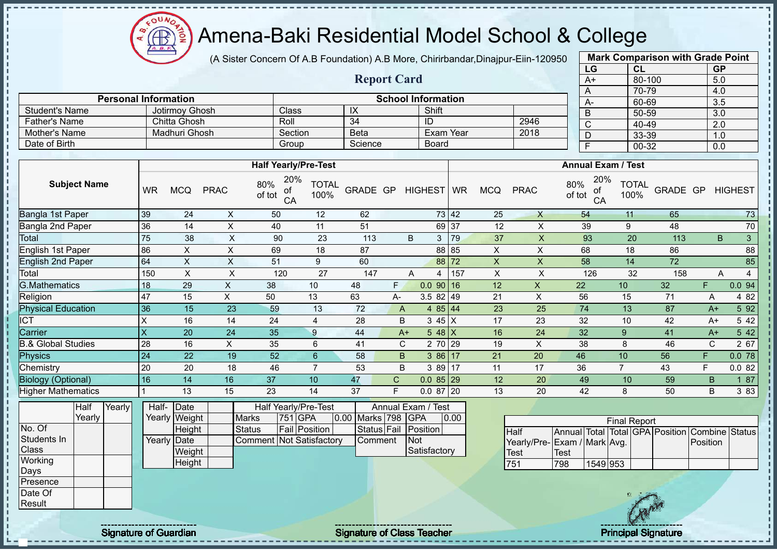$\Omega$ Æ

# Amena-Baki Residential Model School & College

(A Sister Concern Of A.B Foundation) A.B More, Chirirbandar,Dinajpur-Eiin-120950

**Report Card**

|      | <b>Mark Comparison with Grade Point</b> |           |
|------|-----------------------------------------|-----------|
| LG   | CL                                      | <b>GP</b> |
| $A+$ | 80-100                                  | 5.0       |
| A    | 70-79                                   | 4.0       |
| А-   | 60-69                                   | 3.5       |
| B    | 50-59                                   | 3.0       |
| C    | 40-49                                   | 2.0       |
| D    | 33-39                                   | 1.0       |
| F    | 00-32                                   | 0.0       |
|      |                                         |           |

| <b>Father's Name</b>               |                 | Roll<br>Chitta Ghosh            |              |                                                           |                      | $\overline{34}$ |              | ID                                                        |           |            | 2946           | $\overline{C}$                                 | 40-49                |          | $\overline{2.0}$ |                     |
|------------------------------------|-----------------|---------------------------------|--------------|-----------------------------------------------------------|----------------------|-----------------|--------------|-----------------------------------------------------------|-----------|------------|----------------|------------------------------------------------|----------------------|----------|------------------|---------------------|
| <b>Mother's Name</b>               |                 | <b>Madhuri Ghosh</b>            |              | Section                                                   |                      | <b>Beta</b>     |              |                                                           | Exam Year |            | 2018           | $\overline{D}$                                 | 33-39                |          | 1.0              |                     |
| Date of Birth                      |                 |                                 |              | Group                                                     |                      | Science         |              | <b>Board</b>                                              |           |            |                | $\overline{F}$                                 | 00-32                |          | 0.0              |                     |
|                                    |                 |                                 |              |                                                           |                      |                 |              |                                                           |           |            |                |                                                |                      |          |                  |                     |
|                                    |                 |                                 |              | <b>Half Yearly/Pre-Test</b>                               |                      |                 |              |                                                           |           |            |                | <b>Annual Exam / Test</b>                      |                      |          |                  |                     |
| <b>Subject Name</b>                | <b>WR</b>       | <b>MCQ</b>                      | <b>PRAC</b>  | 20%<br>80%<br>of<br>of tot<br>CA                          | <b>TOTAL</b><br>100% | GRADE GP        |              | HIGHEST WR                                                |           | <b>MCQ</b> | <b>PRAC</b>    | 20%<br>80%<br>οf<br>of tot<br>CA               | <b>TOTAL</b><br>100% | GRADE GP |                  | <b>HIGHEST</b>      |
| Bangla 1st Paper                   | 39              | 24                              | X            | 50                                                        | 12                   | 62              |              |                                                           | 73 42     | 25         | $\times$       | 54                                             | 11                   | 65       |                  | 73                  |
| Bangla 2nd Paper                   | 36              | 14                              | X            | 40                                                        | 11                   | 51              |              |                                                           | 69 37     | 12         | X              | 39                                             | 9                    | 48       |                  | 70                  |
| Total                              | 75              | 38                              | X            | 90                                                        | 23                   | 113             |              | B<br>3                                                    | 79        | 37         | $\pmb{\times}$ | 93                                             | 20                   | 113      |                  | $\mathbf{3}$<br>B   |
| English 1st Paper                  | 86              | X                               | X            | 69                                                        | 18                   | 87              |              |                                                           | 88 85     | X          | X              | 68                                             | 18                   | 86       |                  | 88                  |
| <b>English 2nd Paper</b>           | 64              | $\pmb{\times}$                  | X            | 51                                                        | 9                    | 60              |              |                                                           | 88 72     | X          | X              | 58                                             | 14                   | 72       |                  | 85                  |
| Total                              | 150             | X                               | X            | 120                                                       | 27                   | 147             |              | A<br>4                                                    | 157       | X          | X              | 126                                            | 32                   | 158      |                  | Α<br>$\overline{4}$ |
| <b>G.Mathematics</b>               | 18              | 29                              | X            | 38                                                        | 10                   | 48              | F.           | $0.090$ 16                                                |           | 12         | $\mathsf{X}$   | 22                                             | 10                   | 32       | F.               | 0.0 94              |
| Religion                           | 47              | 15                              | X.           | 50                                                        | 13                   | 63              | A-           | $3.582$ 49                                                |           | 21         | X              | 56                                             | 15                   | 71       | Α                | 4 8 2               |
| <b>Physical Education</b>          | 36              | 15                              | 23           | 59                                                        | 13                   | 72              | A            | 4 $85 \mid 44$                                            |           | 23         | 25             | 74                                             | 13                   | 87       | $A+$             | 5 9 2               |
| <b>ICT</b>                         | X               | 16                              | 14           | 24                                                        | 4                    | 28              | B            | $345$ X                                                   |           | 17         | 23             | 32                                             | 10                   | 42       | $A+$             | 5 4 2               |
| Carrier                            | X               | 20                              | 24           | 35                                                        | 9                    | 44              |              | 5 48 X<br>$A+$                                            |           | 16         | 24             | 32                                             | 9                    | 41       | $A+$             | 5 4 2               |
| <b>B.&amp; Global Studies</b>      | 28              | 16                              | $\mathsf{X}$ | 35                                                        | 6                    | 41              | C            | 2 70 29                                                   |           | 19         | X              | 38                                             | 8                    | 46       | C                | 2 67                |
| Physics                            | 24              | 22                              | 19           | 52                                                        | $6\phantom{1}$       | 58              | B            | $386$ 17                                                  |           | 21         | 20             | 46                                             | 10                   | 56       | F.               | 0.078               |
| Chemistry                          | 20              | 20                              | 18           | 46                                                        | $\overline{7}$       | 53              | B            | 3 89 17                                                   |           | 11         | 17             | 36                                             | $\overline{7}$       | 43       | F                | 0.082               |
| <b>Biology (Optional)</b>          | 16              | 14                              | 16           | 37                                                        | 10                   | 47              | $\mathsf{C}$ | $0.085$ 29                                                |           | 12         | 20             | 49                                             | 10                   | 59       | B                | 1 87                |
| <b>Higher Mathematics</b>          |                 | 13                              | 15           | 23                                                        | 14                   | 37              | E            | $0.087$ 20                                                |           | 13         | 20             | 42                                             | 8                    | 50       | B                | 3 8 3               |
| Yearly<br>Half<br>Yearly<br>No. Of | Half-<br>Yearly | Date<br>Weight<br><b>Height</b> |              | Half Yearly/Pre-Test<br>751 GPA<br>Marks<br><b>Status</b> | <b>Fail Position</b> | 0.00 Marks 798  |              | Annual Exam<br>Test<br><b>GPA</b><br>Status Fail Position | 0.00      |            |                |                                                | <b>Final Report</b>  |          |                  |                     |
|                                    |                 |                                 |              |                                                           |                      |                 |              |                                                           |           |            | $L = H$        | Annual Total Total CBA Bosition Combine Status |                      |          |                  |                     |

|              | ınall  | rearivi | Hall- IDale |               |                           | Hall reariv/Pre-Test |                    | Annual Exam / Test |      |  |
|--------------|--------|---------|-------------|---------------|---------------------------|----------------------|--------------------|--------------------|------|--|
|              | Yearlv |         |             | Yearly Weight | <b>Marks</b>              | 751 GPA              | 0.00 Marks 798 GPA |                    | 0.00 |  |
| No. Of       |        |         |             | <b>Height</b> | Status                    | <b>Fail Position</b> | Status Fail        | <b>Position</b>    |      |  |
| Students In  |        |         | Yearly Date |               | Comment INot Satisfactory |                      | <b>Comment</b>     | <b>INot</b>        |      |  |
| <b>Class</b> |        |         |             | Weight        |                           |                      |                    | Satisfactory       |      |  |
| Working      |        |         |             | Height        |                           |                      |                    |                    |      |  |
| Days         |        |         |             |               |                           |                      |                    |                    |      |  |
| Presence     |        |         |             |               |                           |                      |                    |                    |      |  |
| Date Of      |        |         |             |               |                           |                      |                    |                    |      |  |

**Personal Information**<br> **School Information**<br> **School Information**<br> **School Information**<br> **Shift** 

Student's Name Jotirmoy Ghosh Class IX Shift

|                                                               |      |          | <b>Final Report</b> |  |  |          |  |  |  |  |  |  |
|---------------------------------------------------------------|------|----------|---------------------|--|--|----------|--|--|--|--|--|--|
| Annual Total Total GPA Position Combine Status<br><b>Half</b> |      |          |                     |  |  |          |  |  |  |  |  |  |
| Yearly/Pre-Exam / Mark Avg.                                   |      |          |                     |  |  | Position |  |  |  |  |  |  |
| Test                                                          | Test |          |                     |  |  |          |  |  |  |  |  |  |
| 751                                                           | 798  | 1549 953 |                     |  |  |          |  |  |  |  |  |  |

J. J.  $\mathbf{I}$ 

**Result** 

Signature of Guardian Signature Signature of Class Teacher New York Constitution of Class Teacher Principal Signature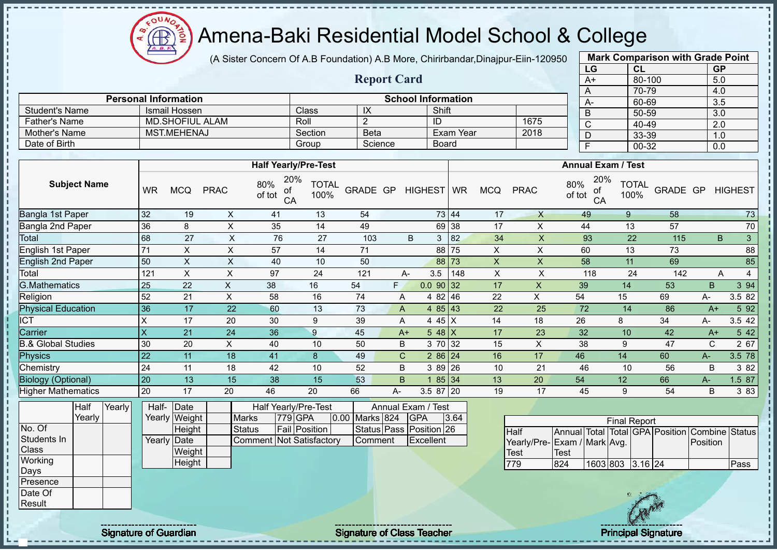$\Omega$ Æ

## Amena-Baki Residential Model School & College

(A Sister Concern Of A.B Foundation) A.B More, Chirirbandar,Dinajpur-Eiin-120950

**Report Card**

|      | <b>Mark Comparison with Grade Point</b> |           |
|------|-----------------------------------------|-----------|
| LG   | CL                                      | <b>GP</b> |
| $A+$ | 80-100                                  | 5.0       |
| A    | 70-79                                   | 4.0       |
| А-   | 60-69                                   | 3.5       |
| B    | 50-59                                   | 3.0       |
| C    | 40-49                                   | 2.0       |
| D    | 33-39                                   | 1.0       |
| F    | 00-32                                   | 0.0       |

|                |                             |         |         | Shift<br>1675<br>2018<br>Exam Year |  | $\overline{ }$ |
|----------------|-----------------------------|---------|---------|------------------------------------|--|----------------|
|                | <b>Personal Information</b> |         |         | <b>School Information</b>          |  | A-             |
| Student's Name | Ismail Hossen               | Class   | IX      |                                    |  | В              |
| Father's Name  | <b>MD.SHOFIUL ALAM</b>      | Roll    |         | ID                                 |  |                |
| Mother's Name  | <b>MST.MEHENAJ</b>          | Section | Beta    |                                    |  |                |
| Date of Birth  |                             | Group   | Science | Board                              |  |                |

|                           |                         |            |             | <b>Half Yearly/Pre-Test</b>      |                      |          |    |              |                |            |    |             | <b>Annual Exam / Test</b>        |                      |          |       |                   |  |  |
|---------------------------|-------------------------|------------|-------------|----------------------------------|----------------------|----------|----|--------------|----------------|------------|----|-------------|----------------------------------|----------------------|----------|-------|-------------------|--|--|
| <b>Subject Name</b>       | <b>WR</b>               | <b>MCQ</b> | <b>PRAC</b> | 20%<br>80%<br>оf<br>of tot<br>CA | <b>TOTAL</b><br>100% | GRADE GP |    | HIGHEST WR   |                | <b>MCQ</b> |    | <b>PRAC</b> | 20%<br>80%<br>οf<br>of tot<br>CA | <b>TOTAL</b><br>100% | GRADE GP |       | <b>HIGHEST</b>    |  |  |
| Bangla 1st Paper          | 32                      | 19         | X           | 41                               | 13                   | 54       |    |              | 73 44          |            | 17 | X           | 49                               | 9                    | 58       |       | 73                |  |  |
| Bangla 2nd Paper          | 36                      | 8          | X           | 35                               | 14                   | 49       |    |              | 69 38          |            | 17 | X           | 44                               | 13                   | 57       |       | $70\,$            |  |  |
| Total                     | 68                      | 27         | X           | 76                               | 27                   | 103      |    | B            | 82<br>3        |            | 34 | X           | 93                               | 22                   | 115      |       | $\mathbf{3}$<br>B |  |  |
| English 1st Paper         | 71                      | X          | X           | 57                               | 14                   | 71       |    |              | 88 75          |            | X  | X           | 60                               | 13                   | 73       |       | 88                |  |  |
| <b>English 2nd Paper</b>  | 50                      | X          | X           | 40                               | 10                   | 50       |    |              | 88 73          |            | X  | X           | 58                               | 11                   | 69       |       | 85                |  |  |
| Total                     | 121                     | X          | X           | 97                               | 24                   | 121      |    | 3.5<br>А-    | 148            |            | X  | X           | 118                              | 24                   | 142      |       | 4<br>Α            |  |  |
| G.Mathematics             | 25                      | 22         | X           | 38                               | 16                   | 54       | F. |              | $0.0$ 90 32    |            | 17 | X           | 39                               | 14                   | 53       | B.    | 3 94              |  |  |
| Religion                  | 52                      | 21         | X.          | 58                               | 16                   | 74       |    | A<br>4       | 46<br>82       |            | 22 | X           | 54                               | 15                   | 69       | А-    | 3.5 82            |  |  |
| <b>Physical Education</b> | 36                      | 17         | 22          | 60                               | 13                   | 73       |    | A            | 4 $85 \mid 43$ |            | 22 | 25          | 72                               | 14                   | 86       | $A+$  | 5 92              |  |  |
| <b>CT</b>                 | Χ                       | 17         | 20          | 30                               | 9                    | 39       |    | A            | 4 45 X         |            | 14 | 18          | 26                               | 8                    | 34       | А-    | 3.5 42            |  |  |
| Carrier                   | $\overline{\mathsf{x}}$ | 21         | 24          | 36                               | 9                    | 45       |    | $A+$         | 5 48 $X$       |            | 17 | 23          | 32                               | 10                   | 42       | $A+$  | 5 42              |  |  |
| 3.& Global Studies        | 30                      | 20         | $\times$    | 40                               | 10                   | 50       |    | B            | 3 70 32        |            | 15 | X           | 38                               | 9                    | 47       | C     | 2 67              |  |  |
| <b>Physics</b>            | 22                      | 11         | 18          | 41                               | 8                    | 49       |    | $\mathsf{C}$ | $286$ 24       |            | 16 | 17          | 46                               | 14                   | 60       | $A -$ | 3.5 78            |  |  |
| Chemistry                 | 24                      | 11         | 18          | 42                               | 10                   | 52       |    | B            | 3 89 26        |            | 10 | 21          | 46                               | 10                   | 56       | B     | 3 82              |  |  |
| <b>Biology (Optional)</b> | 20                      | 13         | 15          | 38                               | 15                   | 53       |    | B.           | 85 34          |            | 13 | 20          | 54                               | 12                   | 66       | А-    | 1.5 87            |  |  |
| <b>Higher Mathematics</b> | 20                      | 17         | 20          | 46                               | 20                   | 66       | А- |              | 3.5 87 20      |            | 19 | 17          | 45                               | 9                    | 54       | B     | 3 8 3             |  |  |

|                  | Half   | Yearly | Half- Date  |               |                          | Half Yearly/Pre-Test |                | Annual Exam / Test      |      |  |
|------------------|--------|--------|-------------|---------------|--------------------------|----------------------|----------------|-------------------------|------|--|
|                  | Yearlv |        |             | Yearly Weight | <b>Marks</b>             | <b>779 GPA</b>       | 0.00 Marks 824 | <b>IGPA</b>             | 3.64 |  |
| No. Of           |        |        |             | Height        | Status                   | <b>Fail Position</b> |                | Status Pass Position 26 |      |  |
| Students In      |        |        | Yearly Date |               | Comment Not Satisfactory |                      | Comment        | Excellent               |      |  |
| <b>Class</b>     |        |        |             | Weight        |                          |                      |                |                         |      |  |
| <b>Working</b>   |        |        |             | Height        |                          |                      |                |                         |      |  |
| Days             |        |        |             |               |                          |                      |                |                         |      |  |
| <b>IPresence</b> |        |        |             |               |                          |                      |                |                         |      |  |
| Date Of          |        |        |             |               |                          |                      |                |                         |      |  |
| <b>IResult</b>   |        |        |             |               |                          |                      |                |                         |      |  |

|                             | <b>Final Report</b><br>Annual Total Total GPA Position Combine Status |                  |  |  |  |          |      |  |  |  |  |  |  |  |  |
|-----------------------------|-----------------------------------------------------------------------|------------------|--|--|--|----------|------|--|--|--|--|--|--|--|--|
| <b>Half</b>                 |                                                                       |                  |  |  |  |          |      |  |  |  |  |  |  |  |  |
| Yearly/Pre-Exam / Mark Avg. |                                                                       |                  |  |  |  | Position |      |  |  |  |  |  |  |  |  |
| Test                        | Test                                                                  |                  |  |  |  |          |      |  |  |  |  |  |  |  |  |
| 79                          | 824                                                                   | 1603 803 3.16 24 |  |  |  |          | Pass |  |  |  |  |  |  |  |  |

J. J.  $\mathbf{I}$  $\mathbf{I}$  $\mathbf I$  $\mathbf{I}$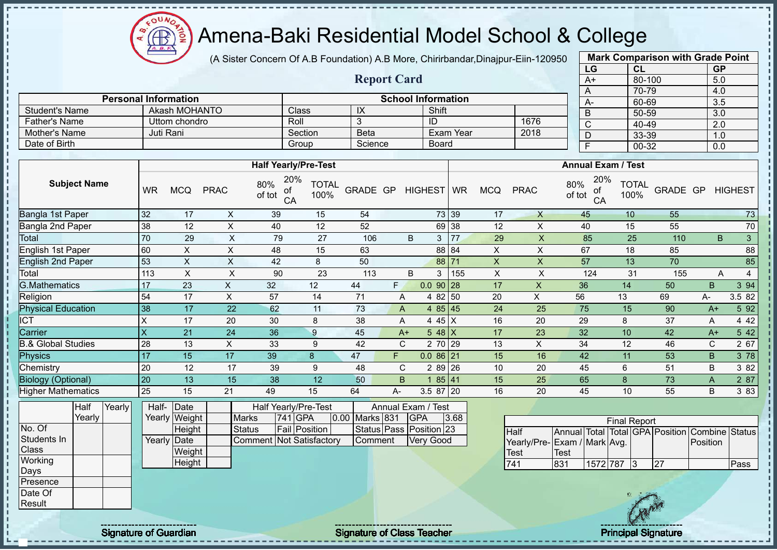$QUN$ Æ

## Amena-Baki Residential Model School & College

(A Sister Concern Of A.B Foundation) A.B More, Chirirbandar,Dinajpur-Eiin-120950

**Report Card**

**Personal Information School Information** 

Father's Name Uttom chondro Roll 3 ID 1676<br>
Mother's Name Juti Rani Section Beta Exam Year 2018

Student's Name Akash MOHANTO Class IX Shift

Mother's Name Juti Rani Section Beta Exam Year Date of Birth Board Group Science Board

| <b>Mark Comparison with Grade Point</b> |        |           |  |  |  |  |  |  |  |  |  |
|-----------------------------------------|--------|-----------|--|--|--|--|--|--|--|--|--|
| LG                                      | CL     | <b>GP</b> |  |  |  |  |  |  |  |  |  |
| $A+$                                    | 80-100 | 5.0       |  |  |  |  |  |  |  |  |  |
| A                                       | 70-79  | 4.0       |  |  |  |  |  |  |  |  |  |
| А-                                      | 60-69  | 3.5       |  |  |  |  |  |  |  |  |  |
| B                                       | 50-59  | 3.0       |  |  |  |  |  |  |  |  |  |
| C                                       | 40-49  | 2.0       |  |  |  |  |  |  |  |  |  |
| D                                       | 33-39  | 1.0       |  |  |  |  |  |  |  |  |  |
|                                         | 00-32  | 0.0       |  |  |  |  |  |  |  |  |  |
|                                         |        |           |  |  |  |  |  |  |  |  |  |

|                               |                         |                       |                           | <b>Half Yearly/Pre-Test</b>      |                      |                |    |                                  |       |                |                |                             | <b>Annual Exam / Test</b>   |                                   |                  |        |
|-------------------------------|-------------------------|-----------------------|---------------------------|----------------------------------|----------------------|----------------|----|----------------------------------|-------|----------------|----------------|-----------------------------|-----------------------------|-----------------------------------|------------------|--------|
| <b>Subject Name</b>           | <b>WR</b>               | <b>MCQ</b>            | <b>PRAC</b>               | 20%<br>80%<br>οt<br>of tot<br>CA | <b>TOTAL</b><br>100% | GRADE GP       |    | HIGHEST WR                       |       | <b>MCQ</b>     | <b>PRAC</b>    | 80%<br>οf<br>of tot<br>CA   | 20%<br><b>TOTAL</b><br>100% |                                   | GRADE GP HIGHEST |        |
| Bangla 1st Paper              | 32                      | 17                    | X                         | 39                               | 15                   | 54             |    |                                  | 73 39 | 17             | $\mathsf{X}$   | 45                          | 10                          | 55                                |                  | 73     |
| Bangla 2nd Paper              | 38                      | 12                    | X                         | 40                               | 12                   | 52             |    |                                  | 69 38 | 12             | X              | 40                          | 15                          | 55                                |                  | 70     |
| Total                         | 70                      | 29                    | $\pmb{\times}$            | 79                               | 27                   | 106            |    | B<br>3                           | 77    | 29             | $\pmb{\times}$ | 85                          | 25                          | 110                               | B                | 3      |
| English 1st Paper             | 60                      | X                     | $\pmb{\times}$            | 48                               | 15                   | 63             |    |                                  | 88 84 | X              | X              | 67                          | 18                          | 85                                |                  | 88     |
| <b>English 2nd Paper</b>      | 53                      | X                     | X                         | 42                               | 8                    | 50             |    |                                  | 88 71 | $\pmb{\times}$ | X              | 57                          | 13                          | 70                                |                  | 85     |
| Total                         | 113                     | X                     | $\boldsymbol{\mathsf{X}}$ | 90                               | 23                   | 113            |    | B<br>3                           | 155   | X              | X              | 124                         | 31                          | 155                               | Α                | 4      |
| <b>G.Mathematics</b>          | 17                      | 23                    | X.                        | 32                               | 12                   | 44             | F. | $0.0$ 90 28                      |       | 17             | X              | 36                          | 14                          | 50                                | B.               | 3 94   |
| Religion                      | 54                      | 17                    | X                         | 57                               | 14                   | 71             |    | 4 82 50<br>A                     |       | 20             | $\mathsf X$    | 56                          | 13                          | 69                                | А-               | 3.5 82 |
| <b>Physical Education</b>     | 38                      | 17                    | 22                        | 62                               | 11                   | 73             |    | 4 $85 \mid 45$<br>A              |       | 24             | 25             | 75                          | 15                          | 90                                | $A+$             | 5 92   |
| <b>ICT</b>                    | X                       | 17                    | 20                        | 30                               | 8                    | 38             |    | 4 45 X<br>Α                      |       | 16             | 20             | 29                          | 8                           | 37                                | A                | 4 4 2  |
| Carrier                       | $\overline{\mathsf{X}}$ | 21                    | 24                        | 36                               | 9                    | 45             |    | $548$ X<br>$A+$                  |       | 17             | 23             | 32                          | 10                          | 42                                | $A+$             | 5 42   |
| <b>B.&amp; Global Studies</b> | 28                      | 13                    | X                         | 33                               | 9                    | 42             |    | $\mathsf{C}$<br>2 70 29          |       | 13             | X              | 34                          | 12                          | 46                                | $\mathbf C$      | 2 67   |
| Physics                       | 17                      | 15                    | 17                        | 39                               | 8                    | 47             | F. | $0.086$ <sub>21</sub>            |       | 15             | 16             | 42                          | 11                          | 53                                | B.               | 3 78   |
| Chemistry                     | 20                      | 12                    | 17                        | 39                               | 9                    | 48             |    | 2 89 26<br>C                     |       | 10             | 20             | 45                          | 6                           | 51                                | B                | 3 8 2  |
| <b>Biology (Optional)</b>     | 20                      | 13                    | 15                        | 38                               | 12                   | 50             |    | B                                | 85 41 | 15             | 25             | 65                          | 8                           | 73                                | $\mathsf{A}$     | 2 87   |
| <b>Higher Mathematics</b>     | 25                      | 15                    | 21                        | 49                               | 15                   | 64             | A- | $3.587$ 20                       |       | 16             | 20             | 45                          | 10                          | 55                                | B                | 3 8 3  |
| Yearly<br>Half<br>Yearly      | Half-                   | Date<br>Yearly Weight | <b>Marks</b>              | Half Yearly/Pre-Test<br>741 GPA  |                      | 0.00 Marks 831 |    | Annual Exam / Test<br><b>GPA</b> | 3.68  |                |                |                             | <b>Final Report</b>         |                                   |                  |        |
| No. Of                        |                         | Height                | <b>Status</b>             | <b>Fail Position</b>             |                      |                |    | Status Pass Position 23          |       |                | <b>Half</b>    | Annual Total                |                             | Total GPA Position Combine Status |                  |        |
| Students In                   |                         | Yearly Date           |                           | Comment Not Satisfactory         |                      | Comment        |    | <b>Very Good</b>                 |       |                |                | Yearly/Pre-Exam / Mark Avg. |                             |                                   | Position         |        |
| <b>Class</b>                  |                         | Weight                |                           |                                  |                      |                |    |                                  |       |                | Test           | <b>Test</b>                 |                             |                                   |                  |        |
| Working                       |                         | Height                |                           |                                  |                      |                |    |                                  |       |                | 741            | 831                         | 1572 787 3                  | 27                                |                  | Pass   |
| Days<br>Presence              |                         |                       |                           |                                  |                      |                |    |                                  |       |                |                |                             |                             |                                   |                  |        |
|                               |                         |                       |                           |                                  |                      |                |    |                                  |       |                |                |                             |                             |                                   |                  |        |



Date Of **Result** 

ï

 $\mathbf{I}$ 

Signature of Guardian Signature Signature of Class Teacher Number of Class Teacher Principal Signature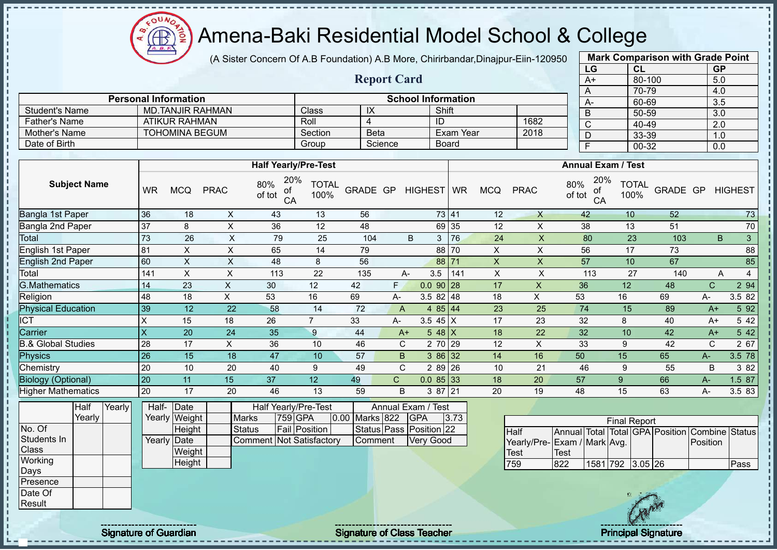$\Omega$ **AR** 

# Amena-Baki Residential Model School & College

(A Sister Concern Of A.B Foundation) A.B More, Chirirbandar,Dinajpur-Eiin-120950

| <b>Mark Comparison with Grade Point</b> |           |           |  |  |  |  |  |  |  |  |  |
|-----------------------------------------|-----------|-----------|--|--|--|--|--|--|--|--|--|
| LG                                      | <b>CL</b> | <b>GP</b> |  |  |  |  |  |  |  |  |  |
| $A+$                                    | 80-100    | 5.0       |  |  |  |  |  |  |  |  |  |
| Α                                       | 70-79     | 4.0       |  |  |  |  |  |  |  |  |  |
| A-                                      | 60-69     | 3.5       |  |  |  |  |  |  |  |  |  |
| B                                       | 50-59     | 3.0       |  |  |  |  |  |  |  |  |  |
| $\overline{\text{c}}$                   | 40-49     | 2.0       |  |  |  |  |  |  |  |  |  |
| D                                       | 33-39     | 1.0       |  |  |  |  |  |  |  |  |  |
| Ė                                       | 00-32     | 0.0       |  |  |  |  |  |  |  |  |  |
|                                         |           |           |  |  |  |  |  |  |  |  |  |

|                                                          |                         |         | <b>Report Card</b> |           |      | A+ |  |  |  |  |  |  |  |  |
|----------------------------------------------------------|-------------------------|---------|--------------------|-----------|------|----|--|--|--|--|--|--|--|--|
| <b>Personal Information</b><br><b>School Information</b> |                         |         |                    |           |      |    |  |  |  |  |  |  |  |  |
| Student's Name                                           | <b>MD.TANJIR RAHMAN</b> | Class   | IX                 | Shift     |      | A- |  |  |  |  |  |  |  |  |
| <b>Father's Name</b>                                     | ATIKUR RAHMAN           | Roll    |                    | ID        | 1682 | C  |  |  |  |  |  |  |  |  |
| Mother's Name                                            | <b>TOHOMINA BEGUM</b>   | Section | <b>Beta</b>        | Exam Year | 2018 |    |  |  |  |  |  |  |  |  |
| Date of Birth                                            |                         | Group   | Science            | Board     |      |    |  |  |  |  |  |  |  |  |

|                               |           |            |             | <b>Half Yearly/Pre-Test</b>      |                      |          |      |                   |            |            |             | <b>Annual Exam / Test</b>        |                      |          |             |                |
|-------------------------------|-----------|------------|-------------|----------------------------------|----------------------|----------|------|-------------------|------------|------------|-------------|----------------------------------|----------------------|----------|-------------|----------------|
| <b>Subject Name</b>           | <b>WR</b> | <b>MCQ</b> | <b>PRAC</b> | 20%<br>80%<br>οf<br>of tot<br>CA | <b>TOTAL</b><br>100% | GRADE GP |      | HIGHEST WR        |            | <b>MCQ</b> | <b>PRAC</b> | 20%<br>80%<br>οf<br>of tot<br>CA | <b>TOTAL</b><br>100% | GRADE GP |             | <b>HIGHEST</b> |
| Bangla 1st Paper              | 36        | 18         | X           | 43                               | 13                   | 56       |      |                   | 73 41      | 12         | X           | 42                               | 10                   | 52       |             | 73             |
| Bangla 2nd Paper              | 37        | 8          | X           | 36                               | 12                   | 48       |      |                   | 69 35      | 12         | X           | 38                               | 13                   | 51       |             | 70             |
| Total                         | 73        | 26         | X           | 79                               | 25                   | 104      |      | B<br>3            | <b>176</b> | 24         | X           | 80                               | 23                   | 103      |             | 3<br>B.        |
| English 1st Paper             | 81        | X          | X           | 65                               | 14                   | 79       |      |                   | 88 70      | X          | X           | 56                               | 17                   | 73       |             | 88             |
| English 2nd Paper             | 60        | X          | X           | 48                               | 8                    | 56       |      |                   | 88 71      | X          | X           | 57                               | 10                   | 67       |             | 85             |
| Total                         | 141       | X          | X           | 113                              | 22                   | 135      |      | 3.5<br>А-         | 141        | X          | X           | 113                              | 27                   | 140      |             | 4<br>A         |
| <b>G.Mathematics</b>          | 14        | 23         | X           | 30                               | 12                   | 42       | F.   | $0.0$ 90 28       |            | 17         | X           | 36                               | 12                   | 48       | C           | 2 94           |
| Religion                      | 48        | 18         | X           | 53                               | 16                   | 69       | A-   | $3.582$ 48        |            | 18         | X           | 53                               | 16                   | 69       | А-          | 3.5 82         |
| <b>Physical Education</b>     | 39        | 12         | 22          | 58                               | 14                   | 72       | A    | 4 $85 \,   \, 44$ |            | 23         | 25          | 74                               | 15                   | 89       | $A+$        | 5 92           |
| <b>ICT</b>                    | X         | 15         | 18          | 26                               | $\overline{ }$       | 33       | A-   | 3.5 45 $X$        |            | 17         | 23          | 32                               | 8                    | 40       | $A+$        | 5 42           |
| Carrier                       | X         | 20         | 24          | 35                               | 9                    | 44       | $A+$ | $548$ X           |            | 18         | 22          | 32                               | 10                   | 42       | $A+$        | 5 42           |
| <b>B.&amp; Global Studies</b> | 28        | 17         | X           | 36                               | 10                   | 46       | C    | 2 70 29           |            | 12         | X           | 33                               | 9                    | 42       | $\mathbf C$ | 2 67           |
| Physics                       | 26        | 15         | 18          | 47                               | 10                   | 57       | B.   | 386 32            |            | 14         | 16          | 50                               | 15                   | 65       | $A -$       | 3.5 78         |
| Chemistry                     | 20        | 10         | 20          | 40                               | 9                    | 49       | C    | 2 89 26           |            | 10         | 21          | 46                               | 9                    | 55       | B           | 3 8 2          |
| <b>Biology (Optional)</b>     | 20        | 11         | 15          | 37                               | 12                   | 49       | C.   | $0.085$ 33        |            | 18         | 20          | 57                               | 9                    | 66       | $A-$        | 1.5 87         |
| <b>Higher Mathematics</b>     | 20        | 17         | 20          | 46                               | 13                   | 59       | B    | 3 87 21           |            | 20         | 19          | 48                               | 15                   | 63       | A-          | 3.5 83         |

|              | Half     | Yearly | Half-                | Date          |                          | Half Yearly/Pre-Test | Annual Exam / Test |  |                         |      |  |
|--------------|----------|--------|----------------------|---------------|--------------------------|----------------------|--------------------|--|-------------------------|------|--|
|              | Yearlv l |        |                      | Yearly Weight | <b>Marks</b>             | 759 GPA              | 0.00 Marks 822     |  | <b>IGPA</b>             | 3.73 |  |
| No. Of       |          |        |                      | <b>Height</b> | Status                   | <b>Fail Position</b> |                    |  | Status Pass Position 22 |      |  |
| Students In  |          |        | Yearly <b>I</b> Date |               | Comment Not Satisfactory |                      | Comment            |  | IVerv Good              |      |  |
| <b>Class</b> |          |        |                      | Weight        |                          |                      |                    |  |                         |      |  |
| Working      |          |        |                      | Height        |                          |                      |                    |  |                         |      |  |
| Days         |          |        |                      |               |                          |                      |                    |  |                         |      |  |
| Presence     |          |        |                      |               |                          |                      |                    |  |                         |      |  |
| Date Of      |          |        |                      |               |                          |                      |                    |  |                         |      |  |

| <b>Final Report</b>         |      |                  |  |  |  |                                                |      |  |  |  |  |  |  |
|-----------------------------|------|------------------|--|--|--|------------------------------------------------|------|--|--|--|--|--|--|
| <b>Half</b>                 |      |                  |  |  |  | Annual Total Total GPA Position Combine Status |      |  |  |  |  |  |  |
| Yearly/Pre-Exam / Mark Avg. |      |                  |  |  |  | Position                                       |      |  |  |  |  |  |  |
| Test                        | Test |                  |  |  |  |                                                |      |  |  |  |  |  |  |
| 759                         | 822  | 1581 792 3.05 26 |  |  |  |                                                | Pass |  |  |  |  |  |  |

Result

J.

Signature of Guardian Signature of Class Teacher Principal Signature Principal Signature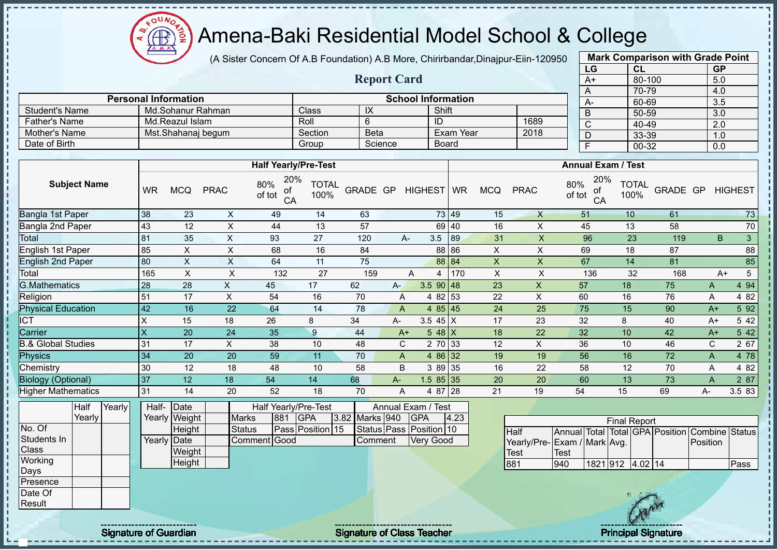Amena-Baki Residential Model School & College Æ

(A Sister Concern Of A.B Foundation) A.B More, Chirirbandar,Dinajpur-Eiin-120950

**Report Card**

| <b>Mark Comparison with Grade Point</b> |           |           |  |  |  |  |  |  |  |  |  |  |
|-----------------------------------------|-----------|-----------|--|--|--|--|--|--|--|--|--|--|
| LG                                      | <b>CL</b> | <b>GP</b> |  |  |  |  |  |  |  |  |  |  |
| $A+$                                    | 80-100    | 5.0       |  |  |  |  |  |  |  |  |  |  |
| A                                       | 70-79     |           |  |  |  |  |  |  |  |  |  |  |
| A-                                      | 60-69     | 3.5       |  |  |  |  |  |  |  |  |  |  |
| B                                       | 50-59     | 3.0       |  |  |  |  |  |  |  |  |  |  |
| $\overline{\text{c}}$                   | 40-49     | 2.0       |  |  |  |  |  |  |  |  |  |  |
| D                                       | 33-39     | 1.0       |  |  |  |  |  |  |  |  |  |  |
| F                                       | 0.0       |           |  |  |  |  |  |  |  |  |  |  |

|                           |                         | <b>Personal Information</b> |                    |                                  | <b>School Information</b> |             |         |            |                |            |              | $\sqrt{ }$<br>$A-$               | יטיו<br>60-69        |          | 4.V<br>3.5 |                |
|---------------------------|-------------------------|-----------------------------|--------------------|----------------------------------|---------------------------|-------------|---------|------------|----------------|------------|--------------|----------------------------------|----------------------|----------|------------|----------------|
| <b>Student's Name</b>     |                         |                             | Md.Sohanur Rahman  |                                  | Class                     | IX          |         |            | Shift          |            |              | B                                | 50-59                |          | 3.0        |                |
| <b>Father's Name</b>      |                         | Md.Reazul Islam             |                    |                                  | Roll                      | 6           |         |            | ID             |            | 1689         | $\mathsf{C}$                     | 40-49                |          | 2.0        |                |
| Mother's Name             |                         |                             | Mst.Shahanaj begum |                                  | Section                   | <b>Beta</b> |         |            | Exam Year      |            | 2018         | D                                | 33-39                |          | 1.0        |                |
| Date of Birth             |                         |                             |                    |                                  | Group                     |             | Science |            | <b>Board</b>   |            |              | E                                | 00-32                |          | 0.0        |                |
|                           |                         |                             |                    |                                  |                           |             |         |            |                |            |              |                                  |                      |          |            |                |
|                           |                         |                             |                    | <b>Half Yearly/Pre-Test</b>      |                           |             |         |            |                |            |              | <b>Annual Exam / Test</b>        |                      |          |            |                |
| <b>Subject Name</b>       | <b>WR</b>               | <b>MCQ</b>                  | <b>PRAC</b>        | 20%<br>80%<br>of<br>of tot<br>CA | <b>TOTAL</b><br>100%      | GRADE GP    |         | HIGHEST WR |                | <b>MCQ</b> | <b>PRAC</b>  | 20%<br>80%<br>of<br>of tot<br>CA | <b>TOTAL</b><br>100% | GRADE GP |            | <b>HIGHEST</b> |
| Bangla 1st Paper          | 38                      | 23                          | X                  | 49                               | 14                        | 63          |         |            | 73 49          | 15         | X            | 51                               | 10                   | 61       |            | 73             |
| Bangla 2nd Paper          | 43                      | 12                          | X                  | 44                               | 13                        | 57          |         |            | 69 40          | 16         | X            | 45                               | 13                   | 58       |            | 70             |
| Total                     | 81                      | 35                          | X                  | 93                               | 27                        | 120         |         | A-         | 89<br>3.5      | 31         | X            | 96                               | 23                   | 119      | B          | $\mathfrak{S}$ |
| English 1st Paper         | 85                      | X                           | X                  | 68                               | 16                        | 84          |         |            | 88 86          | X          | X            | 69                               | 18                   | 87       |            | 88             |
| English 2nd Paper         | 80                      | X                           | X                  | 64                               | 11                        | 75          |         |            | 88 84          | X          | X            | 67                               | 14                   | 81       |            | 85             |
| Total                     | 165                     | X                           | X                  | 132                              | 27                        | 159         |         | A          | 170<br>4       | X          | X            | 136                              | 32                   | 168      | $A+$       | 5              |
| <b>G.Mathematics</b>      | 28                      | 28                          | X                  | 45                               | 17                        | 62          | $A -$   |            | $3.5$ 90 48    | 23         | $\mathsf{X}$ | 57                               | 18                   | 75       | A          | 4 9 4          |
| Religion                  | 51                      | 17                          | X                  | 54                               | 16                        | 70          | A       |            | 4 82 53        | 22         | X            | 60                               | 16                   | 76       | A          | 4 8 2          |
| <b>Physical Education</b> | 42                      | 16                          | 22                 | 64                               | 14                        | 78          | A       |            | 4 $85 \mid 45$ | 24         | 25           | 75                               | 15                   | 90       | $A+$       | 5 9 2          |
| <b>ICT</b>                |                         | 15                          | 18                 | 26                               | 8                         | 34          | A-      |            | 3.5 45 $X$     | 17         | 23           | 32                               | 8                    | 40       | $A+$       | 5 4 2          |
| Carrier                   | $\overline{\mathsf{x}}$ | 20                          | 24                 | 35                               | 9                         | 44          | $A+$    |            | $548$ X        | 18         | 22           | 32                               | 10 <sup>1</sup>      | 42       | $A+$       | 5 4 2          |

| Carrier                   |     | 20 | 24 | 35 |           | 44 | A+ | 48 I X            |            | 18             | 22 | 32 | 10             | 42 | A+ | 42 <sub>1</sub> |
|---------------------------|-----|----|----|----|-----------|----|----|-------------------|------------|----------------|----|----|----------------|----|----|-----------------|
| 3.& Global Studies        |     |    |    | 38 | $\Lambda$ | 48 | ັ  | 70 33<br><u>L</u> |            | 12             |    | 36 | 10             | 46 |    | 67 I            |
| Phvsics                   |     | 20 | 20 | 59 |           | 70 | A  | 86132             |            | 19             | 19 | 56 | 16             |    |    | <b>781</b>      |
| Chemistry                 | 130 |    | 18 |    | 10        | 58 | в  | 89 35             |            | 16             | 22 | 58 | $\overline{A}$ | 70 |    | 82 <sub>1</sub> |
| <b>Biology (Optional)</b> | 137 |    |    | 54 |           | 68 | A- | $1.585$ 35        |            | 20             | 20 | 60 |                | 73 |    | 87              |
| <b>Higher Mathematics</b> | l3  |    | 20 | 52 | 1 O<br>١o | 70 | А  | 07<br>O.          | <b>128</b> | C <sup>A</sup> | 19 | 54 |                | 69 | A- | 83<br>3.5       |

|                  | Half   | Yearly |             | Half- Date    |               |     | <b>Half Yearly/Pre-Test</b> |                | Annual Exam / Test      |      |                              |      |                  |                     |                                                |      |
|------------------|--------|--------|-------------|---------------|---------------|-----|-----------------------------|----------------|-------------------------|------|------------------------------|------|------------------|---------------------|------------------------------------------------|------|
|                  | Yearly |        |             | Yearly Weight | <b>Marks</b>  | 881 | <b>IGPA</b>                 | 3.82 Marks 940 | <b>IGPA</b>             | 4.23 |                              |      |                  | <b>Final Report</b> |                                                |      |
| No. Of           |        |        |             | Height        | <b>Status</b> |     | Pass Position 15            |                | Status Pass Position 10 |      | <b>Half</b>                  |      |                  |                     | Annual Total Total GPA Position Combine Status |      |
| Students In      |        |        | Yearly Date |               | Comment Good  |     |                             | Comment        | <b>Very Good</b>        |      | Yearly/Pre- Exam / Mark Avg. |      |                  |                     | Position                                       |      |
| <b>Class</b>     |        |        |             | Weight        |               |     |                             |                |                         |      | <b>Test</b>                  | Test |                  |                     |                                                |      |
| Working          |        |        |             | Height        |               |     |                             |                |                         |      | 881                          | 940  | 1821 912 4.02 14 |                     |                                                | Pass |
| Days             |        |        |             |               |               |     |                             |                |                         |      |                              |      |                  |                     |                                                |      |
| <b>IPresence</b> |        |        |             |               |               |     |                             |                |                         |      |                              |      |                  |                     |                                                |      |
| Date Of          |        |        |             |               |               |     |                             |                |                         |      |                              |      |                  |                     |                                                |      |
| Result           |        |        |             |               |               |     |                             |                |                         |      |                              |      |                  | <b>Any</b>          |                                                |      |

Signature of Guardian Signature of Class Teacher Principal Signature of Guardian Signature of Class Teacher Principal Signature

oυ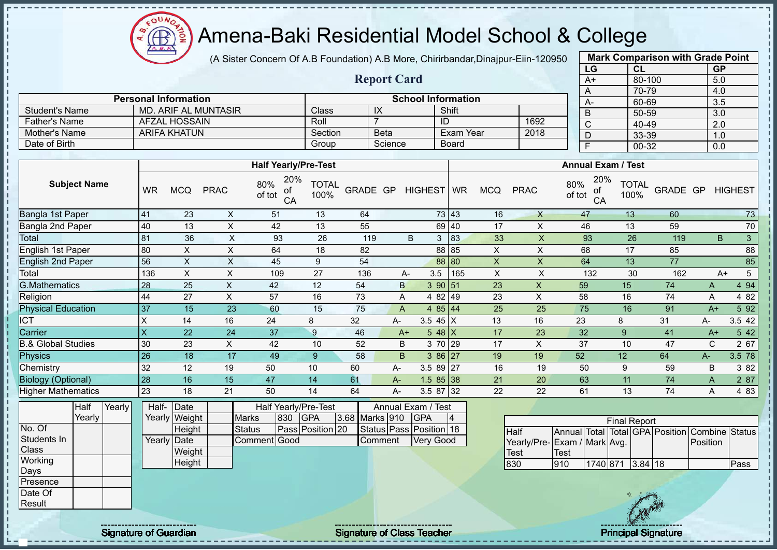Amena-Baki Residential Model School & College **AR** 

(A Sister Concern Of A.B Foundation) A.B More, Chirirbandar,Dinajpur-Eiin-120950 **Mark Comparison with Grade Point**

**Report Card**

| $\mu$                              |                           |                      |                  |  |  |  |
|------------------------------------|---------------------------|----------------------|------------------|--|--|--|
|                                    | LG                        | <b>CL</b>            | <b>GP</b>        |  |  |  |
|                                    | $A+$                      | 80-100               | 5.0              |  |  |  |
|                                    | A                         | 70-79                | 4.0              |  |  |  |
|                                    | $A -$                     | 60-69                | 3.5              |  |  |  |
|                                    | B                         | 50-59                | $\overline{3.0}$ |  |  |  |
| 1692                               | C                         | 40-49                | 2.0              |  |  |  |
| 2018                               | D                         | 33-39                | 1.0              |  |  |  |
|                                    | F                         | 00-32                | 0.0              |  |  |  |
|                                    |                           |                      |                  |  |  |  |
|                                    | <b>Annual Exam / Test</b> |                      |                  |  |  |  |
| 80%<br>CQ<br><b>PRAC</b><br>of tot | 20%<br>of<br>CA           | <b>TOTAL</b><br>100% | GRADE GP HIGHEST |  |  |  |
| 16<br>$\times$                     | 47                        | 13<br>60             | 73               |  |  |  |
| 17<br>X                            | 46                        | 13<br>59             | 70               |  |  |  |

|                |                             |                    |             |                           |      | $\overline{A}$ |
|----------------|-----------------------------|--------------------|-------------|---------------------------|------|----------------|
|                | <b>Personal Information</b> |                    |             | <b>School Information</b> |      | А-             |
| Student's Name | MD. ARIF AL MUNTASIR        | Class <sup>®</sup> |             | Shift                     |      | $\overline{B}$ |
| Father's Name  | AFZAL HOSSAIN               | Roll               |             | ID                        | 1692 | $\sim$<br>◡    |
| Mother's Name  | ARIFA KHATUN                | Section            | <b>Beta</b> | Exam Year                 | 2018 |                |
| Date of Birth  |                             | Group              | Science     | <b>Board</b>              |      |                |

|                               |              |            |             | <b>Half Yearly/Pre-Test</b>      |                      |          |    |                          | <b>Annual Exam / Test</b> |            |             |                                  |                      |          |       |                      |
|-------------------------------|--------------|------------|-------------|----------------------------------|----------------------|----------|----|--------------------------|---------------------------|------------|-------------|----------------------------------|----------------------|----------|-------|----------------------|
| <b>Subject Name</b>           | <b>WR</b>    | <b>MCQ</b> | <b>PRAC</b> | 20%<br>80%<br>of<br>of tot<br>CA | <b>TOTAL</b><br>100% | GRADE GP |    | HIGHEST WR               |                           | <b>MCQ</b> | <b>PRAC</b> | 20%<br>80%<br>of<br>of tot<br>CA | <b>TOTAL</b><br>100% | GRADE GP |       | <b>HIGHEST</b>       |
| Bangla 1st Paper              | 41           | 23         | X           | 51                               | 13                   | 64       |    |                          | 73 43                     | 16         | $\times$    | 47                               | 13                   | 60       |       | 73                   |
| Bangla 2nd Paper              | 40           | 13         | X           | 42                               | 13                   | 55       |    |                          | 69 40                     | 17         | X           | 46                               | 13                   | 59       |       | 70                   |
| Total                         | 81           | 36         | X           | 93                               | 26                   | 119      |    | B<br>3                   | 83                        | 33         | X           | 93                               | 26                   | 119      |       | 3 <sup>1</sup><br>B. |
| English 1st Paper             | 80           | X          | X           | 64                               | 18                   | 82       |    |                          | 88 85                     | X          | X           | 68                               | 17                   | 85       |       | 88                   |
| <b>English 2nd Paper</b>      | 56           | X          | X           | 45                               | 9                    | 54       |    |                          | 88 80                     | $\times$   | X           | 64                               | 13                   | 77       |       | 85                   |
| Total                         | 136          | X          | X           | 109                              | 27                   | 136      |    | 3.5<br>А-                | 165                       | X          | X           | 132                              | 30                   | 162      |       | 5<br>A+              |
| <b>G.Mathematics</b>          | 28           | 25         | X           | 42                               | 12                   | 54       |    | 390 51<br>B              |                           | 23         | X           | 59                               | 15                   | 74       | A     | 4 9 4                |
| Religion                      | 44           | 27         | X           | 57                               | 16                   | 73       |    | 4 82 49<br>A             |                           | 23         | X           | 58                               | 16                   | 74       | Α     | 4 8 2                |
| <b>Physical Education</b>     | 37           | 15         | 23          | 60                               | 15                   | 75       |    | 4 85 44<br>A             |                           | 25         | 25          | 75                               | 16                   | 91       | $A+$  | 5 92                 |
| <b>ICT</b>                    | Χ            | 14         | 16          | 24                               | 8                    | 32       | А- | 3.5 45 $X$               |                           | 13         | 16          | 23                               | 8                    | 31       | A-    | 3.5 42               |
| Carrier                       | $\mathsf{X}$ | 22         | 24          | 37                               | 9                    | 46       |    | $548$ X<br>$A+$          |                           | 17         | 23          | 32                               | 9                    | 41       | $A+$  | 5 42                 |
| <b>B.&amp; Global Studies</b> | 30           | 23         | X.          | 42                               | 10                   | 52       |    | B<br>3 70 29             |                           | 17         | X           | 37                               | 10                   | 47       | C     | 2 67                 |
| <b>Physics</b>                | 26           | 18         | 17          | 49                               | $9^{\circ}$          | 58       |    | $\, {\bf B}$<br>$386$ 27 |                           | 19         | 19          | 52                               | 12                   | 64       | $A -$ | 3.5 78               |
| Chemistry                     | 32           | 12         | 19          | 50                               | 10                   | 60       | А- | 3.5 89 27                |                           | 16         | 19          | 50                               | 9                    | 59       | B     | 3 82                 |
| <b>Biology (Optional)</b>     | 28           | 16         | 15          | 47                               | 14                   | 61       | A- | $1.585$ 38               |                           | 21         | 20          | 63                               | 11                   | 74       | A     | 2 87                 |
| <b>Higher Mathematics</b>     | 23           | 18         | 21          | 50                               | 14                   | 64       | А- | 3.5 87 32                |                           | 22         | 22          | 61                               | 13                   | 74       | A     | 4 8 3                |

|              | Half   | Yearly | Half-       | Date          |              |     | Half Yearly/Pre-Test | Annual Exam / Test |  |                         |  |  |  |
|--------------|--------|--------|-------------|---------------|--------------|-----|----------------------|--------------------|--|-------------------------|--|--|--|
|              | Yearlv |        |             | Yearly Weight | <b>Marks</b> | 830 | <b>IGPA</b>          | 3.68 Marks 910     |  | <b>GPA</b>              |  |  |  |
| No. Of       |        |        |             | Height        | Status       |     | Pass Position 20     |                    |  | Status Pass Position 18 |  |  |  |
| Students In  |        |        | Yearly Date |               | Comment Good |     |                      | <b>I</b> Comment   |  | <b>Very Good</b>        |  |  |  |
| <b>Class</b> |        |        |             | Weight        |              |     |                      |                    |  |                         |  |  |  |
| Working      |        |        |             | Height        |              |     |                      |                    |  |                         |  |  |  |
| Days         |        |        |             |               |              |     |                      |                    |  |                         |  |  |  |
| Presence     |        |        |             |               |              |     |                      |                    |  |                         |  |  |  |
| Date Of      |        |        |             |               |              |     |                      |                    |  |                         |  |  |  |
| Result       |        |        |             |               |              |     |                      |                    |  |                         |  |  |  |

| <b>Final Report</b>         |      |                  |  |  |  |                                                |      |  |  |  |  |  |  |
|-----------------------------|------|------------------|--|--|--|------------------------------------------------|------|--|--|--|--|--|--|
| <b>Half</b>                 |      |                  |  |  |  | Annual Total Total GPA Position Combine Status |      |  |  |  |  |  |  |
| Yearly/Pre-Exam / Mark Avg. |      |                  |  |  |  | <b>Position</b>                                |      |  |  |  |  |  |  |
| <b>Test</b>                 | Test |                  |  |  |  |                                                |      |  |  |  |  |  |  |
| 830                         | 910  | 1740 871 3.84 18 |  |  |  |                                                | Pass |  |  |  |  |  |  |

Signature of Guardian Signature of Class Teacher Principal Signature Principal Signature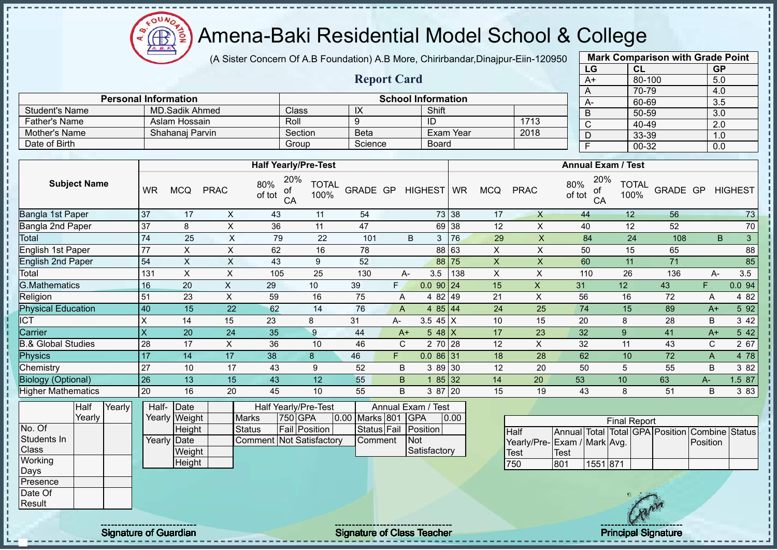$\Omega$ Æ

# Amena-Baki Residential Model School & College

(A Sister Concern Of A.B Foundation) A.B More, Chirirbandar,Dinajpur-Eiin-120950

**Report Card**

| <b>Mark Comparison with Grade Point</b> |        |           |  |  |  |  |  |  |  |  |
|-----------------------------------------|--------|-----------|--|--|--|--|--|--|--|--|
| LG                                      | CL     | <b>GP</b> |  |  |  |  |  |  |  |  |
| $A+$                                    | 80-100 | 5.0       |  |  |  |  |  |  |  |  |
| A                                       | 70-79  | 4.0       |  |  |  |  |  |  |  |  |
| A-                                      | 60-69  | 3.5       |  |  |  |  |  |  |  |  |
| B                                       | 50-59  | 3.0       |  |  |  |  |  |  |  |  |
| C                                       | 40-49  | 2.0       |  |  |  |  |  |  |  |  |
| D                                       | 33-39  | 1.0       |  |  |  |  |  |  |  |  |
| F                                       | 00-32  | 0.0       |  |  |  |  |  |  |  |  |

|                      | <b>Personal Information</b> |              |             | <b>School Information</b> |      |  |  | 60-69     |  |  |  |  |  |
|----------------------|-----------------------------|--------------|-------------|---------------------------|------|--|--|-----------|--|--|--|--|--|
| Student's Name       | MD.Sadik Ahmed              | <b>Class</b> | -IX         | Shift                     |      |  |  | $50 - 59$ |  |  |  |  |  |
| <b>Father's Name</b> | Aslam Hossain               | Roll         |             | ID                        | 1713 |  |  | $40 - 49$ |  |  |  |  |  |
| Mother's Name        | Shahanai Parvin             | Section      | <b>Beta</b> | Exam Year                 | 2018 |  |  | $33 - 39$ |  |  |  |  |  |
| Date of Birth        |                             | Group        | Science     | Board                     |      |  |  | $00 - 32$ |  |  |  |  |  |

|                               |           |            |             | <b>Half Yearly/Pre-Test</b>      |                      |          |              |             |       |            |             | <b>Annual Exam / Test</b>        |                      |          |       |                |
|-------------------------------|-----------|------------|-------------|----------------------------------|----------------------|----------|--------------|-------------|-------|------------|-------------|----------------------------------|----------------------|----------|-------|----------------|
| <b>Subject Name</b>           | <b>WR</b> | <b>MCQ</b> | <b>PRAC</b> | 20%<br>80%<br>οf<br>of tot<br>CA | <b>TOTAL</b><br>100% | GRADE GP |              | HIGHEST WR  |       | <b>MCQ</b> | <b>PRAC</b> | 20%<br>80%<br>of<br>of tot<br>CA | <b>TOTAL</b><br>100% | GRADE GP |       | <b>HIGHEST</b> |
| Bangla 1st Paper              | 37        | 17         | X           | 43                               | 11                   | 54       |              |             | 73 38 | 17         | X           | 44                               | 12                   | 56       |       | 73             |
| Bangla 2nd Paper              | 37        | 8          | X           | 36                               | 11                   | 47       |              |             | 69 38 | 12         | X           | 40                               | 12                   | 52       |       | 70             |
| Total                         | 74        | 25         | X           | 79                               | 22                   | 101      |              | 3<br>B      | 76    | 29         | X           | 84                               | 24                   | 108      |       | 3<br>B         |
| English 1st Paper             | 77        | X          | X           | 62                               | 16                   | 78       |              |             | 88 63 | X          | X           | 50                               | 15                   | 65       |       | 88             |
| English 2nd Paper             | 54        | X          | X           | 43                               | 9                    | 52       |              |             | 88 75 | X          | X           | 60                               | 11                   | 71       |       | 85             |
| Total                         | 131       | X          | X           | 105                              | 25                   | 130      |              | 3.5<br>A-   | 138   | X          | X           | 110                              | 26                   | 136      |       | 3.5<br>$A-$    |
| <b>G.Mathematics</b>          | 16        | 20         | X.          | 29                               | 10                   | 39       | F.           | $0.0$ 90 24 |       | 15         | X           | 31                               | 12 <sup>2</sup>      | 43       | F     | 0.094          |
| Religion                      | 51        | 23         | X           | 59                               | 16                   | 75       | A            | 4 82 49     |       | 21         | X           | 56                               | 16                   | 72       | Α     | 4 8 2          |
| <b>Physical Education</b>     | 40        | 15         | 22          | 62                               | 14                   | 76       | A            | 4 85 44     |       | 24         | 25          | 74                               | 15                   | 89       | $A+$  | 5 92           |
| <b>ICT</b>                    | X         | 14         | 15          | 23                               | 8                    | 31       | $A -$        | 3.5 45 $X$  |       | 10         | 15          | 20                               | 8                    | 28       | B     | 3 4 2          |
| Carrier                       | X         | 20         | 24          | 35                               | 9                    | 44       | $A+$         | 5 48 $X$    |       | 17         | 23          | 32                               | 9                    | 41       | $A+$  | 5 42           |
| <b>B.&amp; Global Studies</b> | 28        | 17         | X           | 36                               | 10                   | 46       | $\mathsf{C}$ | 2 70 28     |       | 12         | X           | 32                               | 11                   | 43       | C     | 2 67           |
| Physics                       | 17        | 14         | 17          | 38                               | 8                    | 46       | F.           | $0.086$ 31  |       | 18         | 28          | 62                               | 10                   | 72       | A     | 4 78           |
| Chemistry                     | 27        | 10         | 17          | 43                               | 9                    | 52       | B            | 3 89 30     |       | 12         | 20          | 50                               | 5                    | 55       | B     | 3 82           |
| <b>Biology (Optional)</b>     | 26        | 13         | 15          | 43                               | 12 <sup>2</sup>      | 55       | B.           |             | 85 32 | 14         | 20          | 53                               | 10                   | 63       | $A -$ | 1.5 87         |
| <b>Higher Mathematics</b>     | 20        | 16         | 20          | 45                               | 10                   | 55       | B            | 3 87 20     |       | 15         | 19          | 43                               | 8                    | 51       | B     | 3 8 3          |

|              | Half     | Yearly | Half- Date<br><b>Half Yearly/Pre-Test</b> |               |  |                                 | Annual Exam / Test   |                    |  |                      |      |
|--------------|----------|--------|-------------------------------------------|---------------|--|---------------------------------|----------------------|--------------------|--|----------------------|------|
|              | Yearlv l |        |                                           | Yearly Weight |  | <b>Marks</b>                    | 750 GPA              | 0.00 Marks 801 GPA |  |                      | 0.00 |
| No. Of       |          |        |                                           | Height        |  | Status                          | <b>Fail Position</b> |                    |  | Status Fail Position |      |
| Students In  |          |        | Yearly Date                               |               |  | <b>Comment Not Satisfactory</b> |                      | Comment            |  | <b>INot</b>          |      |
| <b>Class</b> |          |        |                                           | Weight        |  |                                 |                      |                    |  | Satisfactory         |      |
| Working      |          |        |                                           | Height        |  |                                 |                      |                    |  |                      |      |
| Days         |          |        |                                           |               |  |                                 |                      |                    |  |                      |      |
| Presence     |          |        |                                           |               |  |                                 |                      |                    |  |                      |      |
| Date Of      |          |        |                                           |               |  |                                 |                      |                    |  |                      |      |

| <b>Final Report</b>         |      |          |  |  |  |                                                |  |  |  |  |  |  |  |
|-----------------------------|------|----------|--|--|--|------------------------------------------------|--|--|--|--|--|--|--|
| <b>I</b> Half               |      |          |  |  |  | Annual Total Total GPA Position Combine Status |  |  |  |  |  |  |  |
| Yearly/Pre-Exam / Mark Avg. |      |          |  |  |  | <b>Position</b>                                |  |  |  |  |  |  |  |
| 'Test                       | Test |          |  |  |  |                                                |  |  |  |  |  |  |  |
| 750                         | 1801 | 1551 871 |  |  |  |                                                |  |  |  |  |  |  |  |

Result

J. J.  $\mathbf{I}$ 

Signature of Guardian Signature of Class Teacher Number of Class Teacher Principal Signature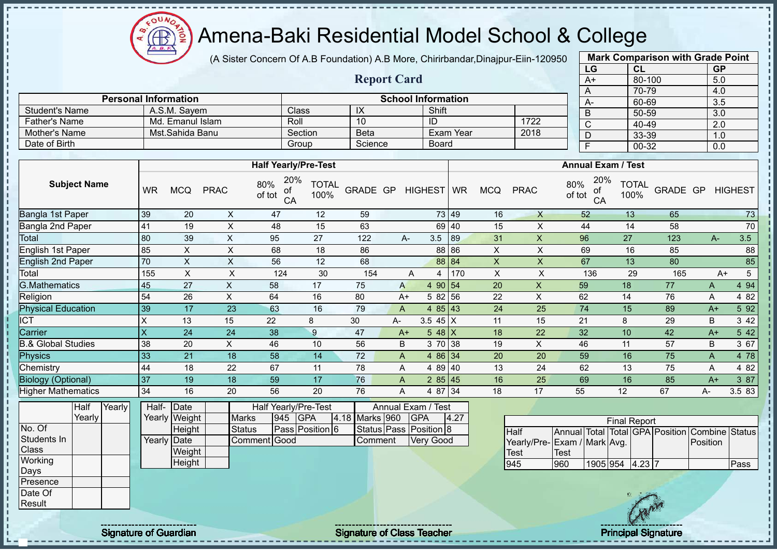$QUN$ Æ

## Amena-Baki Residential Model School & College

(A Sister Concern Of A.B Foundation) A.B More, Chirirbandar,Dinajpur-Eiin-120950

**Report Card**

**Personal Information School Information** 

Father's Name Md. Emanul Islam Roll 10 ID 1722<br>
Mother's Name Mst. Sahida Banu Section Beta Exam Year 2018

Student's Name A.S.M. Sayem Class IX Shift<br>
Father's Name Md. Emanul Islam Roll 10 ID

Mother's Name Mst.Sahida Banu Section Beta Exam Year Date of Birth Group Science Board

| <b>Mark Comparison with Grade Point</b> |        |           |  |  |  |  |  |  |  |  |
|-----------------------------------------|--------|-----------|--|--|--|--|--|--|--|--|
| LG                                      | CL     | <b>GP</b> |  |  |  |  |  |  |  |  |
| $A+$                                    | 80-100 | 5.0       |  |  |  |  |  |  |  |  |
| A                                       | 70-79  | 4.0       |  |  |  |  |  |  |  |  |
| А-                                      | 60-69  | 3.5       |  |  |  |  |  |  |  |  |
| B                                       | 50-59  | 3.0       |  |  |  |  |  |  |  |  |
| $\overline{C}$                          | 40-49  | 2.0       |  |  |  |  |  |  |  |  |
| D                                       | 33-39  | 1.0       |  |  |  |  |  |  |  |  |
| F                                       | 00-32  | 0.0       |  |  |  |  |  |  |  |  |

|                               |                     |        |             |               |               |                                  |                      |                |      |                        |       |             |                              |                                                |                 | $\sim$ $\sim$ $\sim$ $\sim$ |          | $\ddotsc$    |                |
|-------------------------------|---------------------|--------|-------------|---------------|---------------|----------------------------------|----------------------|----------------|------|------------------------|-------|-------------|------------------------------|------------------------------------------------|-----------------|-----------------------------|----------|--------------|----------------|
|                               |                     |        |             |               |               |                                  |                      |                |      |                        |       |             |                              | <b>Annual Exam / Test</b>                      |                 |                             |          |              |                |
|                               |                     |        |             |               |               | <b>Half Yearly/Pre-Test</b>      |                      |                |      |                        |       |             |                              |                                                |                 |                             |          |              |                |
|                               | <b>Subject Name</b> |        | <b>WR</b>   | <b>MCQ</b>    | <b>PRAC</b>   | 20%<br>80%<br>ot<br>of tot<br>CA | <b>TOTAL</b><br>100% |                |      | GRADE GP HIGHEST WR    |       | <b>MCQ</b>  | <b>PRAC</b>                  | 80%<br>of tot                                  | 20%<br>οf<br>CA | <b>TOTAL</b><br>100%        | GRADE GP |              | <b>HIGHEST</b> |
| Bangla 1st Paper              |                     |        | 39          | 20            | X             | 47                               | 12                   | 59             |      |                        | 73 49 | 16          | $\mathsf{X}$                 | 52                                             |                 | 13                          | 65       |              | 73             |
| Bangla 2nd Paper              |                     |        | 41          | 19            | X             | 48                               | 15                   | 63             |      |                        | 69 40 | 15          | X                            | 44                                             |                 | 14                          | 58       |              | 70             |
| Total                         |                     |        | 80          | 39            | $\times$      | 95                               | 27                   | 122            |      | 3.5<br>A-              | 89    | 31          | $\sf X$                      | 96                                             |                 | 27                          | 123      | $A -$        | 3.5            |
| English 1st Paper             |                     |        | 85          | X             | X             | 68                               | 18                   | 86             |      |                        | 88 86 | X           | X                            | 69                                             |                 | 16                          | 85       |              | 88             |
| English 2nd Paper             |                     |        | 70          | X             | $\mathsf X$   | 56                               | 12                   | 68             |      |                        | 88 84 | $\mathsf X$ | X                            | 67                                             |                 | 13                          | 80       |              | 85             |
| Total                         |                     |        | 155         | X             | X             | 124                              | 30                   | 154            |      | A<br>4                 | 170   | $\mathsf X$ | X                            | 136                                            |                 | 29                          | 165      | $A+$         | $\sqrt{5}$     |
| <b>G.Mathematics</b>          |                     |        | 45          | 27            | X             | 58                               | 17                   | 75             | A    | 4 90 54                |       | 20          | $\pmb{\mathsf{X}}$           | 59                                             |                 | 18                          | 77       | A            | 4 9 4          |
| Religion                      |                     |        | 54          | 26            | X             | 64                               | 16                   | 80             |      | 5 82 56<br>$A+$        |       | 22          | $\sf X$                      | 62                                             |                 | 14                          | 76       | A            | 4 8 2          |
| <b>Physical Education</b>     |                     |        | 39          | 17            | 23            | 63                               | 16                   | 79             | A    | 4 $85 \mid 43$         |       | 24          | 25                           | 74                                             |                 | 15                          | 89       | $A+$         | 5 9 2          |
| <b>CT</b>                     |                     |        | $\mathsf X$ | 13            | 15            | 22                               | 8                    | 30             | А-   | 3.5 $45 \mid X$        |       | 11          | 15                           | 21                                             |                 | 8                           | 29       | B            | 3 4 2          |
| Carrier                       |                     |        | X           | 24            | 24            | 38                               | 9                    | 47             | $A+$ | $548$ X                |       | 18          | 22                           | 32                                             |                 | 10                          | 42       | $A+$         | 5 42           |
| <b>B.&amp; Global Studies</b> |                     |        | 38          | 20            | X             | 46                               | 10                   | 56             | B    | 3 70 38                |       | 19          | $\mathsf X$                  | 46                                             |                 | 11                          | 57       | B            | 3 67           |
| Physics                       |                     |        | 33          | 21            | 18            | 58                               | 14                   | 72             | A    | 4 86 34                |       | 20          | 20                           | 59                                             |                 | 16                          | 75       | $\mathsf{A}$ | 4 78           |
| Chemistry                     |                     |        | 44          | 18            | 22            | 67                               | 11                   | 78             | A    | 4 8 9                  | 40    | 13          | 24                           | 62                                             |                 | 13                          | 75       | A            | 4 8 2          |
| <b>Biology (Optional)</b>     |                     |        | 37          | 19            | 18            | 59                               | 17                   | 76             | A    | 285   45               |       | 16          | 25                           | 69                                             |                 | 16                          | 85       | $A+$         | 3 87           |
| <b>Higher Mathematics</b>     |                     |        | 34          | 16            | 20            | 56                               | 20                   | 76             | A    | 4 87 34                |       | 18          | 17                           | 55                                             |                 | 12                          | 67       | A-           | 3.5 83         |
|                               | Half                | Yearly | Half-       | Date          |               | Half Yearly/Pre-Test             |                      |                |      | Annual Exam / Test     |       |             |                              |                                                |                 |                             |          |              |                |
|                               | Yearly              |        |             | Yearly Weight | <b>Marks</b>  | 945                              | <b>GPA</b>           | 4.18 Marks 960 |      | <b>GPA</b>             | 4.27  |             |                              |                                                |                 | <b>Final Report</b>         |          |              |                |
| No. Of                        |                     |        |             | Height        | <b>Status</b> |                                  | Pass Position 6      |                |      | Status Pass Position 8 |       |             | <b>Half</b>                  | Annual Total Total GPA Position Combine Status |                 |                             |          |              |                |
| Students In                   |                     |        | Yearly      | Date          |               | Comment Good                     |                      | Comment        |      | <b>Very Good</b>       |       |             | Yearly/Pre- Exam / Mark Avg. |                                                |                 |                             |          | Position     |                |
| Class                         |                     |        |             | Weight        |               |                                  |                      |                |      |                        |       |             | <b>Test</b>                  | Test                                           |                 |                             |          |              |                |
| Working                       |                     |        |             | Height        |               |                                  |                      |                |      |                        |       |             | 945                          | 960                                            |                 | 1905 954 4.23 7             |          |              | Pass           |
| Days<br>Presence              |                     |        |             |               |               |                                  |                      |                |      |                        |       |             |                              |                                                |                 |                             |          |              |                |
|                               |                     |        |             |               |               |                                  |                      |                |      |                        |       |             |                              |                                                |                 |                             |          |              |                |



Date Of **Result** 

T. T,

Signature of Guardian Signature Signature of Class Teacher Number of Class Teacher Principal Signature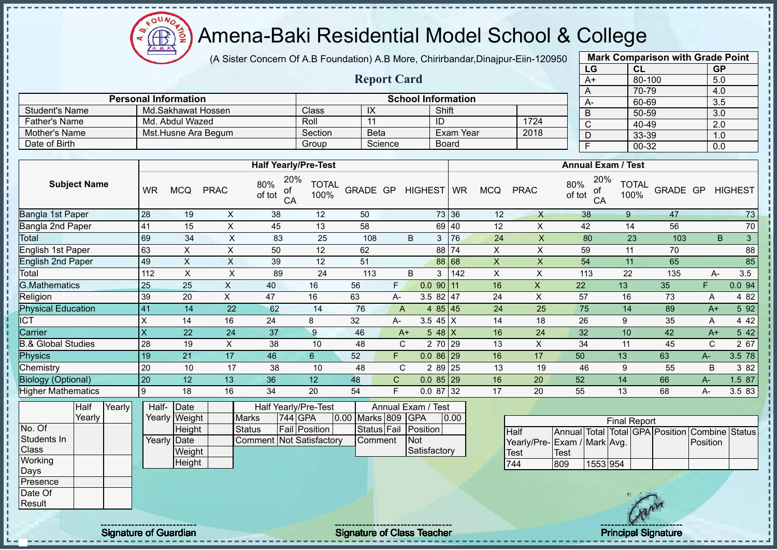$\Omega$ Æ

# Amena-Baki Residential Model School & College

(A Sister Concern Of A.B Foundation) A.B More, Chirirbandar,Dinajpur-Eiin-120950

|      | <b>Mark Comparison with Grade Point</b> |           |
|------|-----------------------------------------|-----------|
| LG   | CL                                      | <b>GP</b> |
| $A+$ | 80-100                                  | 5.0       |
| Α    | 70-79                                   | 4.0       |
| A-   | 60-69                                   | 3.5       |
| B    | 50-59                                   | 3.0       |
| C    | 40-49                                   | 2.0       |
| D    | 33-39                                   | 1.0       |
| F    | 00-32                                   | 0.0       |
|      |                                         |           |

|                      |                             |         | <b>Report Card</b> |                           |      | A+   |  |  |  |  |  |  |  |
|----------------------|-----------------------------|---------|--------------------|---------------------------|------|------|--|--|--|--|--|--|--|
|                      |                             |         |                    |                           |      |      |  |  |  |  |  |  |  |
|                      | <b>Personal Information</b> |         |                    | <b>School Information</b> |      | $A-$ |  |  |  |  |  |  |  |
| Student's Name       | Md.Sakhawat Hossen          | Class   | IX                 | Shift                     |      |      |  |  |  |  |  |  |  |
| <b>Father's Name</b> | Md. Abdul Wazed             | Roll    |                    | ID                        | 1724 |      |  |  |  |  |  |  |  |
| Mother's Name        | Mst.Husne Ara Begum         | Section | <b>Beta</b>        | Exam Year                 | 2018 |      |  |  |  |  |  |  |  |
| Date of Birth        |                             | Group   | Science            | <b>Board</b>              |      |      |  |  |  |  |  |  |  |

|                               |                         |            |             | <b>Half Yearly/Pre-Test</b>      |                      |          |              |                  |       |            |             | <b>Annual Exam / Test</b>        |                      |          |       |                      |
|-------------------------------|-------------------------|------------|-------------|----------------------------------|----------------------|----------|--------------|------------------|-------|------------|-------------|----------------------------------|----------------------|----------|-------|----------------------|
| <b>Subject Name</b>           | <b>WR</b>               | <b>MCQ</b> | <b>PRAC</b> | 20%<br>80%<br>of<br>of tot<br>CA | <b>TOTAL</b><br>100% | GRADE GP |              | HIGHEST WR       |       | <b>MCQ</b> | <b>PRAC</b> | 20%<br>80%<br>οf<br>of tot<br>CA | <b>TOTAL</b><br>100% | GRADE GP |       | <b>HIGHEST</b>       |
| Bangla 1st Paper              | 28                      | 19         | X           | 38                               | 12                   | 50       |              |                  | 73 36 | 12         | X           | 38                               | 9                    | 47       |       | 73                   |
| Bangla 2nd Paper              | 41                      | 15         | X           | 45                               | 13                   | 58       |              |                  | 69 40 | 12         | X           | 42                               | 14                   | 56       |       | $70\,$               |
| Total                         | 69                      | 34         | X           | 83                               | 25                   | 108      |              | B<br>3           | 76    | 24         | X           | 80                               | 23                   | 103      |       | $\mathfrak{S}$<br>B. |
| English 1st Paper             | 63                      | X.         | X           | 50                               | 12                   | 62       |              |                  | 88 74 | X          | X           | 59                               | 11                   | 70       |       | 88                   |
| <b>English 2nd Paper</b>      | 49                      | X          | X           | 39                               | 12                   | 51       |              |                  | 88 68 | X          | X           | 54                               | 11                   | 65       |       | 85                   |
| Total                         | 112                     | X          | X           | 89                               | 24                   | 113      |              | B<br>3           | 142   | X          | X           | 113                              | 22                   | 135      | A-    | 3.5                  |
| <b>G.Mathematics</b>          | 25                      | 25         | X           | 40                               | 16                   | 56       | F.           | $0.0$ 90 11      |       | 16         | X           | 22                               | 13                   | 35       | F     | 0.094                |
| Religion                      | 39                      | 20         | X           | 47                               | 16                   | 63       | A-           | $3.582$   47     |       | 24         | X           | 57                               | 16                   | 73       | Α     | 4 8 2                |
| <b>Physical Education</b>     | 41                      | 14         | 22          | 62                               | 14                   | 76       | A            | 4 $85 \mid 45$   |       | 24         | 25          | 75                               | 14                   | 89       | $A+$  | 5 92                 |
| $\overline{ICT}$              | $\times$                | 14         | 16          | 24                               | 8                    | 32       | A-           | 3.5 45 $X$       |       | 14         | 18          | 26                               | 9                    | 35       | A     | 4 4 2                |
| Carrier                       | $\overline{\mathsf{x}}$ | 22         | 24          | 37                               | 9                    | 46       |              | 5 48 $X$<br>$A+$ |       | 16         | 24          | 32                               | 10                   | 42       | $A+$  | 5 42                 |
| <b>B.&amp; Global Studies</b> | 28                      | 19         | X           | 38                               | 10                   | 48       |              | C<br>2 70 29     |       | 13         | X           | 34                               | 11                   | 45       | C     | 2 67                 |
| Physics                       | 19                      | 21         | 17          | 46                               | 6                    | 52       | F.           | $0.086$ 29       |       | 16         | 17          | 50                               | 13                   | 63       | $A -$ | 3.5 78               |
| Chemistry                     | 20                      | 10         | 17          | 38                               | 10                   | 48       |              | C<br>2 89 25     |       | 13         | 19          | 46                               | 9                    | 55       | B     | 3 82                 |
| <b>Biology (Optional)</b>     | 20                      | 12         | 13          | 36                               | 12                   | 48       | $\mathsf{C}$ | $0.085$  29      |       | 16         | 20          | 52                               | 14                   | 66       | $A -$ | 1.5 87               |
| <b>Higher Mathematics</b>     | Ι9                      | 18         | 16          | 34                               | 20                   | 54       | F.           | 0.08732          |       | 17         | 20          | 55                               | 13                   | 68       | А-    | 3.5 83               |

|              | Half   | Yearly | Half- Date  |               |                                 | <b>Half Yearly/Pre-Test</b> |  | Annual Exam / Test |              |      |
|--------------|--------|--------|-------------|---------------|---------------------------------|-----------------------------|--|--------------------|--------------|------|
|              | Yearlv |        |             | Yearly Weight | <b>Marks</b>                    | 744 GPA                     |  | 0.00 Marks 809 GPA |              | 0.00 |
| No. Of       |        |        |             | Height        | Status                          | <b>Fail Position</b>        |  | Status Fail        | Position     |      |
| Students In  |        |        | Yearly Date |               | <b>Comment Not Satisfactory</b> |                             |  | Comment            | <b>INot</b>  |      |
| <b>Class</b> |        |        |             | Weight        |                                 |                             |  |                    | Satisfactory |      |
| Working      |        |        |             | Height        |                                 |                             |  |                    |              |      |
| Days         |        |        |             |               |                                 |                             |  |                    |              |      |
| Presence     |        |        |             |               |                                 |                             |  |                    |              |      |
| Date Of      |        |        |             |               |                                 |                             |  |                    |              |      |

|                             |             |          | <b>Final Report</b> |  |                                                |  |
|-----------------------------|-------------|----------|---------------------|--|------------------------------------------------|--|
| <b>I</b> Half               |             |          |                     |  | Annual Total Total GPA Position Combine Status |  |
| Yearly/Pre-Exam / Mark Avg. |             |          |                     |  | Position                                       |  |
| <b>I</b> Test               | <b>Test</b> |          |                     |  |                                                |  |
| 744                         | 809         | 1553 954 |                     |  |                                                |  |

Result

j. J.  $\mathbf{I}$  $\mathbf{I}$  $\mathbf I$  $\mathbf{I}$ 

Signature of Guardian Signature of Class Teacher Principal Signature of Class Teacher Principal Signature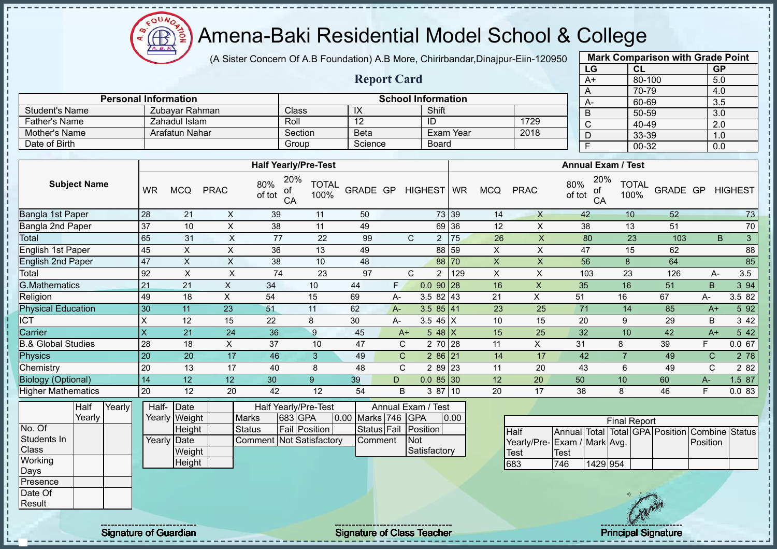$\Omega$ Æ

# Amena-Baki Residential Model School & College

(A Sister Concern Of A.B Foundation) A.B More, Chirirbandar,Dinajpur-Eiin-120950

**Report Card**

| <b>Mark Comparison with Grade Point</b><br>LG |           |  |  |  |  |  |  |  |  |  |  |
|-----------------------------------------------|-----------|--|--|--|--|--|--|--|--|--|--|
| CL                                            | <b>GP</b> |  |  |  |  |  |  |  |  |  |  |
| 80-100                                        | 5.0       |  |  |  |  |  |  |  |  |  |  |
| 70-79                                         | 4.0       |  |  |  |  |  |  |  |  |  |  |
| 60-69                                         | 3.5       |  |  |  |  |  |  |  |  |  |  |
| 50-59                                         | 3.0       |  |  |  |  |  |  |  |  |  |  |
| 40-49                                         | 2.0       |  |  |  |  |  |  |  |  |  |  |
| 33-39                                         | 1.0       |  |  |  |  |  |  |  |  |  |  |
| 00-32                                         | 0.0       |  |  |  |  |  |  |  |  |  |  |
|                                               |           |  |  |  |  |  |  |  |  |  |  |

|                | <b>Personal Information</b> |              | <b>School Information</b> |           |      |  |  |           |  |  |  |
|----------------|-----------------------------|--------------|---------------------------|-----------|------|--|--|-----------|--|--|--|
| Student's Name | Zubavar Rahman              | <b>Class</b> | IX                        | Shift     |      |  |  | $50-5$    |  |  |  |
| Father's Name  | Zahadul Islam               | Roll         |                           | -ID       | 1729 |  |  | $40 - 49$ |  |  |  |
| Mother's Name  | Arafatun Nahar              | Section      | <b>Beta</b>               | Exam Year | 2018 |  |  | $33 - 39$ |  |  |  |
| Date of Birth  |                             | Group        | Science                   | Board     |      |  |  | $00 - 31$ |  |  |  |

|                           |                         |            |             | <b>Half Yearly/Pre-Test</b>      |                      |          |       |                         |       |            |             | <b>Annual Exam / Test</b>        |                      |          |      |                |
|---------------------------|-------------------------|------------|-------------|----------------------------------|----------------------|----------|-------|-------------------------|-------|------------|-------------|----------------------------------|----------------------|----------|------|----------------|
| <b>Subject Name</b>       | <b>WR</b>               | <b>MCQ</b> | <b>PRAC</b> | 20%<br>80%<br>of<br>of tot<br>CA | <b>TOTAL</b><br>100% | GRADE GP |       | HIGHEST WR              |       | <b>MCQ</b> | <b>PRAC</b> | 20%<br>80%<br>οf<br>of tot<br>CA | <b>TOTAL</b><br>100% | GRADE GP |      | <b>HIGHEST</b> |
| Bangla 1st Paper          | 28                      | 21         | X           | 39                               | 11                   | 50       |       |                         | 73 39 | 14         | X           | 42                               | 10                   | 52       |      | 73             |
| Bangla 2nd Paper          | 37                      | 10         | X           | 38                               | 11                   | 49       |       |                         | 69 36 | 12         | X           | 38                               | 13                   | 51       |      | $70\,$         |
| <b>Total</b>              | 65                      | 31         | X           | 77                               | 22                   | 99       |       | C<br>$\overline{2}$     | 75    | 26         | X           | 80                               | 23                   | 103      |      | 3<br>B         |
| English 1st Paper         | 45                      | X          | X           | 36                               | 13                   | 49       |       |                         | 88 59 | X          | X           | 47                               | 15                   | 62       |      | 88             |
| <b>English 2nd Paper</b>  | 47                      | X          | X           | 38                               | 10                   | 48       |       |                         | 88 70 | X          | X           | 56                               | 8                    | 64       |      | 85             |
| Total                     | 92                      | X          | X           | 74                               | 23                   | 97       |       | C.<br>2                 | 129   | X          | X           | 103                              | 23                   | 126      | A-   | 3.5            |
| <b>G.Mathematics</b>      | 21                      | 21         | X.          | 34                               | 10                   | 44       | F.    | $0.090$ 28              |       | 16         | X           | 35                               | 16                   | 51       | B    | 3 94           |
| Religion                  | 49                      | 18         | X.          | 54                               | 15                   | 69       | А-    | $3.582$   43            |       | 21         | X           | 51                               | 16                   | 67       | A-   | 3.5 82         |
| <b>Physical Education</b> | 30                      | 11         | 23          | 51                               | 11                   | 62       | $A -$ | $3.585$   41            |       | 23         | 25          | 71                               | 14                   | 85       | $A+$ | 5 9 2          |
| <b>ICT</b>                | X                       | 12         | 15          | 22                               | 8                    | 30       | A-    | 3.5 45 $X$              |       | 10         | 15          | 20                               | 9                    | 29       | B    | 3 4 2          |
| Carrier                   | $\overline{\mathsf{x}}$ | 21         | 24          | 36                               | 9                    | 45       |       | $548$ X<br>$A+$         |       | 15         | 25          | 32                               | 10                   | 42       | $A+$ | 5 42           |
| 3.& Global Studies        | 28                      | 18         | X           | 37                               | 10                   | 47       |       | 2 70 28<br>$\mathbf{C}$ |       | 11         | X           | 31                               | 8                    | 39       | F    | 0.067          |
| Physics                   | 20                      | 20         | 17          | 46                               | 3                    | 49       |       | $\mathsf{C}$<br>286 21  |       | 14         | 17          | 42                               |                      | 49       | C    | 2 78           |
| Chemistry                 | 20                      | 13         | 17          | 40                               | 8                    | 48       |       | $\mathbf{C}$<br>2 89 23 |       | 11         | 20          | 43                               | 6                    | 49       | C    | 2 8 2          |
| <b>Biology (Optional)</b> | 14                      | 12         | 12          | 30                               | 9                    | 39       | D     | $0.085$ 30              |       | 12         | 20          | 50                               | 10 <sup>1</sup>      | 60       | A-   | 1.5 87         |
| <b>Higher Mathematics</b> | 20                      | 12         | 20          | 42                               | 12                   | 54       | B     | 3 87                    | 10    | 20         | 17          | 38                               | 8                    | 46       | F    | 0.083          |

|              | Half   | Yearly | Half- Date  |               |                                 | <b>Half Yearly/Pre-Test</b> | Annual Exam / Test |                    |  |                      |      |
|--------------|--------|--------|-------------|---------------|---------------------------------|-----------------------------|--------------------|--------------------|--|----------------------|------|
|              | Yearlv |        |             | Yearly Weight | <b>Marks</b>                    | 683 GPA                     |                    | 0.00 Marks 746 GPA |  |                      | 0.00 |
| No. Of       |        |        |             | Height        | Status                          | <b>Fail Position</b>        |                    |                    |  | Status Fail Position |      |
| Students In  |        |        | Yearly Date |               | <b>Comment Not Satisfactory</b> |                             |                    | Comment            |  | <b>INot</b>          |      |
| <b>Class</b> |        |        |             | Weight        |                                 |                             |                    |                    |  | Satisfactory         |      |
| Working      |        |        |             | Height        |                                 |                             |                    |                    |  |                      |      |
| Days         |        |        |             |               |                                 |                             |                    |                    |  |                      |      |
| Presence     |        |        |             |               |                                 |                             |                    |                    |  |                      |      |
| Date Of      |        |        |             |               |                                 |                             |                    |                    |  |                      |      |

| <b>Final Report</b>          |              |          |  |  |  |                                                |  |  |  |  |  |  |  |
|------------------------------|--------------|----------|--|--|--|------------------------------------------------|--|--|--|--|--|--|--|
| <b>I</b> Half                |              |          |  |  |  | Annual Total Total GPA Position Combine Status |  |  |  |  |  |  |  |
| Yearly/Pre- Exam / Mark Avg. |              |          |  |  |  | Position                                       |  |  |  |  |  |  |  |
| <b>Test</b>                  | <b>ITest</b> |          |  |  |  |                                                |  |  |  |  |  |  |  |
| 683                          | 746          | 1429 954 |  |  |  |                                                |  |  |  |  |  |  |  |

Result

л  $\mathbf{I}$ j  $\mathbf{I}$ 

Signature of Guardian Signature of Class Teacher Principal Signature of Class Teacher Principal Signature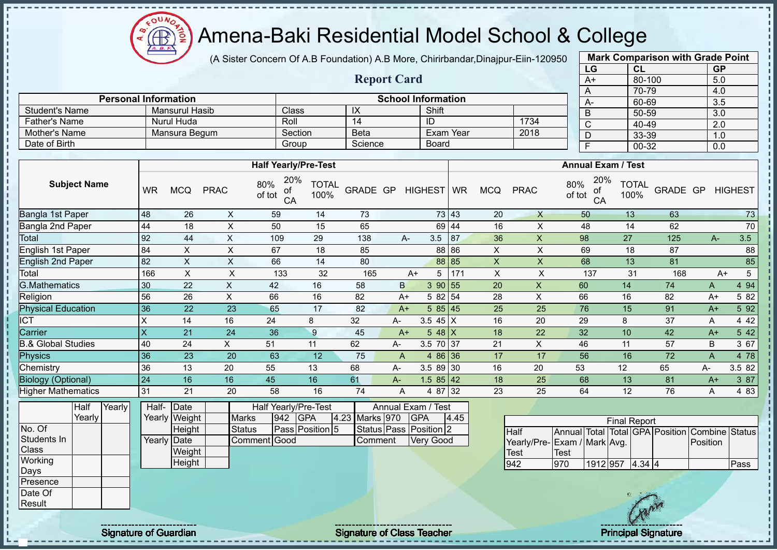$QUN$ Æ

# Amena-Baki Residential Model School & College

(A Sister Concern Of A.B Foundation) A.B More, Chirirbandar,Dinajpur-Eiin-120950

**Report Card**

**Personal Information School Information** 

Pather's Name **Nurul Huda** Roll 14 ID 1734<br>
Mother's Name Mansura Begum Section Beta Exam Year 2018

Student's Name Mansurul Hasib Class IX Shift<br>
Father's Name Nurul Huda Roll 14 ID

Mother's Name Mansura Begum Section Beta Exam Year

| <b>Mark Comparison with Grade Point</b> |        |           |  |  |  |  |  |  |  |  |  |
|-----------------------------------------|--------|-----------|--|--|--|--|--|--|--|--|--|
| LG                                      | CL     | <b>GP</b> |  |  |  |  |  |  |  |  |  |
| $A+$                                    | 80-100 | 5.0       |  |  |  |  |  |  |  |  |  |
| A                                       | 70-79  | 4.0       |  |  |  |  |  |  |  |  |  |
| А-                                      | 60-69  | 3.5       |  |  |  |  |  |  |  |  |  |
| B                                       | 50-59  | 3.0       |  |  |  |  |  |  |  |  |  |
| С                                       | 40-49  | 2.0       |  |  |  |  |  |  |  |  |  |
| D                                       | 33-39  | 1.0       |  |  |  |  |  |  |  |  |  |
| F                                       | 00-32  | 0.0       |  |  |  |  |  |  |  |  |  |

| Date of Birth                 |        |           |                       |                | Group                            |                      | Science           |                        |            | Board            |      |                |                |                  | Ŧ                         |                     | $00 - 32$    |                                                | 0.0      |                |
|-------------------------------|--------|-----------|-----------------------|----------------|----------------------------------|----------------------|-------------------|------------------------|------------|------------------|------|----------------|----------------|------------------|---------------------------|---------------------|--------------|------------------------------------------------|----------|----------------|
|                               |        |           |                       |                |                                  |                      |                   |                        |            |                  |      |                |                |                  |                           |                     |              |                                                |          |                |
|                               |        |           |                       |                | <b>Half Yearly/Pre-Test</b>      |                      |                   |                        |            |                  |      |                |                |                  | <b>Annual Exam / Test</b> |                     |              |                                                |          |                |
| <b>Subject Name</b>           |        | <b>WR</b> | <b>MCQ</b>            | <b>PRAC</b>    | 20%<br>80%<br>of<br>of tot<br>CA | <b>TOTAL</b><br>100% | GRADE GP          |                        |            | HIGHEST WR       |      | <b>MCQ</b>     | <b>PRAC</b>    | 80%<br>of tot    | 20%<br>оf<br>CA           | 100%                | <b>TOTAL</b> | GRADE GP                                       |          | <b>HIGHEST</b> |
| Bangla 1st Paper              |        | 48        | 26                    | X              | 59                               | 14                   | 73                |                        |            | 73 43            |      | 20             | $\mathsf{X}$   |                  | 50                        | 13                  |              | 63                                             |          | 73             |
| Bangla 2nd Paper              |        | 44        | 18                    | $\pmb{\times}$ | 50                               | 15                   | 65                |                        |            | 69 44            |      | 16             | $\times$       |                  | 48                        | 14                  |              | 62                                             |          | 70             |
| Total                         |        | 92        | 44                    | X              | 109                              | 29                   | 138               |                        | A-         | 3.5              | 87   | 36             | X              | 98               |                           | 27                  |              | 125                                            | A-       | 3.5            |
| English 1st Paper             |        | 84        | $\mathsf X$           | $\sf X$        | 67                               | 18                   | 85                |                        |            | 88 86            |      | $\mathsf X$    | $\pmb{\times}$ |                  | 69                        | 18                  |              | 87                                             |          | 88             |
| English 2nd Paper             |        | 82        | X                     | X              | 66                               | 14                   | 80                |                        |            | 88 85            |      | $\pmb{\times}$ | $\mathsf{X}$   |                  | 68                        | 13                  |              | 81                                             |          | 85             |
| Total                         |        | 166       | X                     | $\sf X$        | 133                              | 32                   | 165               |                        | $A+$       | 5                | 171  | $\mathsf X$    | X              |                  | 137                       | 31                  |              | 168                                            | $A+$     | $\overline{5}$ |
| <b>G.Mathematics</b>          |        | 30        | 22                    | X              | 42                               | 16                   | 58                | $\mathsf B$            |            | 390 55           |      | 20             | X              | 60               |                           | 14                  |              | 74                                             | A        | 4 9 4          |
| Religion                      |        | 56        | 26                    | $\pmb{\times}$ | 66                               | 16                   | 82                |                        | A+         | 5 82             | 54   | 28             | X              | 66               |                           | 16                  |              | 82                                             | $A+$     | 5 82           |
| <b>Physical Education</b>     |        | 36        | 22                    | 23             | 65                               | 17                   | 82                |                        | $A+$       | 5 8 5            | 45   | 25             | 25             | 76               |                           | 15                  |              | 91                                             | $A+$     | 5 9 2          |
| <b>ICT</b>                    |        | X         | 14                    | 16             | 24                               | 8                    | 32                | A-                     |            | 3.5 $45 \mid X$  |      | 16             | 20             | 29               |                           | 8                   |              | 37                                             | Α        | 4 4 2          |
| Carrier                       |        | X         | 21                    | 24             | 36                               | 9                    | 45                |                        | $A+$       | $548$ X          |      | 18             | 22             | 32               |                           | 10                  |              | 42                                             | $A+$     | 5 42           |
| <b>B.&amp; Global Studies</b> |        | 40        | 24                    | X              | 51                               | 11                   | 62                | А-                     |            | 3.5 70 37        |      | 21             | X              | 46               |                           | 11                  |              | 57                                             | B        | 3 67           |
| Physics                       |        | 36        | 23                    | 20             | 63                               | 12                   | 75                | $\mathsf{A}$           |            | 4 86 36          |      | 17             | 17             | 56               |                           | 16                  |              | 72                                             | A        | 4 78           |
| Chemistry                     |        | 36        | 13                    | 20             | 55                               | 13                   | 68                | A-                     |            | 3.5 89 30        |      | 16             | 20             | 53               |                           | 12                  |              | 65                                             | А-       | 3.5 82         |
| <b>Biology (Optional)</b>     |        | 24        | 16                    | 16             | 45                               | 16                   | 61                | A-                     |            | 1.5 $85 \mid 42$ |      | 18             | 25             | 68               |                           | 13                  |              | 81                                             | $A+$     | 3 87           |
| <b>Higher Mathematics</b>     |        | 31        | 21                    | 20             | 58                               | 16                   | 74                | A                      |            | 4 87 32          |      | 23             | 25             | 64               |                           | 12                  |              | 76                                             | A        | 4 8 3          |
| Half<br>Yearly                | Yearly | Half-     | Date<br>Yearly Weight | <b>Marks</b>   | Half Yearly/Pre-Test<br>942      | <b>GPA</b>           | Marks 970<br>4.23 | Annual Exam / Test     | <b>GPA</b> |                  | 4.45 |                |                |                  |                           | <b>Final Report</b> |              |                                                |          |                |
| No. Of                        |        |           | Height                | <b>Status</b>  |                                  | Pass Position 5      |                   | Status Pass Position 2 |            |                  |      |                | <b>Half</b>    |                  |                           |                     |              | Annual Total Total GPA Position Combine Status |          |                |
| Students In                   |        |           | Yearly Date           |                | Comment Good                     |                      | Comment           |                        |            | <b>Very Good</b> |      |                | Yearly/Pre-    | Exam / Mark Avg. |                           |                     |              |                                                | Position |                |
| Class<br>Working              |        |           | Weight                |                |                                  |                      |                   |                        |            |                  |      |                | <b>Test</b>    | <b>Test</b>      |                           |                     |              |                                                |          |                |
|                               |        |           | <b>Height</b>         |                |                                  |                      |                   |                        |            |                  |      |                | 942            | 970              | 1912 957 4.34 4           |                     |              |                                                |          | Pass           |
| Days<br>Presence              |        |           |                       |                |                                  |                      |                   |                        |            |                  |      |                |                |                  |                           |                     |              |                                                |          |                |

Date Of **Result** 

 $\blacksquare$  $\mathbf{I}$  $\mathbf{I}$ 

 $\mathbf{I}$  $\mathbf{I}$  $\mathbf{I}$ 

 $\mathbf{I}$  $\mathbf{I}$ 

Signature of Guardian Signature Signature of Class Teacher Number of Class Teacher Principal Signature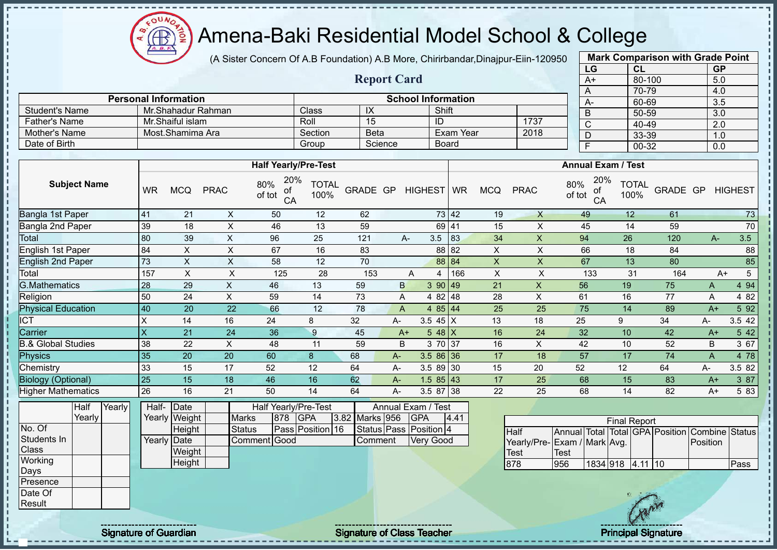$\mathbf{a}$ Amena-Baki Residential Model School & College Æ

(A Sister Concern Of A.B Foundation) A.B More, Chirirbandar,Dinajpur-Eiin-120950

**Report Card**

| <b>Mark Comparison with Grade Point</b> |           |           |  |  |  |  |  |  |  |
|-----------------------------------------|-----------|-----------|--|--|--|--|--|--|--|
| LG                                      | <b>CL</b> | <b>GP</b> |  |  |  |  |  |  |  |
| $A+$                                    | 80-100    | 5.0       |  |  |  |  |  |  |  |
| А                                       | 70-79     | 4.0       |  |  |  |  |  |  |  |
| A-                                      | 60-69     | 3.5       |  |  |  |  |  |  |  |
| B                                       | 50-59     | 3.0       |  |  |  |  |  |  |  |
| $\overline{\text{c}}$                   | 40-49     | 2.0       |  |  |  |  |  |  |  |
| D                                       | 33-39     | 1.0       |  |  |  |  |  |  |  |
| Ė                                       | $00 - 32$ | 0.0       |  |  |  |  |  |  |  |
|                                         |           |           |  |  |  |  |  |  |  |

|                |                             |         |             |                             |      | $\overline{A}$ | $10 - 19$ |
|----------------|-----------------------------|---------|-------------|-----------------------------|------|----------------|-----------|
|                | <b>Personal Information</b> |         |             | <b>School Information</b>   |      | A-             | 60-69     |
| Student's Name | Mr.Shahadur Rahman          | Class   | IX          | Shift                       |      |                | 50-59     |
| Father's Name  | Mr.Shaiful islam            | Roll    | 15          | ID                          | 1737 |                | 40-49     |
| Mother's Name  | Most.Shamima Ara            | Section | <b>Beta</b> | Exam Year                   | 2018 |                | 33-39     |
| Date of Birth  |                             | Group   | Science     | <b>Board</b>                |      |                | 00-32     |
|                |                             |         |             |                             |      |                |           |
|                | <b>Half Yearly/Pre-Test</b> |         |             | <b>Annual Exam / Test</b>   |      |                |           |
|                |                             |         |             | $\sim$ $\sim$ $\sim$ $\sim$ |      |                |           |

| <b>Subject Name</b>           | <b>WR</b>                 | <b>MCQ</b> | <b>PRAC</b> | 20%<br>80%<br>οt<br>of tot<br>CA | TOTAL<br>100% | GRADE GP |              | HIGHEST WR |                 |     | <b>MCQ</b> | <b>PRAC</b> | 20%<br>80%<br>οt<br>of tot<br>CA | <b>TOTAL</b><br>100% | GRADE GP |       |    | <b>HIGHEST</b> |
|-------------------------------|---------------------------|------------|-------------|----------------------------------|---------------|----------|--------------|------------|-----------------|-----|------------|-------------|----------------------------------|----------------------|----------|-------|----|----------------|
| Bangla 1st Paper              | 41                        | 21         | X.          | 50                               | 12            | 62       |              |            | 73 42           |     | 19         | $\times$    | 49                               | 12                   | 61       |       |    | 73             |
| Bangla 2nd Paper              | 39                        | 18         | X           | 46                               | 13            | 59       |              |            | 69 41           |     | 15         | X           | 45                               | 14                   | 59       |       |    | 70             |
| Total                         | 80                        | 39         | X           | 96                               | 25            | 121      |              | A-         | 3.5             | 83  | 34         | X           | 94                               | 26                   | 120      |       | A- | 3.5            |
| English 1st Paper             | 84                        | X.         | X           | 67                               | 16            | 83       |              |            | 88 82           |     | X          | X           | 66                               | 18                   | 84       |       |    | 88             |
| <b>English 2nd Paper</b>      | 73                        | X          | X           | 58                               | 12            | 70       |              |            | 88 84           |     | X          | X           | 67                               | 13                   | 80       |       |    | 85             |
| Total                         | 157                       | X          | X           | 125                              | 28            | 153      |              | A          | 4               | 166 | X          | X           | 133                              | 31                   | 164      |       | A+ | 5              |
| <b>G.Mathematics</b>          | 28                        | 29         | X           | 46                               | 13            | 59       | $\mathsf{B}$ |            | 390 49          |     | 21         | X           | 56                               | 19                   | 75       | Α     |    | 4 9 4          |
| Religion                      | 50                        | 24         | X           | 59                               | 14            | 73       | A            |            | 4 82 48         |     | 28         | X           | 61                               | 16                   | 77       | Α     |    | 4 8 2          |
| <b>Physical Education</b>     | 40                        | 20         | 22          | 66                               | 12            | 78       | A            |            | 4 $85 \mid 44$  |     | 25         | 25          | 75                               | 14                   | 89       | $A+$  |    | 5 9 2          |
| <b>ICT</b>                    | $\times$                  | 14         | 16          | 24                               | 8             | 32       | А-           |            | 3.5 $45 \mid X$ |     | 13         | 18          | 25                               | 9                    | 34       | $A -$ |    | 3.5 42         |
| Carrier                       | $\boldsymbol{\mathsf{X}}$ | 21         | 24          | 36                               | 9             | 45       |              | $A+$       | $5.48\text{l}X$ |     | 16         | 24          | 32                               | 10                   | 42       | $A+$  |    | 5 4 2          |
| <b>B.&amp; Global Studies</b> | 38                        | 22         | X           | 48                               | 11            | 59       | B            |            | 3 70 37         |     | 16         | X           | 42                               | 10                   | 52       | B     |    | 3 67           |
| Physics                       | 35                        | 20         | 20          | 60                               | 8             | 68       | A-           |            | 3.5 86 36       |     | 17         | 18          | 57                               | 17                   | 74       | A     |    | 4 78           |
| Chemistry                     | 33                        | 15         | 17          | 52                               | 12            | 64       | А-           |            | $3.589$ 30      |     | 15         | 20          | 52                               | 12                   | 64       | A-    |    | 3.5 82         |
| <b>Biology (Optional)</b>     | 25                        | 15         | 18          | 46                               | 16            | 62       | А-           |            | $1.585$   43    |     | 17         | 25          | 68                               | 15                   | 83       | $A+$  |    | 3 87           |
| <b>Higher Mathematics</b>     | 26                        | 16         | 21          | 50                               | 14            | 64       | А-           |            | 3.5 87          | 38  | 22         | 25          | 68                               | 14                   | 82       | $A+$  |    | 5 83           |

|                 | Half   | Yearly | Half-       | $\vert$ Date  |               |     | Half Yearly/Pre-Test |                | Annual Exam / Test     |      |              |    |
|-----------------|--------|--------|-------------|---------------|---------------|-----|----------------------|----------------|------------------------|------|--------------|----|
|                 | Yearly |        |             | Yearly Weight | <b>Marks</b>  | 878 | <b>IGPA</b>          | 3.82 Marks 956 | <b>IGPA</b>            | 4.41 |              |    |
| No. Of          |        |        |             | Height        | <b>Status</b> |     | Pass Position 16     |                | Status Pass Position 4 |      | Half         | İΑ |
| Students In     |        |        | Yearly Date |               | Comment Good  |     |                      | Comment        | Very Good              |      | Yearly/Pre-E |    |
| Class           |        |        |             | Weight        |               |     |                      |                |                        |      | Test         |    |
| Working         |        |        |             | Height        |               |     |                      |                |                        |      | 878          | 9  |
| Days            |        |        |             |               |               |     |                      |                |                        |      |              |    |
| <b>Presence</b> |        |        |             |               |               |     |                      |                |                        |      |              |    |
| Date Of         |        |        |             |               |               |     |                      |                |                        |      |              |    |
| Result          |        |        |             |               |               |     |                      |                |                        |      |              |    |

| <b>Final Report</b>          |      |                  |  |  |  |                                                |      |  |  |  |
|------------------------------|------|------------------|--|--|--|------------------------------------------------|------|--|--|--|
| <b>Half</b>                  |      |                  |  |  |  | Annual Total Total GPA Position Combine Status |      |  |  |  |
| Yearly/Pre- Exam / Mark Avg. |      |                  |  |  |  | Position                                       |      |  |  |  |
| Test                         | Test |                  |  |  |  |                                                |      |  |  |  |
| 878                          | 956  | 1834 918 4.11 10 |  |  |  |                                                | Pass |  |  |  |

Signature of Guardian Teacher Signature of Class Teacher Principal Signature of Class Teacher Principal Signature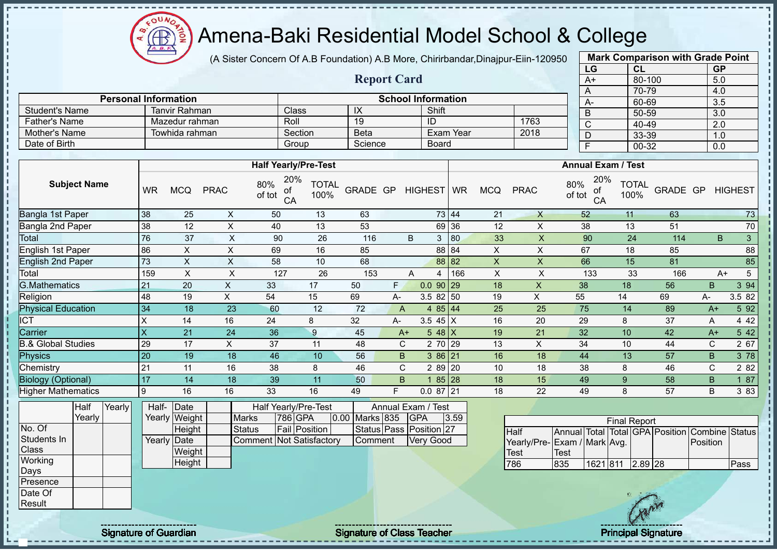$\mathbf{a}$ Æ

# Amena-Baki Residential Model School & College

(A Sister Concern Of A.B Foundation) A.B More, Chirirbandar,Dinajpur-Eiin-120950

**Report Card**

| <b>Mark Comparison with Grade Point</b><br>LG |           |  |  |  |  |  |  |  |  |
|-----------------------------------------------|-----------|--|--|--|--|--|--|--|--|
| CL                                            | <b>GP</b> |  |  |  |  |  |  |  |  |
| 80-100                                        | 5.0       |  |  |  |  |  |  |  |  |
| 70-79                                         | 4.0       |  |  |  |  |  |  |  |  |
| 60-69                                         | 3.5       |  |  |  |  |  |  |  |  |
| 50-59                                         | 3.0       |  |  |  |  |  |  |  |  |
| 40-49                                         | 2.0       |  |  |  |  |  |  |  |  |
| 33-39                                         | 1.0       |  |  |  |  |  |  |  |  |
| 00-32                                         | 0.0       |  |  |  |  |  |  |  |  |
|                                               |           |  |  |  |  |  |  |  |  |

|                | <b>Personal Information</b> |                    |                        | <b>School Information</b> |      | $A-$ |  | 70-79<br>60-69 |  |  |  |  |
|----------------|-----------------------------|--------------------|------------------------|---------------------------|------|------|--|----------------|--|--|--|--|
| Student's Name | Tanvir Rahman               | Class <sup>®</sup> | $\sim$<br>$\mathbf{M}$ | Shift                     |      |      |  | 50-59          |  |  |  |  |
| Father's Name  | Mazedur rahman              | Roll               | 19                     | ID                        | 1763 |      |  | 40-49          |  |  |  |  |
| Mother's Name  | Towhida rahman              | Section            | <b>Beta</b>            | Exam Year                 | 2018 |      |  | 33-39          |  |  |  |  |
| Date of Birth  |                             | Group              | Science                | <b>Board</b>              |      |      |  | $00 - 32$      |  |  |  |  |

|                           |           |            |             | <b>Half Yearly/Pre-Test</b>      |                      |          |              |                |       |            |             | <b>Annual Exam / Test</b>        |                      |          |      |                |
|---------------------------|-----------|------------|-------------|----------------------------------|----------------------|----------|--------------|----------------|-------|------------|-------------|----------------------------------|----------------------|----------|------|----------------|
| <b>Subject Name</b>       | <b>WR</b> | <b>MCQ</b> | <b>PRAC</b> | 20%<br>80%<br>οf<br>of tot<br>CA | <b>TOTAL</b><br>100% | GRADE GP |              | HIGHEST   WR   |       | <b>MCQ</b> | <b>PRAC</b> | 20%<br>80%<br>оf<br>of tot<br>CA | <b>TOTAL</b><br>100% | GRADE GP |      | <b>HIGHEST</b> |
| Bangla 1st Paper          | 38        | 25         | X           | 50                               | 13                   | 63       |              |                | 73 44 | 21         | X           | 52                               | 11                   | 63       |      | 73             |
| Bangla 2nd Paper          | 38        | 12         | X           | 40                               | 13                   | 53       |              |                | 69 36 | 12         | X           | 38                               | 13                   | 51       |      | $70\,$         |
| Total                     | 76        | 37         | X           | 90                               | 26                   | 116      |              | B<br>3         | 80    | 33         | X           | 90                               | 24                   | 114      | B    | 3              |
| English 1st Paper         | 86        | X          | X           | 69                               | 16                   | 85       |              |                | 88 84 | X          | X.          | 67                               | 18                   | 85       |      | 88             |
| <b>English 2nd Paper</b>  | 73        | X          | X           | 58                               | 10                   | 68       |              |                | 88 82 | X          | X           | 66                               | 15                   | 81       |      | 85             |
| Total                     | 159       | X          | X           | 127                              | 26                   | 153      |              | A<br>4         | 166   | X          | X           | 133                              | 33                   | 166      |      | 5<br>$A+$      |
| G.Mathematics             | 21        | 20         | X           | 33                               | 17                   | 50       | F.           | $0.0$ 90 29    |       | 18         | X           | 38                               | 18                   | 56       | B.   | 3 9 4          |
| Religion                  | 48        | 19         | X           | 54                               | 15                   | 69       | A-           | $3.582$ 50     |       | 19         | X           | 55                               | 14                   | 69       | A-   | 3.5 82         |
| <b>Physical Education</b> | 34        | 18         | 23          | 60                               | 12                   | 72       | A            | 4 $85 \mid 44$ |       | 25         | 25          | 75                               | 14                   | 89       | $A+$ | 5 92           |
| $\overline{CT}$           | X         | 14         | 16          | 24                               | 8                    | 32       | A-           | 3.5 45 $X$     |       | 16         | 20          | 29                               | 8                    | 37       | A    | 4 4 2          |
| Carrier                   | ΙX        | 21         | 24          | 36                               | 9                    | 45       | $A+$         | 5 48 $X$       |       | 19         | 21          | 32                               | 10                   | 42       | $A+$ | 5 42           |
| 3.& Global Studies        | 29        | 17         | X           | 37                               | 11                   | 48       | C            | 2 70           | 29    | 13         | X           | 34                               | 10                   | 44       | C    | 2 67           |
| Physics                   | 20        | 19         | 18          | 46                               | 10                   | 56       | B.           | 386 21         |       | 16         | 18          | 44                               | 13                   | 57       | B.   | 3 78           |
| Chemistry                 | 21        | 11         | 16          | 38                               | 8                    | 46       | $\mathsf{C}$ | 2 89 20        |       | 10         | 18          | 38                               | 8                    | 46       | C.   | 2 8 2          |
| <b>Biology (Optional)</b> | 17        | 14         | 18          | 39                               | 11                   | 50       | B            | 85 28          |       | 18         | 15          | 49                               | 9                    | 58       | B.   | 1 87           |
| <b>Higher Mathematics</b> | 9         | 16         | 16          | 33                               | 16                   | 49       | F.           | $0.087$ 21     |       | 18         | 22          | 49                               | 8                    | 57       | B    | 3 8 3          |

|                 | Half   | Yearly <b>l</b> | Half- Date  |               |                          | Half Yearly/Pre-Test |                       | Annual Exam / Test      |      |
|-----------------|--------|-----------------|-------------|---------------|--------------------------|----------------------|-----------------------|-------------------------|------|
|                 | Yearly |                 |             | Yearly Weight | <b>Marks</b>             | 1786 IGPA            | <b>0.00 Marks 835</b> | <b>IGPA</b>             | 3.59 |
| No. Of          |        |                 |             | Height        | <b>Status</b>            | <b>Fail Position</b> |                       | Status Pass Position 27 |      |
| Students In     |        |                 | Yearly Date |               | Comment Not Satisfactory |                      | <b>Comment</b>        | <b>Verv Good</b>        |      |
| <b>Class</b>    |        |                 |             | Weight        |                          |                      |                       |                         |      |
| Working         |        |                 |             | Height        |                          |                      |                       |                         |      |
| <b>Days</b>     |        |                 |             |               |                          |                      |                       |                         |      |
| <b>Presence</b> |        |                 |             |               |                          |                      |                       |                         |      |
| Date Of         |        |                 |             |               |                          |                      |                       |                         |      |

| <b>Final Report</b>         |      |                  |  |  |  |                                                |      |  |  |  |  |
|-----------------------------|------|------------------|--|--|--|------------------------------------------------|------|--|--|--|--|
| <b>Half</b>                 |      |                  |  |  |  | Annual Total Total GPA Position Combine Status |      |  |  |  |  |
| Yearly/Pre-Exam / Mark Avg. |      |                  |  |  |  | <b>IPosition</b>                               |      |  |  |  |  |
| Test                        | Test |                  |  |  |  |                                                |      |  |  |  |  |
| 786                         | 835  | 1621 811 2.89 28 |  |  |  |                                                | Pass |  |  |  |  |

**Result** 

j. J.  $\frac{1}{1}$  $\mathbf I$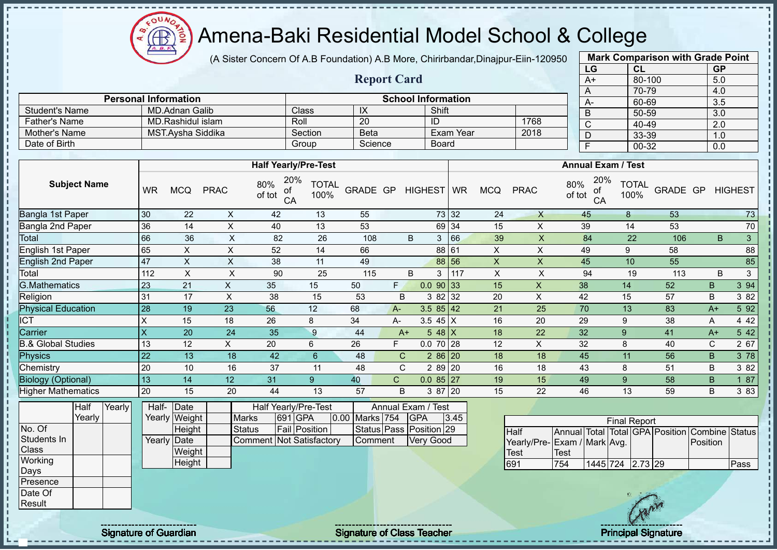Amena-Baki Residential Model School & College

(A Sister Concern Of A.B Foundation) A.B More, Chirirbandar,Dinajpur-Eiin-120950

**Report Card**

| <b>Mark Comparison with Grade Point</b> |           |           |  |  |  |  |  |  |  |
|-----------------------------------------|-----------|-----------|--|--|--|--|--|--|--|
| LG                                      | CL        | <b>GP</b> |  |  |  |  |  |  |  |
| $A+$                                    | 80-100    | 5.0       |  |  |  |  |  |  |  |
| A                                       | 70-79     | 4.0       |  |  |  |  |  |  |  |
| A-                                      | 60-69     | 3.5       |  |  |  |  |  |  |  |
| B                                       | 50-59     | 3.0       |  |  |  |  |  |  |  |
| C                                       | $40 - 49$ | 2.0       |  |  |  |  |  |  |  |
| D                                       | 33-39     | 1.0       |  |  |  |  |  |  |  |
| F                                       | 00-32     | 0.0       |  |  |  |  |  |  |  |

|                      | <b>Personal Information</b> |         |             | <b>School Information</b> |      | $A-$ |
|----------------------|-----------------------------|---------|-------------|---------------------------|------|------|
| Student's Name       | MD.Adnan Galib              | Class   | IX          | Shift                     |      |      |
| <b>Father's Name</b> | MD Rashidul islam           | Roll    | 20          | ID                        | 1768 |      |
| Mother's Name        | MST.Avsha Siddika           | Section | <b>Beta</b> | Exam Year                 | 2018 |      |
| Date of Birth        |                             | Group   | Science     | <b>Board</b>              |      |      |

|                           |                |              |             | <b>Half Yearly/Pre-Test</b>      |                      |          |              | <b>Annual Exam / Test</b> |       |                |             |                                  |                      |          |      |                |
|---------------------------|----------------|--------------|-------------|----------------------------------|----------------------|----------|--------------|---------------------------|-------|----------------|-------------|----------------------------------|----------------------|----------|------|----------------|
| <b>Subject Name</b>       | <b>WR</b>      | <b>MCQ</b>   | <b>PRAC</b> | 20%<br>80%<br>οf<br>of tot<br>CA | <b>TOTAL</b><br>100% | GRADE GP |              | HIGHEST WR                |       | <b>MCQ</b>     | <b>PRAC</b> | 20%<br>80%<br>оf<br>of tot<br>CA | <b>TOTAL</b><br>100% | GRADE GP |      | <b>HIGHEST</b> |
| Bangla 1st Paper          | 30             | 22           | X           | 42                               | 13                   | 55       |              |                           | 73 32 | 24             | X           | 45                               | 8                    | 53       |      | 73             |
| Bangla 2nd Paper          | 36             | 14           | X           | 40                               | 13                   | 53       |              |                           | 69 34 | 15             | X           | 39                               | 14                   | 53       |      | 70             |
| Total                     | 66             | 36           | X           | 82                               | 26                   | 108      |              | B<br>3                    | 66    | 39             | X           | 84                               | 22                   | 106      | B    | $\mathbf{3}$   |
| English 1st Paper         | 65             | X            | X           | 52                               | 14                   | 66       |              |                           | 88 61 | X              | X           | 49                               | 9                    | 58       |      | 88             |
| <b>English 2nd Paper</b>  | 47             | $\mathsf{X}$ | X           | 38                               | 11                   | 49       |              |                           | 88 56 | X              | X           | 45                               | 10                   | 55       |      | 85             |
| Total                     | 112            | X            | X           | 90                               | 25                   | 115      |              | B<br>3                    | 117   | $\pmb{\times}$ | X           | 94                               | 19                   | 113      | B    | 3              |
| <b>G.Mathematics</b>      | 23             | 21           | X.          | 35                               | 15                   | 50       | F.           | $0.0$ 90 33               |       | 15             | X           | 38                               | 14                   | 52       | B    | 3 94           |
| Religion                  | 31             | 17           | X           | 38                               | 15                   | 53       | B            | 3 82 32                   |       | 20             | X           | 42                               | 15                   | 57       | B    | 3 8 2          |
| <b>Physical Education</b> | 28             | 19           | 23          | 56                               | 12                   | 68       | $A -$        | $3.585$ 42                |       | 21             | 25          | 70                               | 13                   | 83       | $A+$ | 5 9 2          |
| <b>ICT</b>                | $\pmb{\times}$ | 15           | 18          | 26                               | 8                    | 34       | A-           | 3.5 45 $X$                |       | 16             | 20          | 29                               | 9                    | 38       | Α    | 4 4 2          |
| Carrier                   | X              | 20           | 24          | 35                               | 9                    | 44       | $A+$         | 5 48 $X$                  |       | 18             | 22          | 32                               | 9                    | 41       | $A+$ | 5 4 2          |
| & Global Studies          | 13             | 12           | X           | 20                               | 6                    | 26       | F.           | $0.070$ 28                |       | 12             | X           | 32                               | 8                    | 40       | C    | 2 67           |
| Physics                   | 22             | 13           | 18          | 42                               | 6                    | 48       | $\mathsf{C}$ | $286$ 20                  |       | 18             | 18          | 45                               | 11                   | 56       | B    | 3 78           |
| Chemistry                 | 20             | 10           | 16          | 37                               | 11                   | 48       | C            | 2 8 9                     | 20    | 16             | 18          | 43                               | 8                    | 51       | B    | 3 8 2          |
| <b>Biology (Optional)</b> | 13             | 14           | 12          | 31                               | $9\,$                | 40       | $\mathbf{C}$ | $0.085$ 27                |       | 19             | 15          | 49                               | 9                    | 58       | B    | 1 87           |
| <b>Higher Mathematics</b> | 20             | 15           | 20          | 44                               | 13                   | 57       | B            | 3 87 20                   |       | 15             | 22          | 46                               | 13                   | 59       | B    | 3 8 3          |

|                  | Half     | Yearly | Half-       | Date          |                                 | <b>Half Yearly/Pre-Test</b> |                | Annual Exam / Test      |      |
|------------------|----------|--------|-------------|---------------|---------------------------------|-----------------------------|----------------|-------------------------|------|
|                  | Yearly l |        |             | Yearly Weight | <b>Marks</b>                    | 691 GPA                     | 0.00 Marks 754 | <b>IGPA</b>             | 3.45 |
| No. Of           |          |        |             | Height        | Status                          | Fail Position               |                | Status Pass Position 29 |      |
| Students In      |          |        | Yearly Date |               | <b>Comment Not Satisfactory</b> |                             | Comment        | <b>Very Good</b>        |      |
| <b>Class</b>     |          |        |             | Weight        |                                 |                             |                |                         |      |
| Working          |          |        |             | Height        |                                 |                             |                |                         |      |
| Days             |          |        |             |               |                                 |                             |                |                         |      |
| <b>IPresence</b> |          |        |             |               |                                 |                             |                |                         |      |
| Date Of          |          |        |             |               |                                 |                             |                |                         |      |
| Result           |          |        |             |               |                                 |                             |                |                         |      |

| <b>Final Report</b>         |             |                  |  |  |  |                                                |      |  |  |  |  |
|-----------------------------|-------------|------------------|--|--|--|------------------------------------------------|------|--|--|--|--|
| <b>Half</b>                 |             |                  |  |  |  | Annual Total Total GPA Position Combine Status |      |  |  |  |  |
| Yearly/Pre-Exam / Mark Avg. |             |                  |  |  |  | Position                                       |      |  |  |  |  |
| Test                        | <b>Test</b> |                  |  |  |  |                                                |      |  |  |  |  |
| 691                         | 754         | 1445 724 2.73 29 |  |  |  |                                                | Pass |  |  |  |  |

 $\mathbf{I}$  $\mathbf{I}$   $\Omega$ **AR**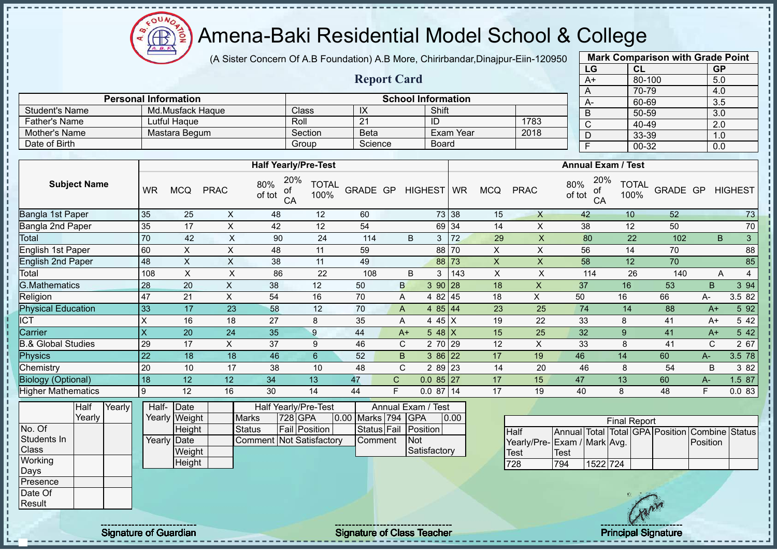$QUN$ Amena-Baki Residential Model School & College Æ

**Personal Information School Information** 

Father's Name Lutful Haque Roll 21 ID 1783

Student's Name Md.Musfack Haque Class IX Shift<br>
Father's Name Lutful Haque Roll 21 ID

(A Sister Concern Of A.B Foundation) A.B More, Chirirbandar,Dinajpur-Eiin-120950

**Report Card**

| <b>Mark Comparison with Grade Point</b> |           |           |  |  |  |  |  |  |  |
|-----------------------------------------|-----------|-----------|--|--|--|--|--|--|--|
| LG                                      | <b>CL</b> | <b>GP</b> |  |  |  |  |  |  |  |
| $A+$                                    | 80-100    | 5.0       |  |  |  |  |  |  |  |
| A                                       | 70-79     | 4.0       |  |  |  |  |  |  |  |
| A-                                      | 60-69     | 3.5       |  |  |  |  |  |  |  |
| B                                       | 50-59     | 3.0       |  |  |  |  |  |  |  |
| C                                       | 40-49     | 2.0       |  |  |  |  |  |  |  |
| D                                       | 33-39     | 1.0       |  |  |  |  |  |  |  |
| F<br>00-32<br>0.0                       |           |           |  |  |  |  |  |  |  |

| Mother's Name                 |                |        |                 | Mastara Begum         |                           |                                      | Section              | <b>Beta</b>    |              |                                  | Exam Year |                | 2018                                |               | D               | 33-39                     |                                                | 1.0          |                   |
|-------------------------------|----------------|--------|-----------------|-----------------------|---------------------------|--------------------------------------|----------------------|----------------|--------------|----------------------------------|-----------|----------------|-------------------------------------|---------------|-----------------|---------------------------|------------------------------------------------|--------------|-------------------|
| Date of Birth                 |                |        |                 |                       |                           |                                      | Group                | Science        |              | <b>Board</b>                     |           |                |                                     |               | $\overline{F}$  | $00 - 32$                 |                                                | 0.0          |                   |
|                               |                |        |                 |                       |                           |                                      |                      |                |              |                                  |           |                |                                     |               |                 |                           |                                                |              |                   |
|                               |                |        |                 |                       |                           | <b>Half Yearly/Pre-Test</b>          |                      |                |              |                                  |           |                |                                     |               |                 | <b>Annual Exam / Test</b> |                                                |              |                   |
| <b>Subject Name</b>           |                |        | <b>WR</b>       | <b>MCQ</b>            | <b>PRAC</b>               | 20%<br>80%<br>0ľ<br>of tot<br>CA     | <b>TOTAL</b><br>100% | GRADE GP       |              | HIGHEST   WR                     |           | <b>MCQ</b>     | <b>PRAC</b>                         | 80%<br>of tot | 20%<br>οf<br>CA | <b>TOTAL</b><br>100%      | <b>GRADE GP</b>                                |              | <b>HIGHEST</b>    |
| Bangla 1st Paper              |                |        | 35              | 25                    | $\pmb{\times}$            | 48                                   | 12                   | 60             |              |                                  | 73 38     | 15             | $\mathsf{X}$                        |               | 42              | 10                        | 52                                             |              | 73                |
| Bangla 2nd Paper              |                |        | 35              | 17                    | $\boldsymbol{\mathsf{X}}$ | 42                                   | 12                   | 54             |              |                                  | 69 34     | 14             | $\boldsymbol{\mathsf{X}}$           |               | 38              | 12                        | 50                                             |              | $70\,$            |
| Total                         |                |        | 70              | 42                    | $\times$                  | 90                                   | 24                   | 114            | B            | 3 <sup>1</sup>                   | 172       | 29             | $\mathsf{X}$                        |               | 80              | 22                        | 102                                            | B            | $\mathbf{3}$      |
| English 1st Paper             |                |        | 60              | $\mathsf X$           | $\mathsf X$               | 48                                   | 11                   | 59             |              |                                  | 88 70     | $\pmb{\times}$ | $\times$                            |               | 56              | 14                        | 70                                             |              | 88                |
| <b>English 2nd Paper</b>      |                |        | 48              | $\pmb{\times}$        | $\mathsf X$               | 38                                   | 11                   | 49             |              |                                  | 88 73     | $\pmb{\times}$ | $\boldsymbol{\mathsf{X}}$           |               | 58              | 12                        | 70                                             |              | 85                |
| Total                         |                |        | 108             | $\times$              | X                         | 86                                   | 22                   | 108            | B            | 3                                | 143       | $\pmb{\times}$ | X                                   |               | 114             | 26                        | 140                                            | Α            | $\overline{4}$    |
| <b>G.Mathematics</b>          |                |        | 28              | $\overline{20}$       | $\boldsymbol{\mathsf{X}}$ | 38                                   | 12                   | 50             | $\mathsf B$  | 3 90 28                          |           | 18             | $\mathsf X$                         | 37            |                 | 16                        | 53                                             | $\sf B$      | $3\overline{94}$  |
| Religion                      |                |        | 47              | 21                    | $\mathsf X$               | 54                                   | 16                   | 70             | A            | 4 82 45                          |           | 18             | X                                   | 50            |                 | 16                        | 66                                             | А-           | 3.5 82            |
| <b>Physical Education</b>     |                |        | 33              | 17                    | $\overline{23}$           | 58                                   | 12                   | 70             | A            | 4 85 44                          |           | 23             | 25                                  |               | $\overline{74}$ | 14                        | 88                                             | $A+$         | 592               |
| <b>ICT</b>                    |                |        | X               | 16                    | 18                        | 27                                   | 8                    | 35             | Α            | 4 45 X                           |           | 19             | 22                                  |               | 33              | 8                         | 41                                             | $A+$         | 5 4 2             |
| Carrier                       |                |        | X               | 20                    | 24                        | 35                                   | 9                    | 44             | $A+$         | $548$ X                          |           | 15             | 25                                  |               | 32              | 9                         | 41                                             | $A+$         | 5 42              |
| <b>B.&amp; Global Studies</b> |                |        | 29              | 17                    | $\mathsf{X}$              | 37                                   | 9                    | 46             | $\mathsf{C}$ | 2 70 29                          |           | 12             | $\pmb{\mathsf{X}}$                  |               | 33              | 8                         | 41                                             | $\mathsf{C}$ | $\overline{2}$ 67 |
| <b>Physics</b>                |                |        | $\overline{22}$ | 18                    | 18                        | 46                                   | $6\phantom{a}$       | 52             | $\mathsf B$  | 3 86 22                          |           | 17             | 19                                  | 46            |                 | 14                        | 60                                             | $A-$         | 3.5 78            |
| Chemistry                     |                |        | 20              | 10                    | 17                        | 38                                   | 10                   | 48             | $\mathsf{C}$ | 2 89 23                          |           | 14             | 20                                  |               | 46              | 8                         | 54                                             | B            | 3 82              |
| <b>Biology (Optional)</b>     |                |        | 18              | 12                    | 12                        | 34                                   | 13                   | 47             | $\mathsf C$  | $0.085$ 27                       |           | 17             | 15                                  | 47            |                 | 13                        | 60                                             | $A -$        | 1.5 87            |
| <b>Higher Mathematics</b>     |                |        | 9               | 12                    | 16                        | 30                                   | 14                   | 44             | E            | $0.087$ 14                       |           | 17             | 19                                  | 40            |                 | 8                         | 48                                             | F            | 0.083             |
|                               | Half<br>Yearly | Yearly | Half-           | Date<br>Yearly Weight |                           | Half Yearly/Pre-Test<br><b>Marks</b> | 728 GPA              | 0.00 Marks 794 |              | Annual Exam / Test<br><b>GPA</b> | 0.00      |                |                                     |               |                 | <b>Final Report</b>       |                                                |              |                   |
| No. Of                        |                |        |                 | Height                |                           | <b>Status</b>                        | Fail Position        | Status Fail    |              | Position                         |           |                | <b>Half</b>                         |               |                 |                           | Annual Total Total GPA Position Combine Status |              |                   |
| Students In<br>Class          |                |        |                 | Yearly Date<br>Weight |                           | Comment Not Satisfactory             |                      | Comment        |              | <b>Not</b><br>Satisfactory       |           |                | Yearly/Pre-Exam / Mark Avg.<br>Test | <b>Test</b>   |                 |                           |                                                | Position     |                   |
| Working<br>Days               |                |        |                 | Height                |                           |                                      |                      |                |              |                                  |           |                | 728                                 | 794           | 1522 724        |                           |                                                |              |                   |
| Presence                      |                |        |                 |                       |                           |                                      |                      |                |              |                                  |           |                |                                     |               |                 |                           |                                                |              |                   |
| Date Of                       |                |        |                 |                       |                           |                                      |                      |                |              |                                  |           |                |                                     |               |                 | $n =$                     |                                                |              |                   |

**Result** 

ï D

,,,,,,,,,,,,,

 $\mathbf{I}$ 

Signature of Guardian Signature Signature of Class Teacher New York Constitution of Class Teacher Principal Signature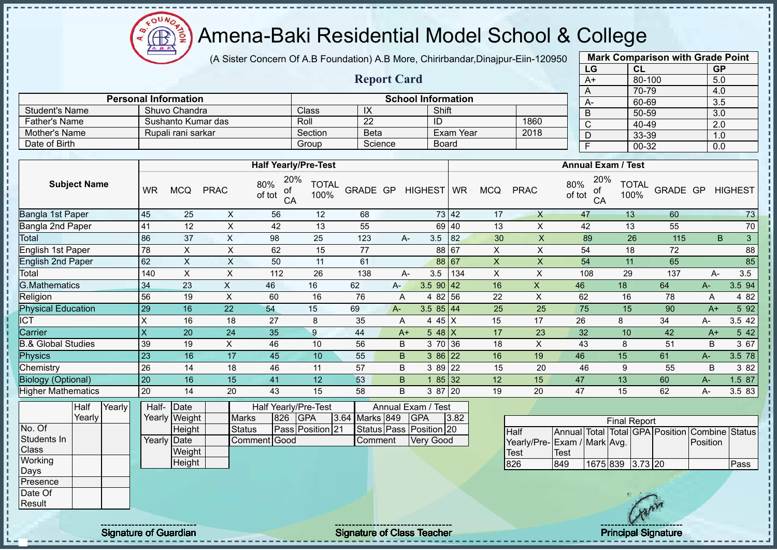$\Omega$ Amena-Baki Residential Model School & College

(A Sister Concern Of A.B Foundation) A.B More, Chirirbandar,Dinajpur-Eiin-120950

| <b>Mark Comparison with Grade Point</b> |           |           |  |  |  |  |  |  |  |  |
|-----------------------------------------|-----------|-----------|--|--|--|--|--|--|--|--|
| LG                                      | <b>CL</b> | <b>GP</b> |  |  |  |  |  |  |  |  |
| $A+$                                    | 80-100    | 5.0       |  |  |  |  |  |  |  |  |
| A                                       | 70-79     | 4.0       |  |  |  |  |  |  |  |  |
| A-                                      | 60-69     | 3.5       |  |  |  |  |  |  |  |  |
| B                                       | 50-59     | 3.0       |  |  |  |  |  |  |  |  |
| C                                       | 40-49     | 2.0       |  |  |  |  |  |  |  |  |
| D                                       | 33-39     | 1.0       |  |  |  |  |  |  |  |  |
| F<br>$00 - 32$<br>0.0                   |           |           |  |  |  |  |  |  |  |  |

|                      |                             |         | <b>Report Card</b> |                           |      | A+ |
|----------------------|-----------------------------|---------|--------------------|---------------------------|------|----|
|                      | <b>Personal Information</b> |         |                    | <b>School Information</b> |      |    |
| Student's Name       | Shuvo Chandra               | Class   | IX                 | Shift                     |      |    |
| <b>Father's Name</b> | Sushanto Kumar das          | Roll    | 22                 | ID                        | 1860 |    |
| Mother's Name        | Rupali rani sarkar          | Section | <b>Beta</b>        | Exam Year                 | 2018 |    |
| Date of Birth        |                             | Group   | Science            | <b>Board</b>              |      |    |

|                               |                         |            |             | <b>Half Yearly/Pre-Test</b>      |                      |          |      |                  | <b>Annual Exam / Test</b> |            |             |                                  |                      |          |      |                     |
|-------------------------------|-------------------------|------------|-------------|----------------------------------|----------------------|----------|------|------------------|---------------------------|------------|-------------|----------------------------------|----------------------|----------|------|---------------------|
| <b>Subject Name</b>           | <b>WR</b>               | <b>MCQ</b> | <b>PRAC</b> | 20%<br>80%<br>οf<br>of tot<br>CA | <b>TOTAL</b><br>100% | GRADE GP |      | HIGHEST WR       |                           | <b>MCQ</b> | <b>PRAC</b> | 20%<br>80%<br>оf<br>of tot<br>CA | <b>TOTAL</b><br>100% | GRADE GP |      | <b>HIGHEST</b>      |
| Bangla 1st Paper              | 45                      | 25         | X           | 56                               | 12                   | 68       |      |                  | 73 42                     | 17         | X           | 47                               | 13                   | 60       |      | 73                  |
| Bangla 2nd Paper              | 41                      | 12         | X           | 42                               | 13                   | 55       |      |                  | 69 40                     | 13         | X           | 42                               | 13                   | 55       |      | 70                  |
| Total                         | 86                      | 37         | X           | 98                               | 25                   | 123      |      | 3.5<br>A-        | 82                        | 30         | X           | 89                               | 26                   | 115      |      | $\mathfrak{S}$<br>B |
| English 1st Paper             | 78                      | X          | X           | 62                               | 15                   | 77       |      |                  | 88 67                     | X          | X           | 54                               | 18                   | 72       |      | 88                  |
| <b>English 2nd Paper</b>      | 62                      | X          | X           | 50                               | 11                   | 61       |      |                  | 88 67                     | X          | X           | 54                               | 11                   | 65       |      | 85                  |
| Total                         | 140                     | X          | X           | 112                              | 26                   | 138      |      | 3.5<br>A-        | 134                       | X          | X           | 108                              | 29                   | 137      | A-   | 3.5                 |
| <b>G.Mathematics</b>          | 34                      | 23         | X.          | 46                               | 16                   | 62       | $A-$ | $3.590$ 42       |                           | 16         | X           | 46                               | 18                   | 64       | $A-$ | 3.5 94              |
| Religion                      | 56                      | 19         | X           | 60                               | 16                   | 76       | A    | 4 82 56          |                           | 22         | X           | 62                               | 16                   | 78       | A    | 4 8 2               |
| <b>Physical Education</b>     | 29                      | 16         | 22          | 54                               | 15                   | 69       | A-   | $3.585$ 44       |                           | 25         | 25          | 75                               | 15                   | 90       | $A+$ | 5 92                |
| ICT                           | X                       | 16         | 18          | 27                               | 8                    | 35       | A    | 4 4 $5 \mid X$   |                           | 15         | 17          | 26                               | 8                    | 34       | А-   | 3.5 42              |
| Carrier                       | $\overline{\mathsf{x}}$ | 20         | 24          | 35                               | 9                    | 44       |      | 5 48 $X$<br>$A+$ |                           | 17         | 23          | 32                               | 10                   | 42       | $A+$ | 5 42                |
| <b>B.&amp; Global Studies</b> | 39                      | 19         | X           | 46                               | 10                   | 56       | B    | 3 70 36          |                           | 18         | X           | 43                               | 8                    | 51       | B    | 3 67                |
| <b>Physics</b>                | 23                      | 16         | 17          | 45                               | 10 <sup>°</sup>      | 55       | B    | 3 86 22          |                           | 16         | 19          | 46                               | 15                   | 61       | $A-$ | 3.5 78              |
| Chemistry                     | 26                      | 14         | 18          | 46                               | 11                   | 57       | B    | 3 89 22          |                           | 15         | 20          | 46                               | 9                    | 55       | B    | 3 82                |
| <b>Biology (Optional)</b>     | 20                      | 16         | 15          | 41                               | 12 <sup>°</sup>      | 53       | B.   | 85 32            |                           | 12         | 15          | 47                               | 13                   | 60       | A-   | 1.5 87              |
| <b>Higher Mathematics</b>     | 20                      | 14         | 20          | 43                               | 15                   | 58       | B    | 3 87             | 20                        | 19         | 20          | 47                               | 15                   | 62       | А-   | 3.5 83              |

|                | Half            | Yearly | Half-       | Date          |              |     | Half Yearly/Pre-Test |                | Annual Exam / Test      |      |  |
|----------------|-----------------|--------|-------------|---------------|--------------|-----|----------------------|----------------|-------------------------|------|--|
|                | Yearlv <b>I</b> |        |             | Yearly Weight | <b>Marks</b> | 826 | <b>GPA</b>           | 3.64 Marks 849 | <b>IGPA</b>             | 3.82 |  |
| No. Of         |                 |        |             | Height        | Status       |     | Pass Position 21     |                | Status Pass Position 20 |      |  |
| Students In    |                 |        | Yearly Date |               | Comment Good |     |                      | <b>Comment</b> | <b>Very Good</b>        |      |  |
| <b>Class</b>   |                 |        |             | Weight        |              |     |                      |                |                         |      |  |
| <b>Working</b> |                 |        |             | Height        |              |     |                      |                |                         |      |  |
| Days           |                 |        |             |               |              |     |                      |                |                         |      |  |
| Presence       |                 |        |             |               |              |     |                      |                |                         |      |  |
| Date Of        |                 |        |             |               |              |     |                      |                |                         |      |  |
| Result         |                 |        |             |               |              |     |                      |                |                         |      |  |

| <b>Final Report</b>         |      |                  |  |  |  |                                                |      |  |  |  |  |  |
|-----------------------------|------|------------------|--|--|--|------------------------------------------------|------|--|--|--|--|--|
| Half                        |      |                  |  |  |  | Annual Total Total GPA Position Combine Status |      |  |  |  |  |  |
| Yearly/Pre-Exam / Mark Avg. |      |                  |  |  |  | <b>Position</b>                                |      |  |  |  |  |  |
| <b>Test</b>                 | Test |                  |  |  |  |                                                |      |  |  |  |  |  |
| 826                         | 849  | 1675 839 3.73 20 |  |  |  |                                                | Pass |  |  |  |  |  |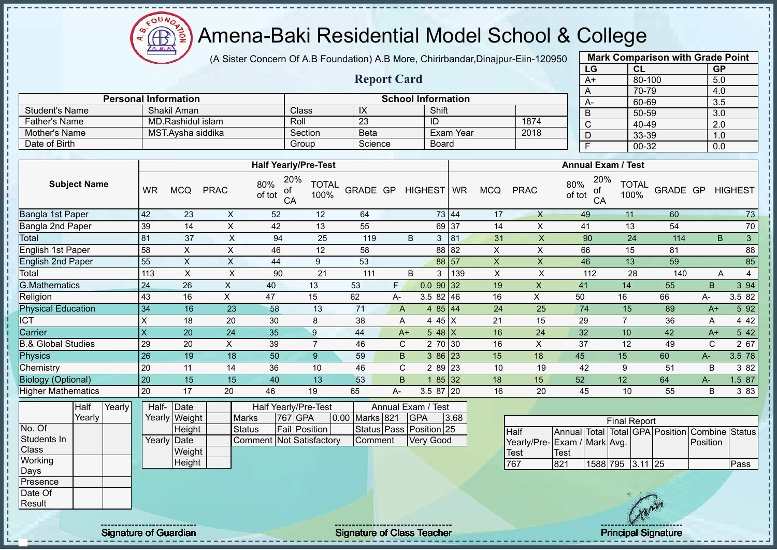Amena-Baki Residential Model School & College

(A Sister Concern Of A.B Foundation) A.B More, Chirirbandar,Dinajpur-Eiin-120950

**Report Card**

|                   | <b>Mark Comparison with Grade Point</b> |           |  |  |  |  |  |  |  |  |  |
|-------------------|-----------------------------------------|-----------|--|--|--|--|--|--|--|--|--|
| LG                | CL                                      | <b>GP</b> |  |  |  |  |  |  |  |  |  |
| $A+$              | 80-100                                  | 5.0       |  |  |  |  |  |  |  |  |  |
| A                 | 70-79                                   | 4.0       |  |  |  |  |  |  |  |  |  |
| A-                | 60-69                                   | 3.5       |  |  |  |  |  |  |  |  |  |
| B                 | 50-59                                   | 3.0       |  |  |  |  |  |  |  |  |  |
| C                 | 40-49                                   | 2.0       |  |  |  |  |  |  |  |  |  |
| D                 | 33-39                                   | 1.0       |  |  |  |  |  |  |  |  |  |
| Ë<br>00-32<br>0.0 |                                         |           |  |  |  |  |  |  |  |  |  |
|                   |                                         |           |  |  |  |  |  |  |  |  |  |

|                       | <b>Personal Information</b> |              | $A-$    |              |      |  |
|-----------------------|-----------------------------|--------------|---------|--------------|------|--|
| <b>Student's Name</b> | Shakil Aman                 | <b>Class</b> | IX      | Shift        |      |  |
| <b>Father's Name</b>  | MD.Rashidul islam           | Roll         | 23      | ID           | 1874 |  |
| Mother's Name         | MST.Avsha siddika           | Section      | Beta    | Exam Year    | 2018 |  |
| Date of Birth         |                             | Group        | Science | <b>Board</b> |      |  |

|                                                                                                    |           |                          |             | <b>Half Yearly/Pre-Test</b>                                                                                                                                                                                                                                                                                                        |                      |          |              |                                             |       |                |             | <b>Annual Exam / Test</b>        |                      |          |             |                |
|----------------------------------------------------------------------------------------------------|-----------|--------------------------|-------------|------------------------------------------------------------------------------------------------------------------------------------------------------------------------------------------------------------------------------------------------------------------------------------------------------------------------------------|----------------------|----------|--------------|---------------------------------------------|-------|----------------|-------------|----------------------------------|----------------------|----------|-------------|----------------|
| <b>Subject Name</b>                                                                                | <b>WR</b> | <b>MCQ</b>               | <b>PRAC</b> | 20%<br>80%<br>of<br>of tot<br>CA                                                                                                                                                                                                                                                                                                   | <b>TOTAL</b><br>100% | GRADE GP |              | HIGHEST WR                                  |       | <b>MCQ</b>     | <b>PRAC</b> | 20%<br>80%<br>оf<br>of tot<br>CA | <b>TOTAL</b><br>100% | GRADE GP |             | <b>HIGHEST</b> |
| Bangla 1st Paper                                                                                   | 42        | 23                       | X           | 52                                                                                                                                                                                                                                                                                                                                 | 12                   | 64       |              |                                             | 73 44 | 17             | $\sf X$     | 49                               | 11                   | 60       |             | 73             |
| Bangla 2nd Paper                                                                                   | 39        | 14                       | X           | 42                                                                                                                                                                                                                                                                                                                                 | 13                   | 55       |              |                                             | 69 37 | 14             | X           | 41                               | 13                   | 54       |             | 70             |
| Total                                                                                              | 81        | 37                       | X           | 94                                                                                                                                                                                                                                                                                                                                 | 25                   | 119      |              | B<br>3                                      | 81    | 31             | X           | 90                               | 24                   | 114      |             | 3<br>B.        |
| English 1st Paper                                                                                  | 58        | X                        | X           | 46                                                                                                                                                                                                                                                                                                                                 | 12                   | 58       |              |                                             | 88 82 | Χ              | X           | 66                               | 15                   | 81       |             | 88             |
| <b>English 2nd Paper</b>                                                                           | 55        | X                        | X           | 44                                                                                                                                                                                                                                                                                                                                 | 9                    | 53       |              |                                             | 88 57 | $\pmb{\times}$ | X           | 46                               | 13                   | 59       |             | 85             |
| Total                                                                                              | 113       | X                        | X           | 90                                                                                                                                                                                                                                                                                                                                 | 21                   | 111      |              | B<br>3                                      | 139   | X              | X           | 112                              | 28                   | 140      |             | 4<br>A         |
| G.Mathematics                                                                                      | 24        | 26                       | X           | 40                                                                                                                                                                                                                                                                                                                                 | 13                   | 53       | F.           | 0.09032                                     |       | 19             | X           | 41                               | 14                   | 55       | B           | 3 94           |
| Religion                                                                                           | 43        | 16                       | X           | 47                                                                                                                                                                                                                                                                                                                                 | 15                   | 62       | А-           | $3.582$ 46                                  |       | 16             | X           | 50                               | 16                   | 66       | А-          | 3.5 82         |
| <b>Physical Education</b>                                                                          | 34        | 16                       | 23          | 58                                                                                                                                                                                                                                                                                                                                 | 13                   | 71       | A            | 4 $85 \,   \, 44$                           |       | 24             | 25          | 74                               | 15                   | 89       | $A+$        | 5 92           |
| <b>CT</b>                                                                                          | X         | 18                       | 20          | 30                                                                                                                                                                                                                                                                                                                                 | 8                    | 38       | A            | 4 45 $X$                                    |       | 21             | 15          | 29                               | $\overline{7}$       | 36       | A           | 4 4 2          |
| Carrier                                                                                            | X         | 20                       | 24          | 35                                                                                                                                                                                                                                                                                                                                 | 9                    | 44       | $A+$         | $548$ X                                     |       | 16             | 24          | 32                               | 10                   | 42       | $A+$        | 5 42           |
| & Global Studies                                                                                   | 29        | 20                       | X           | 39                                                                                                                                                                                                                                                                                                                                 |                      | 46       | $\mathsf{C}$ | 2 70 30                                     |       | 16             | X           | 37                               | 12                   | 49       | $\mathbf C$ | 2 67           |
| Physics                                                                                            | 26        | 19                       | 18          | 50                                                                                                                                                                                                                                                                                                                                 | 9 <sup>°</sup>       | 59       | B            | $386$ 23                                    |       | 15             | 18          | 45                               | 15                   | 60       | A-          | 3.5 78         |
| Chemistry                                                                                          | 20        | 11                       | 14          | 36                                                                                                                                                                                                                                                                                                                                 | 10                   | 46       | C            | 2 89 23                                     |       | 10             | 19          | 42                               | 9                    | 51       | B           | 3 8 2          |
| <b>Biology (Optional)</b>                                                                          | 20        | 15                       | 15          | 40                                                                                                                                                                                                                                                                                                                                 | 13                   | 53       | B.           |                                             | 85 32 | 18             | 15          | 52                               | 12                   | 64       | A-          | 1.5 87         |
| <b>Higher Mathematics</b>                                                                          | 20        | 17                       | 20          | 46                                                                                                                                                                                                                                                                                                                                 | 19                   | 65       | А-           | 3.5 87                                      | 20    | 16             | 20          | 45                               | 10                   | 55       | B           | 3 8 3          |
| $\frac{1}{2}$ is $\frac{1}{2}$ if $\frac{1}{2}$ if $\frac{1}{2}$ if $\frac{1}{2}$ if $\frac{1}{2}$ |           | $\overline{\phantom{a}}$ |             | $\mathbf{1}$ $\mathbf{1}$ $\mathbf{1}$ $\mathbf{1}$ $\mathbf{1}$ $\mathbf{1}$ $\mathbf{1}$ $\mathbf{1}$ $\mathbf{1}$ $\mathbf{1}$ $\mathbf{1}$ $\mathbf{1}$ $\mathbf{1}$ $\mathbf{1}$ $\mathbf{1}$ $\mathbf{1}$ $\mathbf{1}$ $\mathbf{1}$ $\mathbf{1}$ $\mathbf{1}$ $\mathbf{1}$ $\mathbf{1}$ $\mathbf{1}$ $\mathbf{1}$ $\mathbf{$ | $\tau$ .             |          |              | $\sim$ $\sim$ $\sim$ $\sim$<br>$\mathbf{r}$ |       |                |             |                                  |                      |          |             |                |

|              | Half   | Yearly | Half- Date  |               |                                 | <b>Half Yearly/Pre-Test</b> |                | Annual Exam / Test      |      |
|--------------|--------|--------|-------------|---------------|---------------------------------|-----------------------------|----------------|-------------------------|------|
|              | Yearly |        |             | Yearly Weight | <b>Marks</b>                    | 767 GPA                     | 0.00 Marks 821 | <b>IGPA</b>             | 3.68 |
| No. Of       |        |        |             | Height        | <b>Status</b>                   | <b>Fail Position</b>        |                | Status Pass Position 25 |      |
| Students In  |        |        | Yearly Date |               | <b>Comment Not Satisfactory</b> |                             | Comment        | <b>Very Good</b>        |      |
| <b>Class</b> |        |        |             | Weight        |                                 |                             |                |                         |      |
| Working      |        |        |             | Height        |                                 |                             |                |                         |      |
| <b>IDays</b> |        |        |             |               |                                 |                             |                |                         |      |
| Presence     |        |        |             |               |                                 |                             |                |                         |      |
| Date Of      |        |        |             |               |                                 |                             |                |                         |      |

| <b>Final Report</b>         |      |                  |  |  |  |                                                |      |  |  |  |  |  |  |  |
|-----------------------------|------|------------------|--|--|--|------------------------------------------------|------|--|--|--|--|--|--|--|
| <b>Half</b>                 |      |                  |  |  |  | Annual Total Total GPA Position Combine Status |      |  |  |  |  |  |  |  |
| Yearly/Pre-Exam / Mark Avg. |      |                  |  |  |  | <b>IPosition</b>                               |      |  |  |  |  |  |  |  |
| <b>I</b> Test               | Test |                  |  |  |  |                                                |      |  |  |  |  |  |  |  |
| 767                         | 821  | 1588 795 3.11 25 |  |  |  |                                                | Pass |  |  |  |  |  |  |  |

ΩU **AR** 

Result

л - II  $\mathbf{I}$  $\mathbf{I}$ 

Signature of Guardian Signature of Class Teacher Principal Signature of Class Teacher Principal Signature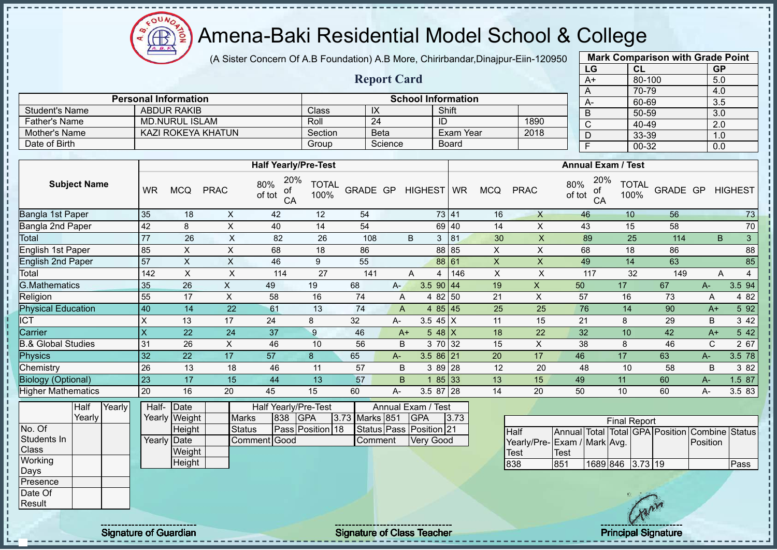$O<sub>U</sub>$ Æ

## Amena-Baki Residential Model School & College

(A Sister Concern Of A.B Foundation) A.B More, Chirirbandar,Dinajpur-Eiin-120950

**Report Card**

**Personal Information School Information** 

Father's Name MD.NURUL ISLAM Roll 24 ID 1890<br>
Mother's Name KAZI ROKEYA KHATUN Section Beta Exam Year 2018

Student's Name ABDUR RAKIB Class IX Shift<br>
Father's Name MD.NURUL ISLAM Roll 24 ID

Mother's Name KAZI ROKEYA KHATUN Section Beta Exam Year Date of Birth Group Science Research And Science Science Board

| <b>Mark Comparison with Grade Point</b> |        |           |  |  |  |  |  |  |  |  |  |
|-----------------------------------------|--------|-----------|--|--|--|--|--|--|--|--|--|
| LG                                      | CL     | <b>GP</b> |  |  |  |  |  |  |  |  |  |
| $\overline{A+}$                         | 80-100 | 5.0       |  |  |  |  |  |  |  |  |  |
| A                                       | 70-79  | 4.0       |  |  |  |  |  |  |  |  |  |
| A-                                      | 60-69  | 3.5       |  |  |  |  |  |  |  |  |  |
| B                                       | 50-59  | 3.0       |  |  |  |  |  |  |  |  |  |
| C                                       | 40-49  | 2.0       |  |  |  |  |  |  |  |  |  |
| D                                       | 33-39  | 1.0       |  |  |  |  |  |  |  |  |  |
| F                                       | 00-32  | 0.0       |  |  |  |  |  |  |  |  |  |
|                                         |        |           |  |  |  |  |  |  |  |  |  |

|                               |             |                |                           | <b>Half Yearly/Pre-Test</b>      |                      |                |       |                         |       |              |                             |               | <b>Annual Exam / Test</b> |                      |                                                |              |                |
|-------------------------------|-------------|----------------|---------------------------|----------------------------------|----------------------|----------------|-------|-------------------------|-------|--------------|-----------------------------|---------------|---------------------------|----------------------|------------------------------------------------|--------------|----------------|
| <b>Subject Name</b>           | <b>WR</b>   | <b>MCQ</b>     | <b>PRAC</b>               | 20%<br>80%<br>ot<br>of tot<br>CA | <b>TOTAL</b><br>100% | GRADE GP       |       | HIGHEST WR              |       | <b>MCQ</b>   | <b>PRAC</b>                 | 80%<br>of tot | 20%<br>оf<br>CA           | <b>TOTAL</b><br>100% | GRADE GP                                       |              | <b>HIGHEST</b> |
| Bangla 1st Paper              | 35          | 18             | X                         | 42                               | 12                   | 54             |       |                         | 73 41 | 16           | $\times$                    |               | 46                        | 10                   | 56                                             |              | 73             |
| Bangla 2nd Paper              | 42          | 8              | X                         | 40                               | 14                   | 54             |       |                         | 69 40 | 14           | X                           |               | 43                        | 15                   | 58                                             |              | 70             |
| Total                         | 77          | 26             | $\boldsymbol{\mathsf{X}}$ | 82                               | 26                   | 108            |       | B<br>3 <sup>1</sup>     | 81    | 30           | $\boldsymbol{\mathsf{X}}$   |               | 89                        | 25                   | 114                                            | B            | 3              |
| English 1st Paper             | 85          | X              | $\mathsf X$               | 68                               | 18                   | 86             |       |                         | 88 85 | X            | $\boldsymbol{\mathsf{X}}$   |               | 68                        | 18                   | 86                                             |              | 88             |
| <b>English 2nd Paper</b>      | 57          | $\pmb{\times}$ | X                         | 46                               | 9                    | 55             |       |                         | 88 61 | $\mathsf{X}$ | $\sf X$                     |               | 49                        | 14                   | 63                                             |              | 85             |
| Total                         | 142         | $\mathsf X$    | $\sf X$                   | 114                              | 27                   | 141            |       | A<br>4                  | 146   | Χ            | $\pmb{\times}$              |               | 117                       | 32                   | 149                                            | Α            | $\overline{4}$ |
| G.Mathematics                 | 35          | 26             | $\pmb{\times}$            | 49                               | 19                   | 68             | $A -$ | 3.5 90 $ 44$            |       | 19           | $\mathsf{X}$                | 50            |                           | 17                   | 67                                             | $A-$         | $3.5\sqrt{94}$ |
| Religion                      | 55          | 17             | $\pmb{\times}$            | 58                               | 16                   | 74             | Α     | 82<br>4                 | 50    | 21           | $\boldsymbol{\mathsf{X}}$   | 57            |                           | 16                   | 73                                             | Α            | 4 8 2          |
| <b>Physical Education</b>     | 40          | 14             | 22                        | 61                               | 13                   | 74             | A     | 4 $85 \mid 45$          |       | 25           | 25                          |               | 76                        | 14                   | 90                                             | $A+$         | 5 9 2          |
| <b>ICT</b>                    | $\mathsf X$ | 13             | 17                        | 24                               | 8                    | 32             | A-    | 3.5 $45 \mid X$         |       | 11           | 15                          | 21            |                           | 8                    | 29                                             | B            | 3 4 2          |
| Carrier                       | X           | 22             | 24                        | 37                               | 9                    | 46             |       | $548$ X<br>$A+$         |       | 18           | 22                          | 32            |                           | 10                   | 42                                             | $A+$         | 5 42           |
| <b>B.&amp; Global Studies</b> | 31          | 26             | X                         | 46                               | 10                   | 56             | B     | 3 70 32                 |       | 15           | X                           | 38            |                           | 8                    | 46                                             | $\mathsf{C}$ | 2 67           |
| <b>Physics</b>                | 32          | 22             | 17                        | 57                               | 8                    | 65             | A-    | $3.586$ 21              |       | 20           | 17                          | 46            |                           | 17                   | 63                                             | $A -$        | 3.5 78         |
| Chemistry                     | 26          | 13             | 18                        | 46                               | 11                   | 57             | B     | 3 89 28                 |       | 12           | 20                          | 48            |                           | 10                   | 58                                             | B            | 3 8 2          |
| <b>Biology (Optional)</b>     | 23          | 17             | 15                        | 44                               | 13                   | 57             | B     |                         | 85 33 | 13           | 15                          | 49            |                           | 11                   | 60                                             | A-           | 1.5 87         |
| <b>Higher Mathematics</b>     | 20          | 16             | 20                        | 45                               | 15                   | 60             | A-    | 3.5 87 28               |       | 14           | 20                          | 50            |                           | 10                   | 60                                             | $A -$        | 3.5 83         |
| Half<br>Yearly                | Half-       | Date           |                           | Half Yearly/Pre-Test             |                      |                |       | Annual Exam / Test      |       |              |                             |               |                           |                      |                                                |              |                |
| Yearly                        |             | Yearly Weight  | <b>Marks</b>              | 838<br><b>GPA</b>                |                      | 3.73 Marks 851 |       | <b>GPA</b>              | 3.73  |              |                             |               |                           | <b>Final Report</b>  |                                                |              |                |
| No. Of                        |             | Height         | <b>Status</b>             |                                  | Pass Position 18     |                |       | Status Pass Position 21 |       |              | <b>Half</b>                 |               |                           |                      | Annual Total Total GPA Position Combine Status |              |                |
| Students In                   |             | Yearly Date    |                           | Good<br>Comment                  |                      | Comment        |       | <b>Very Good</b>        |       |              | Yearly/Pre-Exam / Mark Avg. |               |                           |                      |                                                | Position     |                |
| <b>Class</b>                  |             | Weight         |                           |                                  |                      |                |       |                         |       |              | <b>Test</b>                 | <b>Test</b>   |                           |                      |                                                |              |                |
| Working                       |             | Height         |                           |                                  |                      |                |       |                         |       |              | 838                         | 851           | 1689 846 3.73 19          |                      |                                                |              | Pass           |
| Days                          |             |                |                           |                                  |                      |                |       |                         |       |              |                             |               |                           |                      |                                                |              |                |
| Presence<br>Date Of           |             |                |                           |                                  |                      |                |       |                         |       |              |                             |               |                           |                      |                                                |              |                |
| Result                        |             |                |                           |                                  |                      |                |       |                         |       |              |                             |               |                           |                      |                                                |              |                |
|                               |             |                |                           |                                  |                      |                |       |                         |       |              |                             |               |                           |                      |                                                |              |                |

 $\mathbf{I}$ 

Signature of Guardian Signature of Class Teacher Principal Signature of Guardian Signature of Class Teacher Principal Signature

 $\mathcal{L}$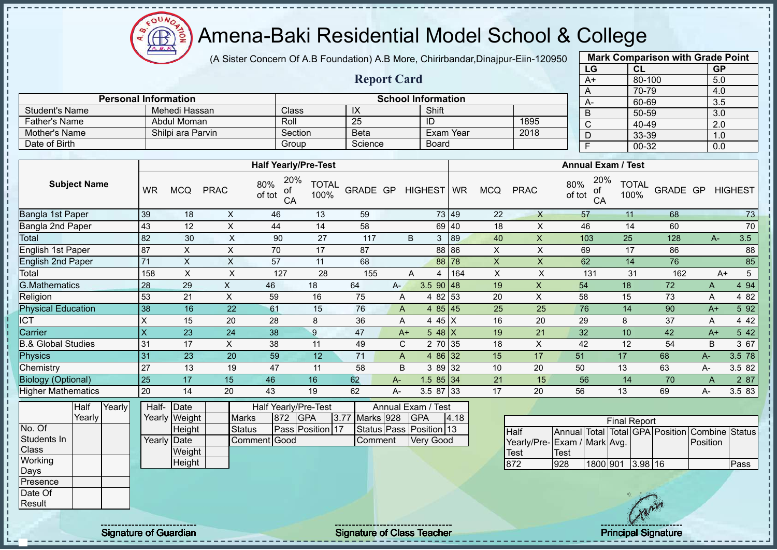$\Omega$ **AB** 

# Amena-Baki Residential Model School & College

(A Sister Concern Of A.B Foundation) A.B More, Chirirbandar,Dinajpur-Eiin-120950

**Report Card**

| <b>Mark Comparison with Grade Point</b> |        |           |  |  |  |  |  |  |  |  |  |
|-----------------------------------------|--------|-----------|--|--|--|--|--|--|--|--|--|
| LG                                      | CL     | <b>GP</b> |  |  |  |  |  |  |  |  |  |
| $A+$                                    | 80-100 | 5.0       |  |  |  |  |  |  |  |  |  |
| A                                       | 70-79  | 4.0       |  |  |  |  |  |  |  |  |  |
| A-                                      | 60-69  | 3.5       |  |  |  |  |  |  |  |  |  |
| B                                       | 50-59  | 3.0       |  |  |  |  |  |  |  |  |  |
| $\mathsf{C}$                            | 40-49  | 2.0       |  |  |  |  |  |  |  |  |  |
| D                                       | 33-39  | 1.0       |  |  |  |  |  |  |  |  |  |
| F                                       | 00-32  | 0.0       |  |  |  |  |  |  |  |  |  |

| <b>School Information</b><br><b>Personal Information</b> |                   |         |             |           |      |  |      |  |  |  |  |  |  |  |
|----------------------------------------------------------|-------------------|---------|-------------|-----------|------|--|------|--|--|--|--|--|--|--|
| Student's Name                                           | Mehedi Hassan     | Class   | IX          | Shift     |      |  | $A-$ |  |  |  |  |  |  |  |
| <b>Father's Name</b>                                     | Abdul Moman       | Roll    | 25          | ID        | 1895 |  |      |  |  |  |  |  |  |  |
| Mother's Name                                            | Shilpi ara Parvin | Section | <b>Beta</b> | Exam Year | 2018 |  |      |  |  |  |  |  |  |  |
| Date of Birth                                            |                   | Group   | Science     | Board     |      |  |      |  |  |  |  |  |  |  |

|                               |           |            |             | <b>Half Yearly/Pre-Test</b>      |                      |          |       |                  |          |            |              | <b>Annual Exam / Test</b>        |                      |          |       |                |
|-------------------------------|-----------|------------|-------------|----------------------------------|----------------------|----------|-------|------------------|----------|------------|--------------|----------------------------------|----------------------|----------|-------|----------------|
| <b>Subject Name</b>           | <b>WR</b> | <b>MCQ</b> | <b>PRAC</b> | 20%<br>80%<br>οf<br>of tot<br>CA | <b>TOTAL</b><br>100% | GRADE GP |       | HIGHEST WR       |          | <b>MCQ</b> | <b>PRAC</b>  | 20%<br>80%<br>оf<br>of tot<br>CA | <b>TOTAL</b><br>100% | GRADE GP |       | <b>HIGHEST</b> |
| Bangla 1st Paper              | 39        | 18         | X.          | 46                               | 13                   | 59       |       |                  | 73 49    | 22         | $\mathsf{X}$ | 57                               | 11                   | 68       |       | 73             |
| Bangla 2nd Paper              | 43        | 12         | X           | 44                               | 14                   | 58       |       |                  | 69 40    | 18         | X            | 46                               | 14                   | 60       |       | $70\,$         |
| Total                         | 82        | 30         | X           | 90                               | 27                   | 117      |       | 3<br>B           | 89       | 40         | X            | 103                              | 25                   | 128      | $A -$ | 3.5            |
| English 1st Paper             | 87        | X.         | X           | 70                               | 17                   | 87       |       |                  | 88 86    | X          | X            | 69                               | 17                   | 86       |       | 88             |
| <b>English 2nd Paper</b>      | 71        | X          | X           | 57                               | 11                   | 68       |       |                  | 88 78    | X          | X.           | 62                               | 14                   | 76       |       | 85             |
| Total                         | 158       | X          | X           | 127                              | 28                   | 155      |       | A<br>4           | 164      | X          | X            | 131                              | 31                   | 162      |       | 5<br>$A+$      |
| <b>G.Mathematics</b>          | 28        | 29         | X           | 46                               | 18                   | 64       | $A -$ | $3.5$ 90 48      |          | 19         | X            | 54                               | 18                   | 72       | A     | 4 94           |
| Religion                      | 53        | 21         | X           | 59                               | 16                   | 75       | A     |                  | 4 82 53  | 20         | X            | 58                               | 15                   | 73       | A     | 4 8 2          |
| <b>Physical Education</b>     | 38        | 16         | 22          | 61                               | 15                   | 76       | A     |                  | $485$ 45 | 25         | 25           | 76                               | 14                   | 90       | $A+$  | 5 92           |
| ICT                           | X         | 15         | 20          | 28                               | 8                    | 36       | A     | 4 45 $X$         |          | 16         | 20           | 29                               | 8                    | 37       | A     | 4 4 2          |
| Carrier                       | X         | 23         | 24          | 38                               | 9                    | 47       |       | 5 48 $X$<br>$A+$ |          | 19         | 21           | 32                               | 10                   | 42       | $A+$  | 5 42           |
| <b>B.&amp; Global Studies</b> | 31        | 17         | X           | 38                               | 11                   | 49       | C     |                  | 2 70 35  | 18         | X            | 42                               | 12                   | 54       | B     | 3 67           |
| <b>Physics</b>                | 31        | 23         | 20          | 59                               | 12                   | 71       | A     |                  | 4 86 32  | 15         | 17           | 51                               | 17                   | 68       | $A-$  | 3.5 78         |
| Chemistry                     | 27        | 13         | 19          | 47                               | 11                   | 58       | B     |                  | 3 89 32  | 10         | 20           | 50                               | 13                   | 63       | A-    | 3.5 82         |
| <b>Biology (Optional)</b>     | 25        | 17         | 15          | 46                               | 16                   | 62       | $A-$  | $1.585$ 34       |          | 21         | 15           | 56                               | 14                   | 70       | A     | 2 87           |
| <b>Higher Mathematics</b>     | 20        | 14         | 20          | 43                               | 19                   | 62       | А-    | 3.5 87 33        |          | 17         | 20           | 56                               | 13                   | 69       | А-    | 3.5 83         |

|              | Half   | Yearly | Half-Date     |               | Half Yearly/Pre-Test |                         |      |  |           | Annual Exam / Test      |      |                              |      |                     |     |                                                |      |
|--------------|--------|--------|---------------|---------------|----------------------|-------------------------|------|--|-----------|-------------------------|------|------------------------------|------|---------------------|-----|------------------------------------------------|------|
|              | Yearly |        | Yearly Weight | <b>Marks</b>  | $ 872\rangle$        | <b>IGPA</b>             | 3.77 |  | Marks 928 | <b>GPA</b>              | 4.18 |                              |      | <b>Final Report</b> |     |                                                |      |
| No. Of       |        |        | Height        | <b>Status</b> |                      | <b>Pass Position 17</b> |      |  |           | Status Pass Position 13 |      | <b>I</b> Half                |      |                     |     | Annual Total Total GPA Position Combine Status |      |
| Students In  |        |        | Yearly Date   | Comment Good  |                      |                         |      |  | Comment   | <b>Very Good</b>        |      | Yearly/Pre- Exam / Mark Avg. |      |                     |     | Position                                       |      |
| <b>Class</b> |        |        | Weight        |               |                      |                         |      |  |           |                         |      | <b>Test</b>                  | Test |                     |     |                                                |      |
| Working      |        |        | Height        |               |                      |                         |      |  |           |                         |      | 872                          | 928  | 1800 901  3.98   16 |     |                                                | Pass |
| Days         |        |        |               |               |                      |                         |      |  |           |                         |      |                              |      |                     |     |                                                |      |
| Presence     |        |        |               |               |                      |                         |      |  |           |                         |      |                              |      |                     |     |                                                |      |
| Date Of      |        |        |               |               |                      |                         |      |  |           |                         |      |                              |      |                     |     |                                                |      |
| Result       |        |        |               |               |                      |                         |      |  |           |                         |      |                              |      |                     | LAV |                                                |      |

 $\mathcal{N}$ Signature of Guardian Signature of Class Teacher Principal Signature Principal Signature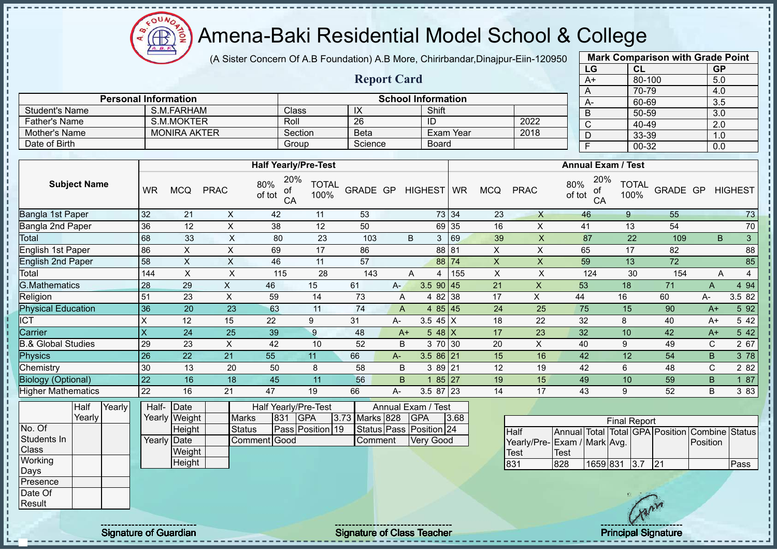$\mathbf{a}$ **AR** 

# Amena-Baki Residential Model School & College

(A Sister Concern Of A.B Foundation) A.B More, Chirirbandar,Dinajpur-Eiin-120950

**Report Card**

| <b>Mark Comparison with Grade Point</b> |        |           |  |  |  |  |  |  |  |  |  |
|-----------------------------------------|--------|-----------|--|--|--|--|--|--|--|--|--|
| LG                                      | CL     | <b>GP</b> |  |  |  |  |  |  |  |  |  |
| $A+$                                    | 80-100 | 5.0       |  |  |  |  |  |  |  |  |  |
| Α                                       | 70-79  | 4.0       |  |  |  |  |  |  |  |  |  |
| A-                                      | 60-69  | 3.5       |  |  |  |  |  |  |  |  |  |
| B                                       | 50-59  | 3.0       |  |  |  |  |  |  |  |  |  |
| C                                       | 40-49  | 2.0       |  |  |  |  |  |  |  |  |  |
| D                                       | 33-39  | 1.0       |  |  |  |  |  |  |  |  |  |
| F                                       | 00-32  | 0.0       |  |  |  |  |  |  |  |  |  |
|                                         |        |           |  |  |  |  |  |  |  |  |  |

|                       |                             |         |             |                           | $\overline{ }$ | 70-79 | $+$ . |         |  |  |  |
|-----------------------|-----------------------------|---------|-------------|---------------------------|----------------|-------|-------|---------|--|--|--|
|                       | <b>Personal Information</b> |         |             | <b>School Information</b> |                | $A-$  | 60-69 | 3.      |  |  |  |
| <b>Student's Name</b> | S.M.FARHAM                  | Class   | IX          | Shift                     |                |       | 50-59 | 3.      |  |  |  |
| <b>Father's Name</b>  | S.M.MOKTER                  | Roll    | -26         | ΙD                        | 2022           |       | 40-49 | റ<br>z. |  |  |  |
| Mother's Name         | <b>MONIRA AKTER</b>         | Section | <b>Beta</b> | Exam Year                 | 2018           |       | 33-39 |         |  |  |  |
| Date of Birth         |                             | Group   | Science     | Board                     |                |       | 00-32 | 0.      |  |  |  |
|                       |                             |         |             |                           |                |       |       |         |  |  |  |
|                       | <b>Half Yearly/Pre-Test</b> |         |             | <b>Annual Exam / Test</b> |                |       |       |         |  |  |  |
| ------                | $\ldots$ 20% $\ldots$       |         |             | $\sim 20\%$ $= -1$        |                |       |       |         |  |  |  |

| <b>Subject Name</b>       | WR  | <b>MCQ</b> | <b>PRAC</b> | 20%<br>80%<br>of<br>of tot<br>CA | <b>TOTAL</b><br>100% | GRADE GP |      | <b>HIGHEST</b> | <b>WR</b> | <b>MCQ</b> | <b>PRAC</b> | 20%<br>80%<br>of<br>of tot<br>CA | <b>TOTAL</b><br>100% | GRADE GP |      | <b>HIGHEST</b> |
|---------------------------|-----|------------|-------------|----------------------------------|----------------------|----------|------|----------------|-----------|------------|-------------|----------------------------------|----------------------|----------|------|----------------|
| Bangla 1st Paper          | 32  | 21         | X           | 42                               | 11                   | 53       |      |                | 73 34     | 23         | X           | 46                               | 9                    | 55       |      | 73             |
| Bangla 2nd Paper          | 36  | 12         | X           | 38                               | 12                   | 50       |      | 69             | 35        | 16         | X           | 41                               | 13                   | 54       |      | $70\,$         |
| <b>Total</b>              | 68  | 33         | X           | 80                               | 23                   | 103      |      | B<br>3         | 69        | 39         | X           | 87                               | 22                   | 109      | B.   | 3 <sup>1</sup> |
| English 1st Paper         | 86  | X          | X           | 69                               | 17                   | 86       |      | 88             | 81        | X          | X           | 65                               | 17                   | 82       |      | 88             |
| <b>English 2nd Paper</b>  | 58  | X          | X           | 46                               | 11                   | 57       |      |                | 88 74     | X          | X           | 59                               | 13                   | 72       |      | 85             |
| Total                     | 144 | X          | X           | 115                              | 28                   | 143      |      | Α<br>4         | 155       | X          | X           | 124                              | 30                   | 154      | A    | 4              |
| <b>G.Mathematics</b>      | 28  | 29         | X.          | 46                               | 15                   | 61       | A-   | $3.5$ 90 45    |           | 21         | X           | 53                               | 18                   | 71       | A    | 4 9 4          |
| Religion                  | 51  | 23         | X           | 59                               | 14                   | 73       | A    | 4 8 2          | 38        | 17         | X           | 44                               | 16                   | 60       | A-   | 3.5 82         |
| <b>Physical Education</b> | 36  | 20         | 23          | 63                               | 11                   | 74       | A    |                | 485 45    | 24         | 25          | 75                               | 15                   | 90       | $A+$ | 5 92           |
| <b>ICT</b>                | X   | 12         | 15          | 22                               | 9                    | 31       | А-   | 3.5 45 $X$     |           | 18         | 22          | 32                               | 8                    | 40       | $A+$ | 5 42           |
| Carrier                   | X   | 24         | 25          | 39                               | 9                    | 48       | $A+$ |                | 5 48 $X$  | 17         | 23          | 32                               | 10                   | 42       | $A+$ | 5 42           |
| 3.& Global Studies        | 29  | 23         | X           | 42                               | 10                   | 52       | B    |                | 3 70 30   | 20         | X           | 40                               | 9                    | 49       | С    | 2 67           |
| <b>Physics</b>            | 26  | 22         | 21          | 55                               | 11                   | 66       | A-   | $3.586$ 21     |           | 15         | 16          | 42                               | 12                   | 54       | B    | 3 78           |
| Chemistry                 | 30  | 13         | 20          | 50                               | 8                    | 58       | B    |                | 3 89 21   | 12         | 19          | 42                               | 6                    | 48       | С    | 2 8 2          |
| <b>Biology (Optional)</b> | 22  | 16         | 18          | 45                               | 11                   | 56       | B.   |                | 85<br> 27 | 19         | 15          | 49                               | 10                   | 59       | B    | 187            |
| <b>Higher Mathematics</b> | 22  | 16         | 21          | 47                               | 19                   | 66       | А-   | $3.587$ 23     |           | 14         | 17          | 43                               | 9                    | 52       | B    | 3 8 3          |

|                 | Half   | Yearly | Half-       | Date          |               |     | Half Yearly/Pre-Test |                | Annual Exam / Test      |      |             |
|-----------------|--------|--------|-------------|---------------|---------------|-----|----------------------|----------------|-------------------------|------|-------------|
|                 | Yearly |        |             | Yearly Weight | Marks         | 831 | <b>IGPA</b>          | 3.73 Marks 828 | <b>GPA</b>              | 3.68 |             |
| No. Of          |        |        |             | Height        | <b>Status</b> |     | Pass Position 19     |                | Status Pass Position 24 |      | <b>Half</b> |
| Students In     |        |        | Yearly Date |               | Comment Good  |     |                      | Comment        | <b>Very Good</b>        |      | Yearly/Pre  |
| <b>Class</b>    |        |        |             | Weight        |               |     |                      |                |                         |      | <b>Test</b> |
| Working         |        |        |             | Height        |               |     |                      |                |                         |      | 831         |
| Days            |        |        |             |               |               |     |                      |                |                         |      |             |
| <b>Presence</b> |        |        |             |               |               |     |                      |                |                         |      |             |
| Date Of         |        |        |             |               |               |     |                      |                |                         |      |             |
| Result          |        |        |             |               |               |     |                      |                |                         |      |             |

| <b>Final Report</b>          |       |              |  |  |     |                                                |      |  |  |  |  |  |  |
|------------------------------|-------|--------------|--|--|-----|------------------------------------------------|------|--|--|--|--|--|--|
| <b>Half</b>                  |       |              |  |  |     | Annual Total Total GPA Position Combine Status |      |  |  |  |  |  |  |
| Yearly/Pre- Exam / Mark Avg. |       |              |  |  |     | <b>IPosition</b>                               |      |  |  |  |  |  |  |
| lTest                        | lTest |              |  |  |     |                                                |      |  |  |  |  |  |  |
| 1831                         | 828   | 1659 831 3.7 |  |  | 121 |                                                | Pass |  |  |  |  |  |  |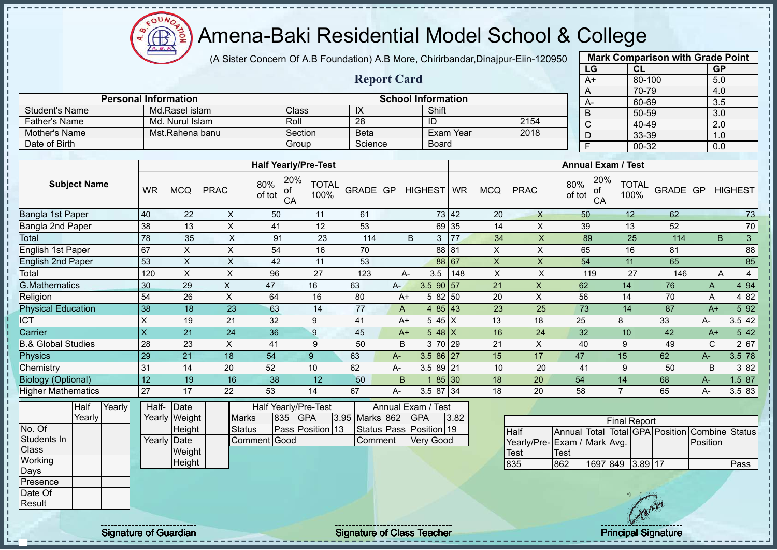Æ

# Amena-Baki Residential Model School & College

(A Sister Concern Of A.B Foundation) A.B More, Chirirbandar,Dinajpur-Eiin-120950

**Report Card**

| <b>Mark Comparison with Grade Point</b> |        |           |  |  |  |  |  |  |  |  |  |
|-----------------------------------------|--------|-----------|--|--|--|--|--|--|--|--|--|
| LG                                      | CL     | <b>GP</b> |  |  |  |  |  |  |  |  |  |
| $A+$                                    | 80-100 | 5.0       |  |  |  |  |  |  |  |  |  |
| A                                       | 70-79  | 4.0       |  |  |  |  |  |  |  |  |  |
| А-                                      | 60-69  | 3.5       |  |  |  |  |  |  |  |  |  |
| B                                       | 50-59  | 3.0       |  |  |  |  |  |  |  |  |  |
| C                                       | 40-49  | 2.0       |  |  |  |  |  |  |  |  |  |
| D                                       | 33-39  | 1.0       |  |  |  |  |  |  |  |  |  |
| F                                       | 00-32  | 0.0       |  |  |  |  |  |  |  |  |  |

|                      |                             |              |         |                           |      |    | 70 |
|----------------------|-----------------------------|--------------|---------|---------------------------|------|----|----|
|                      | <b>Personal Information</b> |              |         | <b>School Information</b> |      | А- | 60 |
| Student's Name       | Md.Rasel islam              | <b>Class</b> | ⋏       | Shift                     |      | В  | 50 |
| <b>Father's Name</b> | Md. Nurul Islam             | Roll         | 28      | ID                        | 2154 |    | 40 |
| Mother's Name        | Mst.Rahena banu             | Section      | Beta    | Exam Year                 | 2018 |    | 33 |
| Date of Birth        |                             | Group        | Science | Board                     |      |    | 00 |

|                               |           |            |             | <b>Half Yearly/Pre-Test</b>      |                      |          |      |                |       |            |             | <b>Annual Exam / Test</b>        |                      |          |      |                |
|-------------------------------|-----------|------------|-------------|----------------------------------|----------------------|----------|------|----------------|-------|------------|-------------|----------------------------------|----------------------|----------|------|----------------|
| <b>Subject Name</b>           | <b>WR</b> | <b>MCQ</b> | <b>PRAC</b> | 20%<br>80%<br>οf<br>of tot<br>CA | <b>TOTAL</b><br>100% | GRADE GP |      | HIGHEST WR     |       | <b>MCQ</b> | <b>PRAC</b> | 20%<br>80%<br>οf<br>of tot<br>CA | <b>TOTAL</b><br>100% | GRADE GP |      | <b>HIGHEST</b> |
| Bangla 1st Paper              | 40        | 22         | X           | 50                               | 11                   | 61       |      |                | 73 42 | 20         | X           | 50                               | 12                   | 62       |      | 73             |
| Bangla 2nd Paper              | 38        | 13         | X           | 41                               | 12                   | 53       |      |                | 69 35 | 14         | X           | 39                               | 13                   | 52       |      | 70             |
| Total                         | 78        | 35         | X           | 91                               | 23                   | 114      |      | 3<br>B         | 77    | 34         | X           | 89                               | 25                   | 114      | B    | 3              |
| English 1st Paper             | 67        | X          | X           | 54                               | 16                   | 70       |      |                | 88 81 | X          | X           | 65                               | 16                   | 81       |      | 88             |
| <b>English 2nd Paper</b>      | 53        | X          | X           | 42                               | 11                   | 53       |      |                | 88 67 | X          | X           | 54                               | 11                   | 65       |      | 85             |
| Total                         | 120       | X          | X           | 96                               | 27                   | 123      |      | 3.5<br>А-      | 148   | X          | X           | 119                              | 27                   | 146      | Α    | 4              |
| <b>G.Mathematics</b>          | 30        | 29         | X.          | 47                               | 16                   | 63       | $A-$ | $3.5$ 90 57    |       | 21         | X           | 62                               | 14                   | 76       | A    | 4 9 4          |
| Religion                      | 54        | 26         | X           | 64                               | 16                   | 80       | A+   | 5 82 50        |       | 20         | X           | 56                               | 14                   | 70       | Α    | 4 8 2          |
| <b>Physical Education</b>     | 38        | 18         | 23          | 63                               | 14                   | 77       | A    | 4 $85 \mid 43$ |       | 23         | 25          | 73                               | 14                   | 87       | $A+$ | 5 9 2          |
| ICT                           | Χ         | 19         | 21          | 32                               | 9                    | 41       | $A+$ | 5 45 X         |       | 13         | 18          | 25                               | 8                    | 33       | A-   | 3.5 42         |
| Carrier                       | X         | 21         | 24          | 36                               | 9                    | 45       | $A+$ | 5 48 $X$       |       | 16         | 24          | 32                               | 10                   | 42       | $A+$ | 5 4 2          |
| <b>B.&amp; Global Studies</b> | 28        | 23         | X           | 41                               | 9                    | 50       | B    | 3 70 29        |       | 21         | X           | 40                               | 9                    | 49       | C    | 2 67           |
| Physics                       | 29        | 21         | 18          | 54                               | 9                    | 63       | A-   | $3.586$ 27     |       | 15         | 17          | 47                               | 15                   | 62       | A-   | 3.5 78         |
| Chemistry                     | 31        | 14         | 20          | 52                               | 10                   | 62       | A-   | $3.589$ 21     |       | 10         | 20          | 41                               | 9                    | 50       | B    | 3 8 2          |
| <b>Biology (Optional)</b>     | 12        | 19         | 16          | 38                               | 12                   | 50       | B    |                | 85 30 | 18         | 20          | 54                               | 14                   | 68       | A-   | 1.5 87         |
| Higher Mathematics            | 27        | 17         | 22          | 53                               | 14                   | 67       | A-   | 3.5 87 34      |       | 18         | 20          | 58                               |                      | 65       | A-   | 3.5 83         |

|                  | Half   | Yearly | Half- | Date          |               |     | Half Yearly/Pre-Test |                | Annual Exam / Test      |      |                    |              |
|------------------|--------|--------|-------|---------------|---------------|-----|----------------------|----------------|-------------------------|------|--------------------|--------------|
|                  | Yearly |        |       | Yearly Weight | <b>Marks</b>  | 835 | <b>IGPA</b>          | 3.95 Marks 862 | <b>IGPA</b>             | 3.82 |                    |              |
| No. Of           |        |        |       | Height        | <b>Status</b> |     | Pass Position 13     |                | Status Pass Position 19 |      | Half               | Annual       |
| Students In      |        |        |       | Yearly Date   | Comment Good  |     |                      | Comment        | <b>Very Good</b>        |      | Yearly/Pre- Exam / |              |
| Class            |        |        |       | Weight        |               |     |                      |                |                         |      | Test               | <b>ITest</b> |
| Working          |        |        |       | Height        |               |     |                      |                |                         |      | 835                | 862          |
| <b>IDays</b>     |        |        |       |               |               |     |                      |                |                         |      |                    |              |
| <b>IPresence</b> |        |        |       |               |               |     |                      |                |                         |      |                    |              |
| Date Of          |        |        |       |               |               |     |                      |                |                         |      |                    |              |
| Result           |        |        |       |               |               |     |                      |                |                         |      |                    |              |

| <b>Final Report</b>          |      |                  |  |  |  |                                                |      |  |  |  |  |  |  |
|------------------------------|------|------------------|--|--|--|------------------------------------------------|------|--|--|--|--|--|--|
| <b>Half</b>                  |      |                  |  |  |  | Annual Total Total GPA Position Combine Status |      |  |  |  |  |  |  |
| Yearly/Pre- Exam / Mark Avg. |      |                  |  |  |  | Position                                       |      |  |  |  |  |  |  |
| <b>Test</b>                  | Test |                  |  |  |  |                                                |      |  |  |  |  |  |  |
| 835                          | 862  | 1697 849 3.89 17 |  |  |  |                                                | Pass |  |  |  |  |  |  |

 $\mathbf{I}$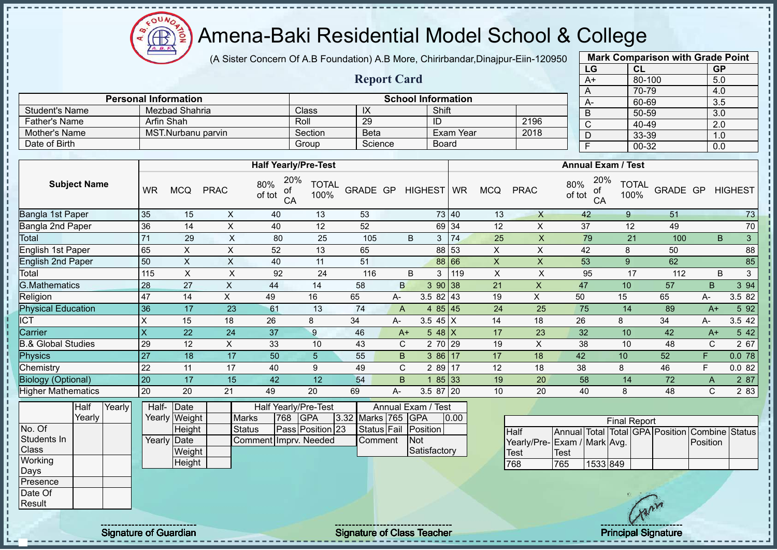# Amena-Baki Residential Model School & College

(A Sister Concern Of A.B Foundation) A.B More, Chirirbandar,Dinajpur-Eiin-120950

**Report Card**

|                       | <b>Mark Comparison with Grade Point</b> |           |  |  |  |  |  |  |  |  |  |  |
|-----------------------|-----------------------------------------|-----------|--|--|--|--|--|--|--|--|--|--|
| LG                    | CL                                      | <b>GP</b> |  |  |  |  |  |  |  |  |  |  |
| $A+$                  | 80-100                                  | 5.0       |  |  |  |  |  |  |  |  |  |  |
| A                     | 70-79                                   | 4.0       |  |  |  |  |  |  |  |  |  |  |
| A-                    | 60-69                                   | 3.5       |  |  |  |  |  |  |  |  |  |  |
| B                     | 50-59                                   | 3.0       |  |  |  |  |  |  |  |  |  |  |
| $\overline{\text{c}}$ | 40-49                                   | 2.0       |  |  |  |  |  |  |  |  |  |  |
| D                     | 33-39                                   | 1.0       |  |  |  |  |  |  |  |  |  |  |
| F                     | 00-32                                   | 0.0       |  |  |  |  |  |  |  |  |  |  |

|                      | <b>Personal Information</b> |         |             | <b>School Information</b> |      | $A-$ |
|----------------------|-----------------------------|---------|-------------|---------------------------|------|------|
| Student's Name       | Mezbad Shahria              | Class   | IX          | Shift                     |      |      |
| <b>Father's Name</b> | Arfin Shah                  | Roll    | 29          | ID                        | 2196 |      |
| Mother's Name        | MST.Nurbanu parvin          | Section | <b>Beta</b> | Exam Year                 | 2018 |      |
| Date of Birth        |                             | Group   | Science     | Board                     |      |      |

|                               |           |            |              | <b>Half Yearly/Pre-Test</b>      |                      |          |              |                |       |            |             | <b>Annual Exam / Test</b>        |                      |          |      |                |
|-------------------------------|-----------|------------|--------------|----------------------------------|----------------------|----------|--------------|----------------|-------|------------|-------------|----------------------------------|----------------------|----------|------|----------------|
| <b>Subject Name</b>           | <b>WR</b> | <b>MCQ</b> | <b>PRAC</b>  | 20%<br>80%<br>οf<br>of tot<br>CA | <b>TOTAL</b><br>100% | GRADE GP |              | HIGHEST WR     |       | <b>MCQ</b> | <b>PRAC</b> | 20%<br>80%<br>of<br>of tot<br>CA | <b>TOTAL</b><br>100% | GRADE GP |      | <b>HIGHEST</b> |
| Bangla 1st Paper              | 35        | 15         | X            | 40                               | 13                   | 53       |              |                | 73 40 | 13         | $\times$    | 42                               | 9                    | 51       |      | 73             |
| Bangla 2nd Paper              | 36        | 14         | X            | 40                               | 12                   | 52       |              |                | 69 34 | 12         | X           | 37                               | 12                   | 49       |      | 70             |
| Total                         | 71        | 29         | $\mathsf{X}$ | 80                               | 25                   | 105      |              | B<br>3         | 74    | 25         | X           | 79                               | 21                   | 100      |      | 3<br>B         |
| English 1st Paper             | 65        | X.         | X            | 52                               | 13                   | 65       |              |                | 88 53 | X          | X           | 42                               | 8                    | 50       |      | 88             |
| <b>English 2nd Paper</b>      | 50        | X          | X            | 40                               | 11                   | 51       |              |                | 88 66 | X          | X           | 53                               | 9                    | 62       |      | 85             |
| Total                         | 115       | X          | X            | 92                               | 24                   | 116      |              | 3<br>B         | 119   | X          | X           | 95                               | 17                   | 112      |      | 3<br>B         |
| G.Mathematics                 | 28        | 27         | X            | 44                               | 14                   | 58       | B            | 390 38         |       | 21         | X           | 47                               | 10                   | 57       | B.   | 3 94           |
| Religion                      | 47        | 14         | X.           | 49                               | 16                   | 65       | A-           | $3.582$ 43     |       | 19         | X           | 50                               | 15                   | 65       | A-   | 3.5 82         |
| <b>Physical Education</b>     | 36        | 17         | 23           | 61                               | 13                   | 74       | A            | 4 $85 \mid 45$ |       | 24         | 25          | 75                               | 14                   | 89       | $A+$ | 5 9 2          |
| ICT                           | X         | 15         | 18           | 26                               | 8                    | 34       | A-           | 3.5 45 $X$     |       | 14         | 18          | 26                               | 8                    | 34       | А-   | 3.5 42         |
| Carrier                       | X         | 22         | 24           | 37                               | 9                    | 46       | $A+$         | 5 48 $X$       |       | 17         | 23          | 32                               | 10                   | 42       | $A+$ | 5 4 2          |
| <b>B.&amp; Global Studies</b> | 29        | 12         | X            | 33                               | 10                   | 43       | $\mathsf{C}$ | 2 70 29        |       | 19         | X           | 38                               | 10                   | 48       | C    | 2 67           |
| <b>Physics</b>                | 27        | 18         | 17           | 50                               | 5                    | 55       | B.           | $386$ 17       |       | 17         | 18          | 42                               | 10                   | 52       | F    | 0.078          |
| Chemistry                     | 22        | 11         | 17           | 40                               | 9                    | 49       | C.           | 2 89 17        |       | 12         | 18          | 38                               | 8                    | 46       | F    | 0.082          |
| <b>Biology (Optional)</b>     | 20        | 17         | 15           | 42                               | 12                   | 54       | B.           |                | 85 33 | 19         | 20          | 58                               | 14                   | 72       | A    | 2 87           |
| <b>Higher Mathematics</b>     | 20        | 20         | 21           | 49                               | 20                   | 69       | А-           | 3.5 87 20      |       | 10         | 20          | 40                               | 8                    | 48       | C    | 2 8 3          |

|              | <b>Half</b> | Yearly | Half- Date  |               |                       |      | Half Yearly/Pre-Test |  |                    | Annual Exam / Test |      |
|--------------|-------------|--------|-------------|---------------|-----------------------|------|----------------------|--|--------------------|--------------------|------|
|              | Yearly      |        |             | Yearly Weight | <b>Marks</b>          | 1768 | <b>IGPA</b>          |  | 3.32 Marks 765 GPA |                    | 0.00 |
| No. Of       |             |        |             | <b>Height</b> | Status                |      | Pass Position 23     |  | Status Fail        | Position           |      |
| Students In  |             |        | Yearly Date |               | Comment Imprv. Needed |      |                      |  | Comment            | <b>Not</b>         |      |
| <b>Class</b> |             |        |             | Weight        |                       |      |                      |  |                    | Satisfactory       |      |
| Working      |             |        |             | Height        |                       |      |                      |  |                    |                    |      |
| Days         |             |        |             |               |                       |      |                      |  |                    |                    |      |
| Presence     |             |        |             |               |                       |      |                      |  |                    |                    |      |

|                             |       |          | <b>Final Report</b> |  |                                                |  |
|-----------------------------|-------|----------|---------------------|--|------------------------------------------------|--|
| <b>Half</b>                 |       |          |                     |  | Annual Total Total GPA Position Combine Status |  |
| Yearly/Pre-Exam / Mark Avg. |       |          |                     |  | <b>Position</b>                                |  |
| <b>Test</b>                 | 'Test |          |                     |  |                                                |  |
| 768                         | 765   | 1533 849 |                     |  |                                                |  |

Date Of Result

Signature of Guardian Signature of Class Teacher Principal Signature of Class Teacher Principal Signature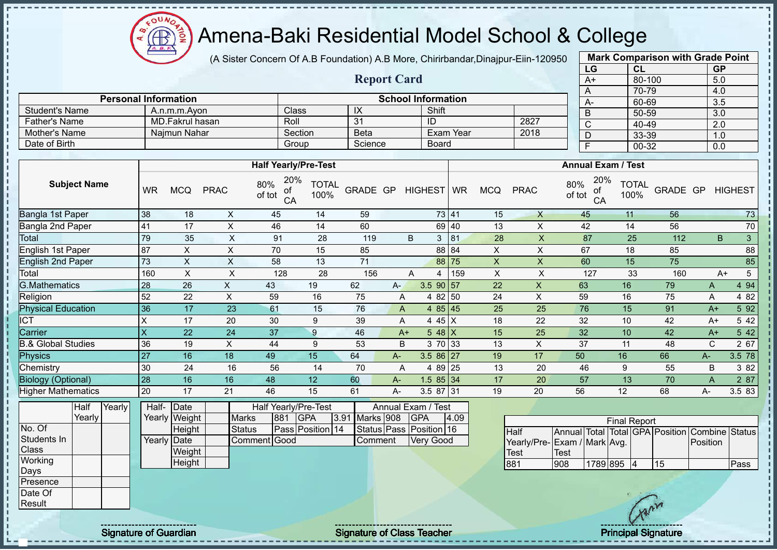$\Omega$ Æ

# Amena-Baki Residential Model School & College

(A Sister Concern Of A.B Foundation) A.B More, Chirirbandar,Dinajpur-Eiin-120950

**Report Card**

**Personal Information School Information**

|                       | <b>Mark Comparison with Grade Point</b> |           |
|-----------------------|-----------------------------------------|-----------|
| LG                    | CL                                      | <b>GP</b> |
| $A+$                  | 80-100                                  | 5.0       |
| Α                     | 70-79                                   | 4.0       |
| A-                    | 60-69                                   | 3.5       |
| B                     | 50-59                                   | 3.0       |
| $\overline{\text{c}}$ | 40-49                                   | 2.0       |
| D                     | 33-39                                   | 1.0       |
| F                     | 00-32                                   | 0.0       |
|                       |                                         |           |

| ו סוסטוונטו וווערווונגוועוו   |           |                 |                |                                  |                      |             |              |                    |                |                |              | A-                               | 60-69                |          |      | 3.5            |        |
|-------------------------------|-----------|-----------------|----------------|----------------------------------|----------------------|-------------|--------------|--------------------|----------------|----------------|--------------|----------------------------------|----------------------|----------|------|----------------|--------|
| <b>Student's Name</b>         |           | A.n.m.m.Avon    |                | Class                            |                      | IX          |              | Shift              |                |                |              | B                                | 50-59                |          |      | 3.0            |        |
| <b>Father's Name</b>          |           | MD.Fakrul hasan |                | Roll                             |                      | 31          |              | $\overline{ID}$    |                |                | 2827         | C                                | 40-49                |          |      | 2.0            |        |
| Mother's Name                 |           | Najmun Nahar    |                | Section                          |                      | <b>Beta</b> |              |                    | Exam Year      |                | 2018         | D                                | 33-39                |          |      | 1.0            |        |
| Date of Birth                 |           |                 |                | Group                            |                      | Science     |              | <b>Board</b>       |                |                |              | F                                | $00 - 32$            |          |      | 0.0            |        |
|                               |           |                 |                |                                  |                      |             |              |                    |                |                |              |                                  |                      |          |      |                |        |
|                               |           |                 |                | <b>Half Yearly/Pre-Test</b>      |                      |             |              |                    |                |                |              | <b>Annual Exam / Test</b>        |                      |          |      |                |        |
| <b>Subject Name</b>           | <b>WR</b> | <b>MCQ</b>      | <b>PRAC</b>    | 20%<br>80%<br>оf<br>of tot<br>CA | <b>TOTAL</b><br>100% | GRADE GP    |              | HIGHEST WR         |                | <b>MCQ</b>     | <b>PRAC</b>  | 20%<br>80%<br>of<br>of tot<br>CA | <b>TOTAL</b><br>100% | GRADE GP |      | <b>HIGHEST</b> |        |
| Bangla 1st Paper              | 38        | 18              | X              | 45                               | 14                   | 59          |              |                    | 73 41          | 15             | $\mathsf{X}$ | 45                               | 11                   | 56       |      |                | 73     |
| Bangla 2nd Paper              | 41        | 17              | X              | 46                               | 14                   | 60          |              |                    | 69 40          | 13             | X            | 42                               | 14                   | 56       |      |                | 70     |
| Total                         | 79        | 35              | $\mathsf X$    | 91                               | 28                   | 119         |              | B<br>3             | 81             | 28             | $\mathsf{X}$ | 87                               | 25                   | 112      |      | B              | 3      |
| <b>English 1st Paper</b>      | 87        | X.              | $\pmb{\times}$ | 70                               | 15                   | 85          |              |                    | 88 84          | $\pmb{\times}$ | X            | 67                               | 18                   | 85       |      |                | 88     |
| <b>English 2nd Paper</b>      | 73        | X               | X              | 58                               | 13                   | 71          |              |                    | 75<br>88       | X              | $\mathsf{X}$ | 60                               | 15                   | 75       |      |                | 85     |
| Total                         | 160       | X               | X              | 128                              | 28                   | 156         |              | A<br>4             | 159            | X              | X            | 127                              | 33                   | 160      |      | $A+$           | 5      |
| <b>G.Mathematics</b>          | 28        | 26              | X              | 43                               | 19                   | 62          | $A -$        | $3.5$ 90 57        |                | 22             | X            | 63                               | 16                   | 79       | A    |                | 4 9 4  |
| Religion                      | 52        | 22              | X              | 59                               | 16                   | 75          | Α            |                    | 4 82 50        | 24             | X            | 59                               | 16                   | 75       | Α    |                | 4 8 2  |
| <b>Physical Education</b>     | 36        | 17              | 23             | 61                               | 15                   | 76          | $\mathsf{A}$ |                    | 4 $85 \mid 45$ | 25             | 25           | 76                               | 15                   | 91       | $A+$ |                | 5 9 2  |
| ICT                           | X         | 17              | 20             | 30                               | 9                    | 39          | A            |                    | 4 45 X         | 18             | 22           | 32                               | 10                   | 42       | $A+$ |                | 5 42   |
| Carrier                       | X         | 22              | 24             | 37                               | 9                    | 46          | $A+$         |                    | $548$ X        | 15             | 25           | 32                               | 10                   | 42       | $A+$ |                | 5 4 2  |
| <b>B.&amp; Global Studies</b> | 36        | 19              | X              | 44                               | 9                    | 53          | B            |                    | 3 70 33        | 13             | X            | 37                               | 11                   | 48       | C    |                | 2 67   |
| Physics                       | 27        | 16              | 18             | 49                               | 15                   | 64          | A-           | $3.586$ 27         |                | 19             | 17           | 50                               | 16                   | 66       | A-   |                | 3.5 78 |
| Chemistry                     | 30        | 24              | 16             | 56                               | 14                   | 70          | A            |                    | 4 89 25        | 13             | 20           | 46                               | 9                    | 55       | B    |                | 3 8 2  |
| <b>Biology (Optional)</b>     | 28        | 16              | 16             | 48                               | 12                   | 60          | $A -$        | $1.585$ 34         |                | 17             | 20           | 57                               | 13                   | 70       | A    |                | 2 87   |
| <b>Higher Mathematics</b>     | 20        | 17              | 21             | 46                               | 15                   | 61          | A-           | 3.5 87 31          |                | 19             | 20           | 56                               | 12                   | 68       | A-   |                | 3.5 83 |
| Yearly<br>Half                |           | Half- Date      |                | Half Yearly/Pre-Test             |                      |             |              | Annual Exam / Test |                |                |              |                                  |                      |          |      |                |        |

|              | -----  |  |               |              |            |                         |       |           |                         |      |                             |              |            |                     |    |                                                |      |
|--------------|--------|--|---------------|--------------|------------|-------------------------|-------|-----------|-------------------------|------|-----------------------------|--------------|------------|---------------------|----|------------------------------------------------|------|
|              | Yearly |  | Yearly Weight | <b>Marks</b> | <b>881</b> | <b>IGPA</b>             | 13.91 | Marks 908 | <b>IGPA</b>             | 4.09 |                             |              |            | <b>Final Report</b> |    |                                                |      |
| No. Of       |        |  | Height        | Status       |            | <b>Pass Position 14</b> |       |           | Status Pass Position 16 |      | Half                        |              |            |                     |    | Annual Total Total GPA Position Combine Status |      |
| Students In  |        |  | Yearly Date   | Comment Good |            |                         |       | Comment   | <b>Very Good</b>        |      | Yearly/Pre-Exam / Mark Avg. |              |            |                     |    | Position                                       |      |
| <b>Class</b> |        |  | Weight        |              |            |                         |       |           |                         |      | Test                        | <b>ITest</b> |            |                     |    |                                                |      |
| Working      |        |  | Height        |              |            |                         |       |           |                         |      | 881                         | 908          | 1789 895 4 |                     | 15 |                                                | Pass |
| Days         |        |  |               |              |            |                         |       |           |                         |      |                             |              |            |                     |    |                                                |      |
| Presence     |        |  |               |              |            |                         |       |           |                         |      |                             |              |            |                     |    |                                                |      |
| Date Of      |        |  |               |              |            |                         |       |           |                         |      |                             |              |            |                     |    |                                                |      |
| Result       |        |  |               |              |            |                         |       |           |                         |      |                             |              |            | $A^V$               |    |                                                |      |

Signature of Guardian and Signature of Class Teacher Principal Signature of Guardian and Signature of Class Teacher Principal Signature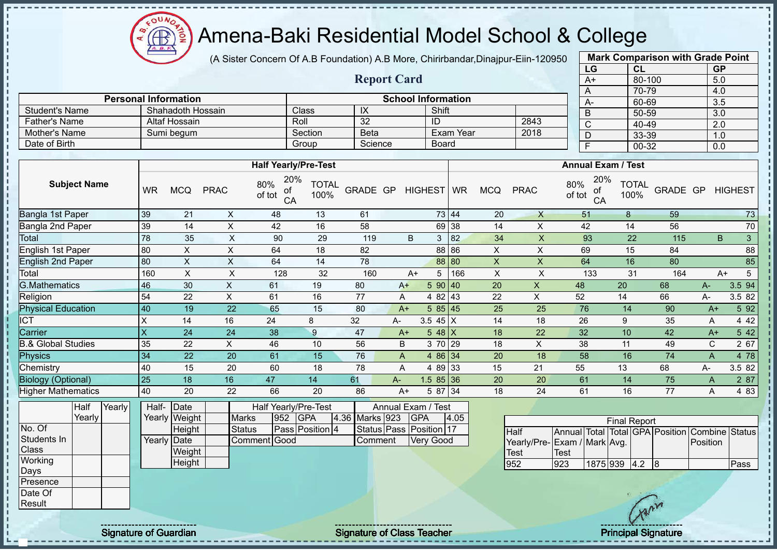ΩU Amena-Baki Residential Model School & College **AR** 

(A Sister Concern Of A.B Foundation) A.B More, Chirirbandar,Dinajpur-Eiin-120950

**Report Card**

|              | <b>Mark Comparison with Grade Point</b> |           |
|--------------|-----------------------------------------|-----------|
| LG           | <b>CL</b>                               | <b>GP</b> |
| A+           | 80-100                                  | 5.0       |
| A            | 70-79                                   | 4.0       |
| $A -$        | 60-69                                   | 3.5       |
| B            | 50-59                                   | 3.0       |
| $\mathsf{C}$ | 40-49                                   | 2.0       |
| D            | 33-39                                   | 1.0       |
| F            | $00 - 32$                               | 0.0       |

|                      | <b>Personal Information</b> |              |         | <b>School Information</b> |      | А- |
|----------------------|-----------------------------|--------------|---------|---------------------------|------|----|
| Student's Name       | Shahadoth Hossain           | <b>Class</b> |         | Shift                     |      |    |
| <b>Father's Name</b> | Altaf Hossain               | Roll         | 32      | ID                        | 2843 |    |
| Mother's Name        | Sumi beaum                  | Section      | Beta    | Exam Year                 | 2018 | ◡  |
| Date of Birth        |                             | Group        | Science | <b>Board</b>              |      |    |

|                           |                         |            |             | <b>Half Yearly/Pre-Test</b>      |                      |          |       |            |            |     |            |             | <b>Annual Exam / Test</b>        |                      |          |             |                   |
|---------------------------|-------------------------|------------|-------------|----------------------------------|----------------------|----------|-------|------------|------------|-----|------------|-------------|----------------------------------|----------------------|----------|-------------|-------------------|
| <b>Subject Name</b>       | WR                      | <b>MCQ</b> | <b>PRAC</b> | 20%<br>80%<br>οf<br>of tot<br>CA | <b>TOTAL</b><br>100% | GRADE GP |       | HIGHEST WR |            |     | <b>MCQ</b> | <b>PRAC</b> | 20%<br>80%<br>οf<br>of tot<br>CA | <b>TOTAL</b><br>100% | GRADE GP |             | <b>HIGHEST</b>    |
| Bangla 1st Paper          | 39                      | 21         | X           | 48                               | 13                   | 61       |       |            | 73 44      |     | 20         | X           | 51                               | 8                    | 59       |             | 73                |
| Bangla 2nd Paper          | 39                      | 14         | X           | 42                               | 16                   | 58       |       |            | 69 38      |     | 14         | X           | 42                               | 14                   | 56       |             | 70                |
| Total                     | 78                      | 35         | X           | 90                               | 29                   | 119      |       | B          | 3          | 82  | 34         | X           | 93                               | 22                   | 115      |             | $\mathbf{3}$<br>B |
| English 1st Paper         | 80                      | X.         | X           | 64                               | 18                   | 82       |       |            | 88 86      |     | X          | X           | 69                               | 15                   | 84       |             | 88                |
| <b>English 2nd Paper</b>  | 80                      | X          | X           | 64                               | 14                   | 78       |       |            | 88 80      |     | X          | X.          | 64                               | 16                   | 80       |             | 85                |
| Total                     | 160                     | X          | X           | 128                              | 32                   | 160      |       | $A+$       | 5          | 166 | X          | X           | 133                              | 31                   | 164      |             | $A+$<br>5         |
| <b>G.Mathematics</b>      | 46                      | 30         | X           | 61                               | 19                   | 80       |       | $A+$       | 590   40   |     | 20         | X           | 48                               | 20                   | 68       | $A-$        | 3.5 94            |
| Religion                  | 54                      | 22         | X           | 61                               | 16                   | 77       |       | A          | 4 82 43    |     | 22         | X           | 52                               | 14                   | 66       | A-          | 3.5 82            |
| <b>Physical Education</b> | 40                      | 19         | 22          | 65                               | 15                   | 80       |       | $A+$       | 585   45   |     | 25         | 25          | 76                               | 14                   | 90       | $A+$        | 5 9 2             |
| <b>ICT</b>                | X                       | 14         | 16          | 24                               | 8                    | 32       | A-    |            | 3.5 45 $X$ |     | 14         | 18          | 26                               | 9                    | 35       | Α           | 4 4 2             |
| Carrier                   | $\overline{\mathsf{x}}$ | 24         | 24          | 38                               | 9                    | 47       |       | $A+$       | $548$ X    |     | 18         | 22          | 32                               | 10                   | 42       | $A+$        | 5 4 2             |
| 3.& Global Studies        | 35                      | 22         | X           | 46                               | 10                   | 56       |       | B          | 3 70 29    |     | 18         | X           | 38                               | 11                   | 49       | $\mathsf C$ | 2 67              |
| <b>Physics</b>            | 34                      | 22         | 20          | 61                               | 15                   | 76       |       | A          | 4 86 34    |     | 20         | 18          | 58                               | 16                   | 74       | A           | 4 78              |
| Chemistry                 | 40                      | 15         | 20          | 60                               | 18                   | 78       | A     |            | 4 89 33    |     | 15         | 21          | 55                               | 13                   | 68       | A-          | 3.5 82            |
| <b>Biology (Optional)</b> | 25                      | 18         | 16          | 47                               | 14                   | 61       | $A -$ |            | $1.585$ 36 |     | 20         | 20          | 61                               | 14                   | 75       | A           | 2 87              |
| <b>Higher Mathematics</b> | 40                      | 20         | 22          | 66                               | 20                   | 86       |       | $A+$       | 5 87 34    |     | 18         | 24          | 61                               | 16                   | 77       | A           | 4 8 3             |

|                  | Half   | Yearly | Half- | Date          |               |     | Half Yearly/Pre-Test |                | Annual Exam / Test      |      |                              |                        |              |                   |           |
|------------------|--------|--------|-------|---------------|---------------|-----|----------------------|----------------|-------------------------|------|------------------------------|------------------------|--------------|-------------------|-----------|
|                  | Yearly |        |       | Yearly Weight | <b>Marks</b>  | 952 | <b>IGPA</b>          | 4.36 Marks 923 | <b>IGPA</b>             | 4.05 |                              |                        |              | <b>Final Repo</b> |           |
| No. Of           |        |        |       | Height        | <b>Status</b> |     | Pass Position 4      |                | Status Pass Position 17 |      | Half                         | Annual Total Total GPA |              |                   |           |
| Students In      |        |        |       | Yearly Date   | Comment Good  |     |                      | Comment        | <b>Very Good</b>        |      | Yearly/Pre- Exam / Mark Avg. |                        |              |                   |           |
| <b>Class</b>     |        |        |       | Weight        |               |     |                      |                |                         |      | Test                         | 'Test                  |              |                   |           |
| Working          |        |        |       | Height        |               |     |                      |                |                         |      | 952                          | 923                    | 1875 939 4.2 |                   |           |
| <b>Days</b>      |        |        |       |               |               |     |                      |                |                         |      |                              |                        |              |                   |           |
| <b>IPresence</b> |        |        |       |               |               |     |                      |                |                         |      |                              |                        |              |                   |           |
| Date Of          |        |        |       |               |               |     |                      |                |                         |      |                              |                        |              |                   |           |
| Result           |        |        |       |               |               |     |                      |                |                         |      |                              |                        |              |                   | $\Lambda$ |

|                              |      |              | <b>Final Report</b> |  |                                                |      |
|------------------------------|------|--------------|---------------------|--|------------------------------------------------|------|
| Half                         |      |              |                     |  | Annual Total Total GPA Position Combine Status |      |
| Yearly/Pre- Exam / Mark Avg. |      |              |                     |  | Position                                       |      |
| Test                         | Test |              |                     |  |                                                |      |
| 952                          | 923  | 1875 939 4.2 |                     |  |                                                | Pass |

Signature of Guardian Teacher Signature of Class Teacher Teacher Principal Signature of Guardian Signature of Class Teacher Teacher Principal Signature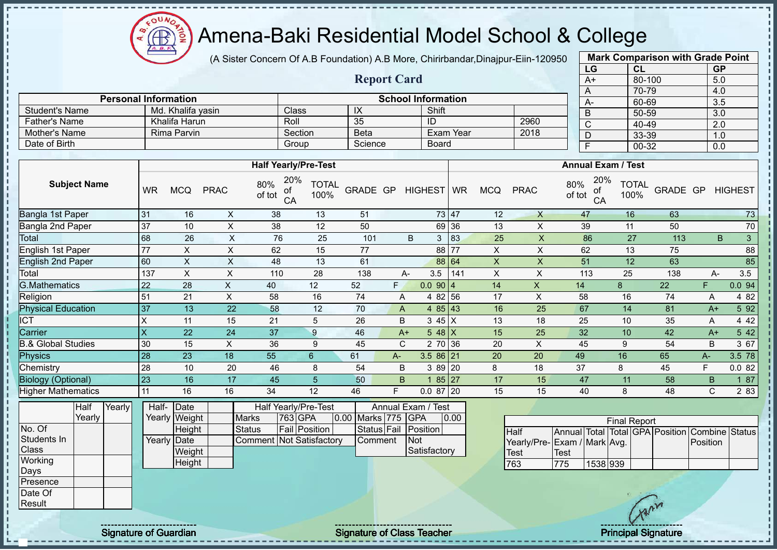oυ Æ

# Amena-Baki Residential Model School & College

(A Sister Concern Of A.B Foundation) A.B More, Chirirbandar,Dinajpur-Eiin-120950

**Report Card**

| <b>Mark Comparison with Grade Point</b> |           |
|-----------------------------------------|-----------|
| CL                                      | <b>GP</b> |
| 80-100                                  | 5.0       |
| 70-79                                   | 4.0       |
| 60-69                                   | 3.5       |
| 50-59                                   | 3.0       |
| 40-49                                   | 2.0       |
| 33-39                                   | 1.0       |
| 00-32                                   | 0.0       |
|                                         |           |

|                      |                             |                             |                           |       |           |      | $\overline{A}$            | 70-79 |
|----------------------|-----------------------------|-----------------------------|---------------------------|-------|-----------|------|---------------------------|-------|
|                      | <b>Personal Information</b> |                             | <b>School Information</b> |       |           |      | $A-$                      | 60-69 |
| Student's Name       | Md. Khalifa yasin           | Class <sup>1</sup>          | IX                        | Shift |           |      |                           | 50-59 |
| <b>Father's Name</b> | Khalifa Harun               | Roll                        | 35                        | ID    |           | 2960 |                           | 40-49 |
| Mother's Name        | Rima Parvin                 | Section                     | Beta                      |       | Exam Year | 2018 |                           | 33-39 |
| Date of Birth        |                             | Group                       | Science                   | Board |           |      |                           | 00-32 |
|                      |                             |                             |                           |       |           |      |                           |       |
|                      |                             | <b>Half Yearly/Pre-Test</b> |                           |       |           |      | <b>Annual Exam / Test</b> |       |
|                      |                             |                             |                           |       |           |      |                           |       |

| <b>Subject Name</b>           | <b>WR</b> | <b>MCQ</b> | <b>PRAC</b> | 20%<br>80%<br>оf<br>of tot<br>CA | TOTAL<br>100% | GRADE GP |    | HIGHEST WR      |                   | <b>MCQ</b> | <b>PRAC</b> | 20%<br>80%<br>оf<br>of tot<br>CA | <b>TOTAL</b><br>100% | GRADE GP |      | <b>HIGHEST</b> |    |
|-------------------------------|-----------|------------|-------------|----------------------------------|---------------|----------|----|-----------------|-------------------|------------|-------------|----------------------------------|----------------------|----------|------|----------------|----|
| Bangla 1st Paper              | 31        | 16         | X           | 38                               | 13            | 51       |    |                 | 73 47             | 12         | $\times$    | 47                               | 16                   | 63       |      |                | 73 |
| Bangla 2nd Paper              | 37        | 10         | X           | 38                               | 12            | 50       |    |                 | 69 36             | 13         | X           | 39                               | 11                   | 50       |      |                | 70 |
| Total                         | 68        | 26         | X           | 76                               | 25            | 101      |    | B<br>3          | 83                | 25         | X           | 86                               | 27                   | 113      |      | B              | 3  |
| English 1st Paper             | 77        | X          | X           | 62                               | 15            | 77       |    | 88              | 77                | X          | X           | 62                               | 13                   | 75       |      |                | 88 |
| English 2nd Paper             | 60        | X          | X.          | 48                               | 13            | 61       |    |                 | 88 64             | X          | X           | 51                               | 12                   | 63       |      |                | 85 |
| Total                         | 137       | X          | X           | 110                              | 28            | 138      |    | 3.5<br>A-       | 141               | X          | X           | 113                              | 25                   | 138      |      | 3.5<br>А-      |    |
| <b>G.Mathematics</b>          | 22        | 28         | X           | 40                               | 12            | 52       | F. | 0.09014         |                   | 14         | X           | 14                               | 8                    | 22       | F.   | 0.0 94         |    |
| Religion                      | 51        | 21         | X           | 58                               | 16            | 74       |    | 4 8 2<br>A      | 56                | 17         | X           | 58                               | 16                   | 74       | A    | 4 8 2          |    |
| <b>Physical Education</b>     | 37        | 13         | 22          | 58                               | 12            | 70       |    | A               | 4 $85 \,   \, 43$ | 16         | 25          | 67                               | 14                   | 81       | $A+$ | 5 9 2          |    |
| <b>ICT</b>                    | X         | 11         | 15          | 21                               | 5             | 26       |    | B<br>$345$ X    |                   | 13         | 18          | 25                               | 10                   | 35       | A    | 4 4 2          |    |
| Carrier                       | $\times$  | 22         | 24          | 37                               | 9             | 46       |    | $548$ X<br>$A+$ |                   | 15         | 25          | 32                               | 10                   | 42       | $A+$ | 5 42           |    |
| <b>B.&amp; Global Studies</b> | 30        | 15         | X           | 36                               | 9             | 45       |    | C               | 2 70 36           | 20         | X           | 45                               | 9                    | 54       | В    | 3 67           |    |
| Physics                       | 28        | 23         | 18          | 55                               | 6             | 61       | A- | $3.586$ 21      |                   | 20         | 20          | 49                               | 16                   | 65       | $A-$ | 3.5 78         |    |
| Chemistry                     | 28        | 10         | 20          | 46                               | 8             | 54       |    | B               | $389$ 20          | 8          | 18          | 37                               | 8                    | 45       | F.   | 0.082          |    |
| <b>Biology (Optional)</b>     | 23        | 16         | 17          | 45                               | 5             | 50       |    | B.              | $85$ 27           | 17         | 15          | 47                               | 11                   | 58       | B    | 187            |    |
| <b>Higher Mathematics</b>     | 11        | 16         | 16          | 34                               | 12            | 46       | F  | $0.087$ 20      |                   | 15         | 15          | 40                               | 8                    | 48       | C    | 2 8 3          |    |
|                               |           |            |             |                                  |               |          |    |                 |                   |            |             |                                  |                      |          |      |                |    |

|              | Half   | Yearly <b>l</b> | Half- Date  |               |                                 | <b>Half Yearly/Pre-Test</b> |                    | Annual Exam / Test   |      |
|--------------|--------|-----------------|-------------|---------------|---------------------------------|-----------------------------|--------------------|----------------------|------|
|              | Yearlv |                 |             | Yearly Weight | <b>Marks</b>                    | 763 GPA                     | 0.00 Marks 775 GPA |                      | 0.00 |
| No. Of       |        |                 |             | Height        | Status                          | <b>Fail Position</b>        |                    | Status Fail Position |      |
| Students In  |        |                 | Yearly Date |               | <b>Comment Not Satisfactory</b> |                             | <b>I</b> Comment   | <b>Not</b>           |      |
| <b>Class</b> |        |                 |             | Weight        |                                 |                             |                    | Satisfactory         |      |
| Working      |        |                 |             | Height        |                                 |                             |                    |                      |      |
| Days         |        |                 |             |               |                                 |                             |                    |                      |      |
| Presence     |        |                 |             |               |                                 |                             |                    |                      |      |

|                             |      |          | <b>Final Report</b> |  |                                                |  |
|-----------------------------|------|----------|---------------------|--|------------------------------------------------|--|
| <b>Half</b>                 |      |          |                     |  | Annual Total Total GPA Position Combine Status |  |
| Yearly/Pre-Exam / Mark Avg. |      |          |                     |  | <b>IPosition</b>                               |  |
| <b>Test</b>                 | Test |          |                     |  |                                                |  |
| 763                         | 775  | 1538 939 |                     |  |                                                |  |

Date Of Result

j. J.  $\mathbf{I}$  $\mathbf{I}$  $\mathbf I$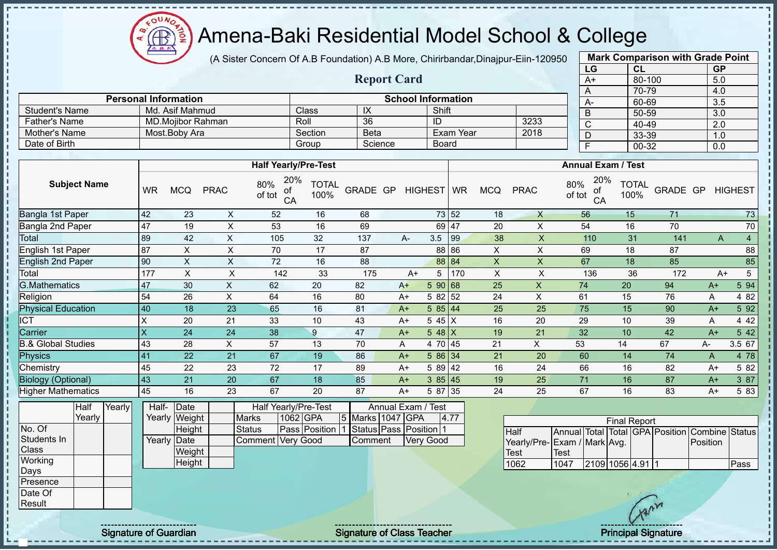ΩU **AR** 

## Amena-Baki Residential Model School & College

(A Sister Concern Of A.B Foundation) A.B More, Chirirbandar,Dinajpur-Eiin-120950

**Report Card**

|              | <b>Mark Comparison with Grade Point</b> |           |
|--------------|-----------------------------------------|-----------|
| LG           | <b>CL</b>                               | <b>GP</b> |
| $A+$         | 80-100                                  | 5.0       |
| A            | 70-79                                   | 4.0       |
| A-           | 60-69                                   | 3.5       |
| B            | 50-59                                   | 3.0       |
| $\mathsf{C}$ | 40-49                                   | 2.0       |
| D            | 33-39                                   | 1.0       |
| F            | 00-32                                   | 0.0       |
|              |                                         |           |

|                      | <b>Personal Information</b> |         |             | <b>School Information</b> |      |  |
|----------------------|-----------------------------|---------|-------------|---------------------------|------|--|
| Student's Name       | Md. Asif Mahmud             | Class   | ᠕           | Shift                     |      |  |
| <b>Father's Name</b> | MD.Moiibor Rahman           | Roll    | 36          | ID                        | 3233 |  |
| Mother's Name        | Most.Boby Ara               | Section | <b>Beta</b> | ⊪Exam Year                | 2018 |  |
| Date of Birth        |                             | Group   | Science     | Board                     |      |  |

|                               |           |            |             | <b>Half Yearly/Pre-Test</b>      |                      |          |      |            |       |            |             | <b>Annual Exam / Test</b>        |                      |          |      |                |
|-------------------------------|-----------|------------|-------------|----------------------------------|----------------------|----------|------|------------|-------|------------|-------------|----------------------------------|----------------------|----------|------|----------------|
| <b>Subject Name</b>           | <b>WR</b> | <b>MCQ</b> | <b>PRAC</b> | 20%<br>80%<br>οf<br>of tot<br>CA | <b>TOTAL</b><br>100% | GRADE GP |      | HIGHEST WR |       | <b>MCQ</b> | <b>PRAC</b> | 20%<br>80%<br>оf<br>of tot<br>CA | <b>TOTAL</b><br>100% | GRADE GP |      | <b>HIGHEST</b> |
| Bangla 1st Paper              | 42        | 23         | X           | 52                               | 16                   | 68       |      |            | 73 52 | 18         | X           | 56                               | 15                   | 71       |      | 73             |
| Bangla 2nd Paper              | <b>47</b> | 19         | X           | 53                               | 16                   | 69       |      | 69 47      |       | 20         | X           | 54                               | 16                   | 70       |      | 70             |
| Total                         | 89        | 42         | X           | 105                              | 32                   | 137      | А-   | 3.5        | 99    | 38         | X           | 110                              | 31                   | 141      |      | 4<br>A         |
| English 1st Paper             | 87        | X.         | X           | 70                               | 17                   | 87       |      |            | 88 86 | X          | X           | 69                               | 18                   | 87       |      | 88             |
| <b>English 2nd Paper</b>      | 90        | X          | X           | 72                               | 16                   | 88       |      | 88 84      |       | X          | X           | 67                               | 18                   | 85       |      | 85             |
| Total                         | 177       | X          | X           | 142                              | 33                   | 175      | $A+$ | 5          | 170   | X          | X           | 136                              | 36                   | 172      |      | 5<br>$A+$      |
| <b>G.Mathematics</b>          | 47        | 30         | X           | 62                               | 20                   | 82       | $A+$ | 590 68     |       | 25         | X           | 74                               | 20                   | 94       | $A+$ | 5 94           |
| Religion                      | 54        | 26         | X           | 64                               | 16                   | 80       | $A+$ | 5 82 52    |       | 24         | X           | 61                               | 15                   | 76       | Α    | 4 8 2          |
| <b>Physical Education</b>     | 40        | 18         | 23          | 65                               | 16                   | 81       | $A+$ | 585 44     |       | 25         | 25          | 75                               | 15                   | 90       | $A+$ | 5 9 2          |
| <b>ICT</b>                    | X         | 20         | 21          | 33                               | 10                   | 43       | $A+$ | $545$ X    |       | 16         | 20          | 29                               | 10                   | 39       | A    | 4 4 2          |
| Carrier                       | X         | 24         | 24          | 38                               | 9                    | 47       | $A+$ | $548$ X    |       | 19         | 21          | 32                               | 10                   | 42       | $A+$ | 5 42           |
| <b>B.&amp; Global Studies</b> | 43        | 28         | X           | 57                               | 13                   | 70       | A    | 4 70 45    |       | 21         | X           | 53                               | 14                   | 67       | А-   | 3.5 67         |
| Physics                       | 41        | 22         | 21          | 67                               | 19                   | 86       | $A+$ | 586 34     |       | 21         | 20          | 60                               | 14                   | 74       | A    | 4 78           |
| Chemistry                     | 45        | 22         | 23          | 72                               | 17                   | 89       | $A+$ | 5 89 42    |       | 16         | 24          | 66                               | 16                   | 82       | $A+$ | 5 82           |
| <b>Biology (Optional)</b>     | 43        | 21         | 20          | 67                               | 18                   | 85       | $A+$ | 385 45     |       | 19         | 25          | 71                               | 16                   | 87       | $A+$ | 3 87           |
| <b>Higher Mathematics</b>     | 45        | 16         | 23          | 67                               | 20                   | 87       | $A+$ | 5 87 35    |       | 24         | 25          | 67                               | 16                   | 83       | $A+$ | 5 83           |

|              | Half   | Yearly <b>l</b> | Half- Date  |               |                   |          | Half Yearly/Pre-Test |                  | Annual Exam / Test   |      |
|--------------|--------|-----------------|-------------|---------------|-------------------|----------|----------------------|------------------|----------------------|------|
|              | Yearly |                 |             | Yearly Weight | <b>Marks</b>      | 1062 GPA |                      | 5 Marks 1047 GPA |                      | 4.77 |
| No. Of       |        |                 |             | <b>Height</b> | <b>Status</b>     |          | Pass Position 1      |                  | Status Pass Position |      |
| Students In  |        |                 | Yearly Date |               | Comment Very Good |          |                      | <b>Comment</b>   | <b>Very Good</b>     |      |
| <b>Class</b> |        |                 |             | Weight        |                   |          |                      |                  |                      |      |
| Working      |        |                 |             | Height        |                   |          |                      |                  |                      |      |
| Days         |        |                 |             |               |                   |          |                      |                  |                      |      |
| Presence     |        |                 |             |               |                   |          |                      |                  |                      |      |
| Date Of      |        |                 |             |               |                   |          |                      |                  |                      |      |

|                             |      |                  | <b>Final Report</b> |  |                                                |      |
|-----------------------------|------|------------------|---------------------|--|------------------------------------------------|------|
| Half                        |      |                  |                     |  | Annual Total Total GPA Position Combine Status |      |
| Yearly/Pre-Exam / Mark Avg. |      |                  |                     |  | Position                                       |      |
| <b>Test</b>                 | Test |                  |                     |  |                                                |      |
| 1062                        | 1047 | 2109 1056 4.91 1 |                     |  |                                                | Pass |

Result

 $\begin{array}{c} \n\frac{1}{2} & \frac{1}{2} & \frac{1}{2} & \frac{1}{2} \\ \n\frac{1}{2} & \frac{1}{2} & \frac{1}{2} & \frac{1}{2} \\ \n\frac{1}{2} & \frac{1}{2} & \frac{1}{2} & \frac{1}{2} \\ \n\end{array}$ 

j.

 $\mathbf{I}$ 

Signature of Guardian Signature of Class Teacher Principal Signature of Guardian Signature of Class Teacher Principal Signature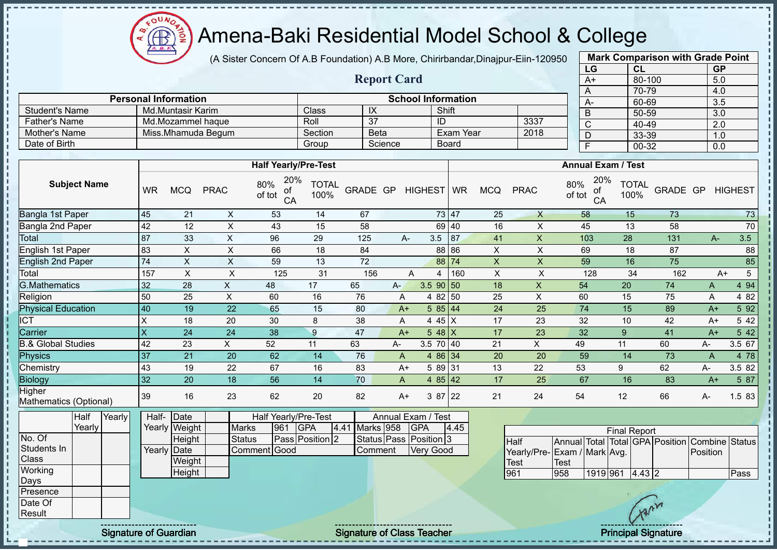Amena-Baki Residential Model School & College

(A Sister Concern Of A.B Foundation) A.B More, Chirirbandar,Dinajpur-Eiin-120950

**Report Card**

|    | <b>Mark Comparison with Grade Point</b> |           |
|----|-----------------------------------------|-----------|
| LG | CL                                      | <b>GP</b> |
| A+ | 80-100                                  | 5.0       |
| A  | 70-79                                   | 4.0       |
| А- | 60-69                                   | 3.5       |
| B  | 50-59                                   | 3.0       |
| C  | 40-49                                   | 2.0       |
| D  | 33-39                                   | 1.0       |
| F  | 00-32                                   | 0.0       |

|                      | <b>Personal Information</b> |         |             | <b>School Information</b> |      | <b>A-</b> |
|----------------------|-----------------------------|---------|-------------|---------------------------|------|-----------|
| Student's Name       | Md.Muntasir Karim           | Class   | ᠕           | Shift                     |      |           |
| <b>Father's Name</b> | Md.Mozammel haque           | Roll    |             |                           | 3337 | ◡         |
| Mother's Name        | Miss.Mhamuda Begum          | Section | <b>Beta</b> | Exam Year                 | 2018 |           |
| Date of Birth        |                             | Group   | Science     | Board                     |      |           |

|                                  |                         |                        |             | <b>Half Yearly/Pre-Test</b>           |                      |                           |      |                    |                |                |             | <b>Annual Exam / Test</b>        |                      |          |      |       |                |
|----------------------------------|-------------------------|------------------------|-------------|---------------------------------------|----------------------|---------------------------|------|--------------------|----------------|----------------|-------------|----------------------------------|----------------------|----------|------|-------|----------------|
| <b>Subject Name</b>              | <b>WR</b>               | <b>MCQ</b>             | <b>PRAC</b> | 20%<br>80%<br>of<br>of tot<br>CA      | <b>TOTAL</b><br>100% | GRADE GP                  |      | HIGHEST   WR       |                | <b>MCQ</b>     | <b>PRAC</b> | 20%<br>80%<br>of<br>of tot<br>CA | <b>TOTAL</b><br>100% | GRADE GP |      |       | <b>HIGHEST</b> |
| Bangla 1st Paper                 | 45                      | 21                     | X           | 53                                    | 14                   | 67                        |      |                    | 73 47          | 25             | X           | 58                               | 15                   | 73       |      |       | 73             |
| Bangla 2nd Paper                 | 42                      | 12                     | X           | 43                                    | 15                   | 58                        |      |                    | 69 40          | 16             | X           | 45                               | 13                   | 58       |      |       | 70             |
| Total                            | 87                      | 33                     | X           | 96                                    | 29                   | 125                       |      | 3.5<br>А-          | 87             | 41             | $\times$    | 103                              | 28                   | 131      |      | $A -$ | 3.5            |
| English 1st Paper                | 83                      | X                      | X           | 66                                    | 18                   | 84                        |      |                    | 88 86          | X              | X           | 69                               | 18                   | 87       |      |       | 88             |
| <b>English 2nd Paper</b>         | 74                      | X                      | X           | 59                                    | 13                   | 72                        |      |                    | 88 74          | $\mathsf{X}$   | $\sf X$     | 59                               | 16                   | 75       |      |       | 85             |
| Total                            | 157                     | X                      | X           | 125                                   | 31                   | 156                       |      | A                  | 160<br>4       | $\pmb{\times}$ | X           | 128                              | 34                   | 162      |      | A+    | 5              |
| <b>G.Mathematics</b>             | 32                      | 28                     | X           | 48                                    | 17                   | 65                        | $A-$ |                    | $3.5$ 90 50    | 18             | X           | 54                               | 20                   | 74       | A    |       | 4 9 4          |
| Religion                         | 50                      | 25                     | X           | 60                                    | 16                   | 76                        |      | A<br>4             | 82<br>50       | 25             | X           | 60                               | 15                   | 75       | A    |       | 4 8 2          |
| <b>Physical Education</b>        | 40                      | 19                     | 22          | 65                                    | 15                   | 80                        |      | $A+$               | 585 44         | 24             | 25          | 74                               | 15                   | 89       | $A+$ |       | 5 92           |
| $\overline{ICT}$                 | $\times$                | 18                     | 20          | 30                                    | 8                    | 38                        |      | A                  | 4 45 X         | 17             | 23          | 32                               | 10                   | 42       | $A+$ |       | 5 42           |
| Carrier                          | $\overline{\mathsf{x}}$ | 24                     | 24          | 38                                    | 9                    | 47                        |      | $A+$               | 5 48 $X$       | 17             | 23          | 32                               | 9                    | 41       | $A+$ |       | 5 42           |
| <b>B.&amp; Global Studies</b>    | 42                      | 23                     | X.          | 52                                    | 11                   | 63                        | A-   |                    | $3.5$ 70 40    | 21             | X           | 49                               | 11                   | 60       | А-   |       | 3.5 67         |
| Physics                          | 37                      | 21                     | 20          | 62                                    | 14                   | 76                        |      | A                  | 4 86 34        | 20             | 20          | 59                               | 14                   | 73       | A    |       | 4 78           |
| Chemistry                        | 43                      | 19                     | 22          | 67                                    | 16                   | 83                        |      | $A+$               | 5 89 31        | 13             | 22          | 53                               | 9                    | 62       | A-   |       | 3.5 82         |
| <b>Biology</b>                   | 32                      | 20                     | 18          | 56                                    | 14                   | 70                        |      | A<br>4             | 42<br>85       | 17             | 25          | 67                               | 16                   | 83       | $A+$ |       | 5 87           |
| Higher<br>Mathematics (Optional) | 39                      | 16                     | 23          | 62                                    | 20                   | 82                        |      | $A+$               | 3 87 22        | 21             | 24          | 54                               | 12                   | 66       | А-   |       | 1.5 83         |
| Half<br>Yearly<br>Voorh          | Half-                   | Date<br>$V_{\text{O}}$ | $M = 16$    | Half Yearly/Pre-Test<br>$0.04$ $0.08$ |                      | $14.44$ Marke $050$ $070$ |      | Annual Exam / Test | $\overline{A}$ |                |             |                                  |                      |          |      |       |                |

|             | ⊓a⊪    | Teanvi | пaн-                 | TDale         |               |     | <u> Hall Tealiv/Fie-Test</u> |                | Allitual Exatif Test   |      |
|-------------|--------|--------|----------------------|---------------|---------------|-----|------------------------------|----------------|------------------------|------|
|             | Yearlv |        |                      | Yearly Weight | <b>Marks</b>  | 961 | IGPA                         | 4.41 Marks 958 | <b>IGPA</b>            | 4.45 |
| No. Of      |        |        |                      | Height        | <b>Status</b> |     | Pass Position 2              |                | Status Pass Position 3 |      |
| Students In |        |        | Yearly <b> </b> Date |               | Comment Good  |     |                              | <b>Comment</b> | Very Good              |      |
| Class       |        |        |                      | Weight        |               |     |                              |                |                        |      |
| Working     |        |        |                      | Height        |               |     |                              |                |                        |      |
| Days        |        |        |                      |               |               |     |                              |                |                        |      |
| Presence    |        |        |                      |               |               |     |                              |                |                        |      |
| Date Of     |        |        |                      |               |               |     |                              |                |                        |      |

|                             | <b>Final Report</b> |          |  |           |  |                                                |       |  |  |  |  |  |  |  |
|-----------------------------|---------------------|----------|--|-----------|--|------------------------------------------------|-------|--|--|--|--|--|--|--|
| <b>I</b> Half               |                     |          |  |           |  | Annual Total Total GPA Position Combine Status |       |  |  |  |  |  |  |  |
| Yearly/Pre-Exam / Mark Avg. |                     |          |  |           |  | <b>IPosition</b>                               |       |  |  |  |  |  |  |  |
| <b>Test</b>                 | Test                |          |  |           |  |                                                |       |  |  |  |  |  |  |  |
| 961                         | 958                 | 1919 961 |  | $4.43$  2 |  |                                                | lPass |  |  |  |  |  |  |  |

 $\Omega$ **AR** 

**Result** 

л

 $\mathbf{I}$  $\mathbf I$ 

Signature of Guardian Signature of Class Teacher Principal Signature of Class Teacher Principal Signature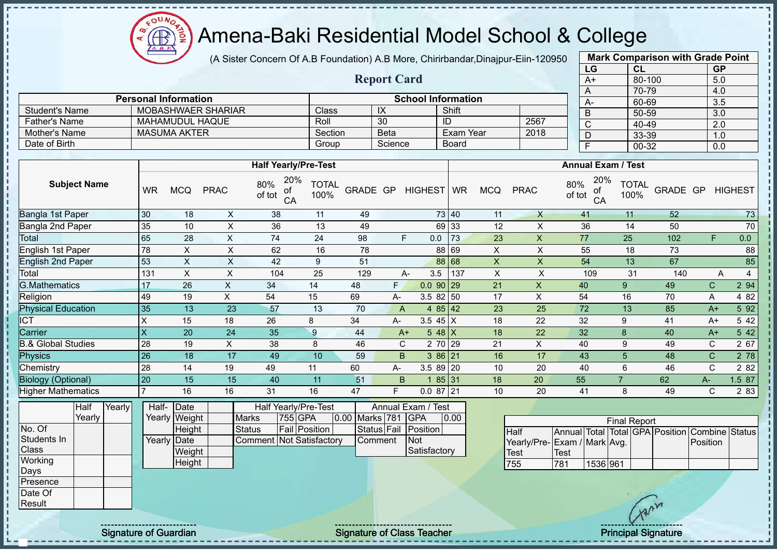$\Omega$ Amena-Baki Residential Model School & College  $\bigoplus$ ğ

(A Sister Concern Of A.B Foundation) A.B More, Chirirbandar,Dinajpur-Eiin-120950

|                               |                     |        |                           |                             |                           |                                  |                      |                |                    |                           |                  |                           |                             |                         | LG                        | <b>CL</b>            |                                                | <b>GP</b>        |                |
|-------------------------------|---------------------|--------|---------------------------|-----------------------------|---------------------------|----------------------------------|----------------------|----------------|--------------------|---------------------------|------------------|---------------------------|-----------------------------|-------------------------|---------------------------|----------------------|------------------------------------------------|------------------|----------------|
|                               |                     |        |                           |                             |                           |                                  |                      |                | <b>Report Card</b> |                           |                  |                           |                             |                         | $A+$                      | $80 - 100$           |                                                | 5.0              |                |
|                               |                     |        |                           |                             |                           |                                  |                      |                |                    |                           |                  |                           |                             | A                       |                           | 70-79                |                                                | 4.0              |                |
|                               |                     |        |                           | <b>Personal Information</b> |                           |                                  |                      |                |                    | <b>School Information</b> |                  |                           |                             | $A -$                   |                           | 60-69                |                                                | 3.5              |                |
| <b>Student's Name</b>         |                     |        |                           |                             | <b>MOBASHWAER SHARIAR</b> |                                  | Class                |                | $\overline{X}$     |                           | Shift            |                           |                             | B                       |                           | $50 - 59$            |                                                | 3.0              |                |
| Father's Name                 |                     |        |                           | MAHAMUDUL HAQUE             |                           |                                  | Roll                 |                | 30                 |                           | ID               |                           | 2567                        | $\overline{C}$          |                           | 40-49                |                                                | $\overline{2.0}$ |                |
| Mother's Name                 |                     |        |                           | <b>MASUMA AKTER</b>         |                           |                                  | Section              |                | <b>Beta</b>        |                           | <b>Exam Year</b> |                           | 2018                        | D                       |                           | $33 - 39$            |                                                | 1.0              |                |
| Date of Birth                 |                     |        |                           |                             |                           |                                  | Group                |                | Science            |                           | <b>Board</b>     |                           |                             | $\overline{\mathsf{F}}$ |                           | $00 - 32$            |                                                | 0.0              |                |
|                               |                     |        |                           |                             |                           | <b>Half Yearly/Pre-Test</b>      |                      |                |                    |                           |                  |                           |                             |                         | <b>Annual Exam / Test</b> |                      |                                                |                  |                |
|                               | <b>Subject Name</b> |        | <b>WR</b>                 | <b>MCQ</b>                  | <b>PRAC</b>               | 20%<br>80%<br>of<br>of tot<br>CA | <b>TOTAL</b><br>100% |                |                    | GRADE GP HIGHEST WR       |                  | <b>MCQ</b>                | <b>PRAC</b>                 | 80%<br>of tot           | 20%<br>of<br>CA           | <b>TOTAL</b><br>100% | GRADE GP                                       |                  | <b>HIGHEST</b> |
| Bangla 1st Paper              |                     |        | 30                        | 18                          | $\pmb{\times}$            | 38                               | 11                   | 49             |                    |                           | 73 40            | 11                        | $\boldsymbol{\mathsf{X}}$   | 41                      |                           | 11                   | 52                                             |                  | 73             |
| Bangla 2nd Paper              |                     |        | 35                        | 10                          | $\mathsf{X}$              | 36                               | 13                   | 49             |                    |                           | 69 33            | 12                        | $\mathsf{X}$                | 36                      |                           | 14                   | 50                                             |                  | 70             |
| Total                         |                     |        | 65                        | 28                          | $\overline{X}$            | 74                               | $\overline{24}$      | 98             | F.                 | 0.0                       | 73               | $\overline{23}$           | $\boldsymbol{\mathsf{X}}$   | $\overline{77}$         |                           | $\overline{25}$      | 102                                            | F.               | 0.0            |
| English 1st Paper             |                     |        | 78                        | $\pmb{\times}$              | $\times$                  | 62                               | 16                   | 78             |                    |                           | 88 69            | $\mathsf{X}$              | $\mathsf{X}$                | 55                      |                           | 18                   | 73                                             |                  | 88             |
| <b>English 2nd Paper</b>      |                     |        | 53                        | $\overline{\mathsf{x}}$     | $\overline{X}$            | $\overline{42}$                  | $\boldsymbol{9}$     | 51             |                    |                           | 88 68            | $\overline{X}$            | $\overline{\mathsf{x}}$     | 54                      |                           | 13                   | 67                                             |                  | 85             |
| Total                         |                     |        | 131                       | X                           | $\mathsf{x}$              | 104                              | 25                   | 129            | A-                 | 3.5                       | 137              | $\boldsymbol{\mathsf{X}}$ | $\mathsf{x}$                |                         | 109                       | 31                   | 140                                            | $\overline{A}$   | $\overline{4}$ |
| <b>G.Mathematics</b>          |                     |        | 17                        | 26                          | $\pmb{\times}$            | 34                               | 14                   | 48             | F.                 | $0.090$ 29                |                  | 21                        | $\mathsf{X}$                | 40                      |                           | 9                    | 49                                             | $\mathbf C$      | 2 94           |
| Religion                      |                     |        | 49                        | 19                          | $\pmb{\times}$            | 54                               | 15                   | 69             | A-                 | $3.582$ 50                |                  | 17                        | $\mathsf{X}$                | 54                      |                           | 16                   | 70                                             | A                | 4 8 2          |
| <b>Physical Education</b>     |                     |        | 35                        | 13                          | 23                        | 57                               | 13                   | 70             | $\overline{A}$     |                           | 4 $85 \mid 42$   | 23                        | 25                          | 72                      |                           | 13                   | 85                                             | $A+$             | 5 9 2          |
| <b>ICT</b>                    |                     |        | $\pmb{\times}$            | 15                          | 18                        | 26                               | 8                    | 34             | A-                 | 3.5 $45 \mid X$           |                  | 18                        | $\overline{22}$             | 32                      |                           | $\boldsymbol{9}$     | 41                                             | $A+$             | 5 42           |
| Carrier                       |                     |        | $\boldsymbol{\mathsf{X}}$ | 20                          | 24                        | 35                               | $\boldsymbol{9}$     | 44             | $A+$               | $548$ X                   |                  | 18                        | 22                          | 32                      |                           | 8                    | 40                                             | $A+$             | 5 4 2          |
| <b>B.&amp; Global Studies</b> |                     |        | 28                        | 19                          | $\mathsf X$               | 38                               | $\,8\,$              | 46             | $\mathsf C$        |                           | 2 70 29          | 21                        | $\mathsf{X}$                | 40                      |                           | 9                    | 49                                             | $\mathbf C$      | 2 67           |
| <b>Physics</b>                |                     |        | $\overline{26}$           | 18                          | 17                        | 49                               | 10                   | 59             | B.                 |                           | $386$ 21         | 16                        | 17                          | 43                      |                           | 5                    | 48                                             | $\mathsf{C}$     | 278            |
| Chemistry                     |                     |        | 28                        | 14                          | 19                        | 49                               | 11                   | 60             | $A-$               | $3.589$ 20                |                  | 10                        | 20                          | 40                      |                           | 6                    | 46                                             | $\mathsf{C}$     | 2 8 2          |
| <b>Biology (Optional)</b>     |                     |        | 20                        | $\overline{15}$             | $\overline{15}$           | 40                               | $\overline{11}$      | 51             | $\overline{B}$     | $\overline{1}$            | 85 31            | $\overline{18}$           | $\overline{20}$             | $\overline{55}$         |                           | $\overline{7}$       | 62                                             | $A-$             | 1.587          |
| <b>Higher Mathematics</b>     |                     |        | $\overline{7}$            | 16                          | 16                        | 31                               | 16                   | 47             | F                  | $0.087$ 21                |                  | 10                        | 20                          | 41                      |                           | 8                    | 49                                             | $\mathsf{C}$     | 2 8 3          |
|                               | Half                | Yearly | Half-                     | Date                        |                           | <b>Half Yearly/Pre-Test</b>      |                      |                |                    | Annual Exam / Test        |                  |                           |                             |                         |                           |                      |                                                |                  |                |
|                               | Yearly              |        |                           | Yearly Weight               |                           | 755 GPA<br><b>Marks</b>          |                      | 0.00 Marks 781 |                    | <b>GPA</b>                | 0.00             |                           |                             |                         |                           | <b>Final Report</b>  |                                                |                  |                |
| No. Of                        |                     |        |                           | Height                      |                           | <b>Status</b>                    | <b>Fail Position</b> |                | Status Fail        | Position                  |                  |                           | <b>Half</b>                 |                         |                           |                      | Annual Total Total GPA Position Combine Status |                  |                |
| Students In                   |                     |        |                           | Yearly Date                 |                           | <b>Comment Not Satisfactory</b>  |                      |                | Comment            | Not                       |                  |                           | Yearly/Pre-Exam / Mark Avg. |                         |                           |                      |                                                | Position         |                |
| <b>Class</b>                  |                     |        |                           | Weight                      |                           |                                  |                      |                |                    | Satisfactory              |                  |                           | Test                        | <b>Test</b>             |                           |                      |                                                |                  |                |
| Working                       |                     |        |                           | Height                      |                           |                                  |                      |                |                    |                           |                  |                           | 755                         | 781                     | 1536 961                  |                      |                                                |                  |                |
| Days                          |                     |        |                           |                             |                           |                                  |                      |                |                    |                           |                  |                           |                             |                         |                           |                      |                                                |                  |                |
| Presence                      |                     |        |                           |                             |                           |                                  |                      |                |                    |                           |                  |                           |                             |                         |                           |                      |                                                |                  |                |
| Date Of                       |                     |        |                           |                             |                           |                                  |                      |                |                    |                           |                  |                           |                             |                         |                           |                      |                                                |                  |                |
| Result                        |                     |        |                           |                             |                           |                                  |                      |                |                    |                           |                  |                           |                             |                         |                           |                      |                                                |                  |                |

Signature of Guardian Signature of Class Teacher Principal Signature of Class Teacher Principal Signature of Class Teacher Principal Signature of Class Teacher Principal Signature of Class Teacher Principal Signature of Cl

**Mark Comparison with Grade Point**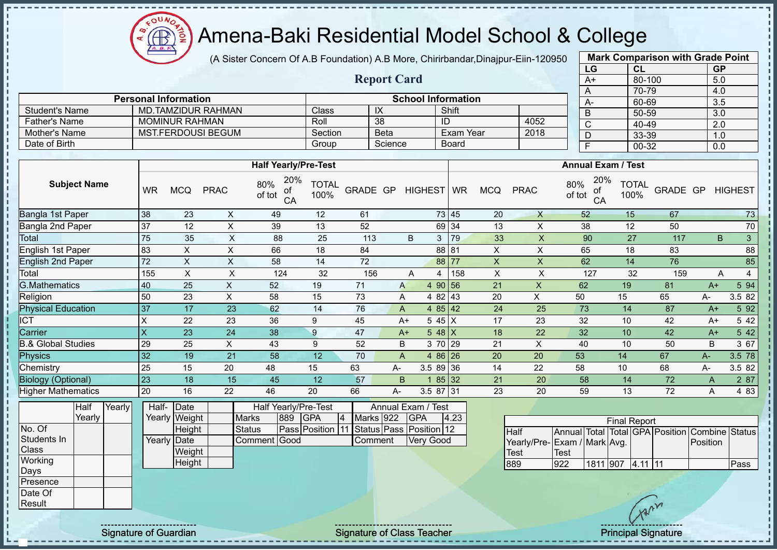Amena-Baki Residential Model School & College

(A Sister Concern Of A.B Foundation) A.B More, Chirirbandar,Dinajpur-Eiin-120950

**Report Card**

| <b>Mark Comparison with Grade Point</b> |        |           |  |  |  |  |  |  |  |  |  |
|-----------------------------------------|--------|-----------|--|--|--|--|--|--|--|--|--|
| LG                                      | CL     | <b>GP</b> |  |  |  |  |  |  |  |  |  |
| $A+$                                    | 80-100 | 5.0       |  |  |  |  |  |  |  |  |  |
| A                                       | 70-79  | 4.0       |  |  |  |  |  |  |  |  |  |
| A-                                      | 60-69  | 3.5       |  |  |  |  |  |  |  |  |  |
| B                                       | 50-59  | 3.0       |  |  |  |  |  |  |  |  |  |
| C                                       | 40-49  | 2.0       |  |  |  |  |  |  |  |  |  |
| D                                       | 33-39  | 1.0       |  |  |  |  |  |  |  |  |  |
| F                                       | 00-32  | 0.0       |  |  |  |  |  |  |  |  |  |
|                                         |        |           |  |  |  |  |  |  |  |  |  |

|                      |                             |                           |             |              |      |  |  | $\overline{A}$ |  |
|----------------------|-----------------------------|---------------------------|-------------|--------------|------|--|--|----------------|--|
|                      | <b>Personal Information</b> | <b>School Information</b> |             |              |      |  |  |                |  |
| Student's Name       | <b>MD.TAMZIDUR RAHMAN</b>   | Classi                    | $\sqrt{ }$  | Shift        |      |  |  | $\overline{B}$ |  |
| <b>Father's Name</b> | <b>MOMINUR RAHMAN</b>       | Roll                      | 38          | ID           | 4052 |  |  | $\sim$<br>ັ    |  |
| Mother's Name        | MST.FERDOUSI BEGUM          | Section                   | <b>Beta</b> | Exam Year    | 2018 |  |  |                |  |
| Date of Birth        |                             | Group                     | Science     | <b>Board</b> |      |  |  |                |  |

|                               |           |            |             | <b>Half Yearly/Pre-Test</b>      |                      |          |    | <b>Annual Exam / Test</b> |            |     |            |             |                                  |                      |          |      |                |
|-------------------------------|-----------|------------|-------------|----------------------------------|----------------------|----------|----|---------------------------|------------|-----|------------|-------------|----------------------------------|----------------------|----------|------|----------------|
| <b>Subject Name</b>           | <b>WR</b> | <b>MCQ</b> | <b>PRAC</b> | 20%<br>80%<br>οf<br>of tot<br>CA | <b>TOTAL</b><br>100% | GRADE GP |    | HIGHEST WR                |            |     | <b>MCQ</b> | <b>PRAC</b> | 20%<br>80%<br>of<br>of tot<br>CA | <b>TOTAL</b><br>100% | GRADE GP |      | <b>HIGHEST</b> |
| Bangla 1st Paper              | 38        | 23         | X           | 49                               | 12                   | 61       |    |                           | 73 45      |     | 20         | X           | 52                               | 15                   | 67       |      | 73             |
| Bangla 2nd Paper              | 37        | 12         | X           | 39                               | 13                   | 52       |    |                           | 69 34      |     | 13         | X           | 38                               | 12                   | 50       |      | 70             |
| Total                         | 75        | 35         | X           | 88                               | 25                   | 113      |    | B                         | 3          | 79  | 33         | X           | 90                               | 27                   | 117      |      | 3<br>B         |
| English 1st Paper             | 83        | X          | X           | 66                               | 18                   | 84       |    |                           | 88 81      |     | X          | X           | 65                               | 18                   | 83       |      | 88             |
| <b>English 2nd Paper</b>      | 72        | X          | X           | 58                               | 14                   | 72       |    |                           | 88 77      |     | X          | X           | 62                               | 14                   | 76       |      | 85             |
| Total                         | 155       | X          | X           | 124                              | 32                   | 156      |    | A                         | 4          | 158 | X          | X           | 127                              | 32                   | 159      |      | 4<br>A         |
| <b>G.Mathematics</b>          | 40        | 25         | X           | 52                               | 19                   | 71       |    | $\mathsf{A}$              | 4 90 56    |     | 21         | X           | 62                               | 19                   | 81       | $A+$ | 5 94           |
| Religion                      | 50        | 23         | X           | 58                               | 15                   | 73       |    | A                         | 4 82 43    |     | 20         | X           | 50                               | 15                   | 65       | А-   | 3.5 82         |
| <b>Physical Education</b>     | 37        | 17         | 23          | 62                               | 14                   | 76       |    | A                         | 485 42     |     | 24         | 25          | 73                               | 14                   | 87       | $A+$ | 5 92           |
| <b>ICT</b>                    | X         | 22         | 23          | 36                               | 9                    | 45       |    | $A+$                      | $545$ X    |     | 17         | 23          | 32                               | 10                   | 42       | $A+$ | 5 4 2          |
| Carrier                       | X         | 23         | 24          | 38                               | 9                    | 47       |    | $A+$                      | 5 48 $X$   |     | 18         | 22          | 32                               | 10                   | 42       | $A+$ | 5 42           |
| <b>B.&amp; Global Studies</b> | 29        | 25         | X           | 43                               | 9                    | 52       |    | B                         | 3 70 29    |     | 21         | X           | 40                               | 10                   | 50       | B    | 3 67           |
| Physics                       | 32        | 19         | 21          | 58                               | 12                   | 70       |    | A                         | $486$ 26   |     | 20         | 20          | 53                               | 14                   | 67       | A-   | 3.5 78         |
| Chemistry                     | 25        | 15         | 20          | 48                               | 15                   | 63       | A- |                           | $3.589$ 36 |     | 14         | 22          | 58                               | 10                   | 68       | А-   | 3.5 82         |
| <b>Biology (Optional)</b>     | 23        | 18         | 15          | 45                               | 12                   | 57       |    | B.                        | 85 32      |     | 21         | 20          | 58                               | 14                   | 72       | A    | 2 87           |
| <b>Higher Mathematics</b>     | 20        | 16         | 22          | 46                               | 20                   | 66       | А- |                           | 3.5 87 31  |     | 23         | 20          | 59                               | 13                   | 72       | A    | 4 8 3          |

|              | Half   | Yearly | Half- | <b>IDate</b>  |               |      | Half Yearly/Pre-Test                            |   | Annual Exam / Test |  |                  |      |
|--------------|--------|--------|-------|---------------|---------------|------|-------------------------------------------------|---|--------------------|--|------------------|------|
|              | Yearlv |        |       | Yearly Weight | <b>Marks</b>  | 1889 | <b>IGPA</b>                                     | 4 | Marks 922          |  | <b>IGPA</b>      | 4.23 |
| No. Of       |        |        |       | Height        | <b>Status</b> |      | <b>Pass Position 11 Status Pass Position 12</b> |   |                    |  |                  |      |
| Students In  |        |        |       | Yearly Date   | Comment Good  |      |                                                 |   | <b>Comment</b>     |  | <b>Very Good</b> |      |
| <b>Class</b> |        |        |       | Weight        |               |      |                                                 |   |                    |  |                  |      |
| Working      |        |        |       | Height        |               |      |                                                 |   |                    |  |                  |      |
| Days         |        |        |       |               |               |      |                                                 |   |                    |  |                  |      |
| Presence     |        |        |       |               |               |      |                                                 |   |                    |  |                  |      |
| Date Of      |        |        |       |               |               |      |                                                 |   |                    |  |                  |      |

| <b>Final Report</b>         |      |                    |  |  |  |                                                |      |  |  |  |  |  |  |  |
|-----------------------------|------|--------------------|--|--|--|------------------------------------------------|------|--|--|--|--|--|--|--|
| <b>Half</b>                 |      |                    |  |  |  | Annual Total Total GPA Position Combine Status |      |  |  |  |  |  |  |  |
| Yearly/Pre-Exam / Mark Avg. |      |                    |  |  |  | <b>Position</b>                                |      |  |  |  |  |  |  |  |
| <b>Test</b>                 | Test |                    |  |  |  |                                                |      |  |  |  |  |  |  |  |
| 889                         | 922  | $1811$ 907 4.11 11 |  |  |  |                                                | Pass |  |  |  |  |  |  |  |

**Result** 

J.

Signature of Guardian Signature Signature of Class Teacher Number 2006 and Signature Principal Signature